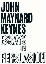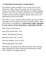### **\* A Distributed Proofreaders Canada eBook \***

This eBook is made available at no cost and with very few restrictions. These restrictions apply only if (1) you make a change in the eBook (other than alteration for different display devices), or (2) you are making commercial use of the eBook. If either of these conditions applies, please check with an FP administrator before proceeding.

This work is in the Canadian public domain, but may be under copyright in some countries. If you live outside Canada, check your country's copyright laws. **If the book is under copyright in your country, do not download or redistribute this file.**

*Title:* Essays in Persuasion

*Date of first publication:* 1931

*Author:* John Maynard Keynes

*Date first posted:* Sep. 19, 2013

*Date last updated:* June 28, 2019

Faded Page eBook #20110804

This eBook was produced by: Marcia Brooks, Ross Cooling, Mark Akrigg & the online Distributed Proofreaders Canada team at http://www.pgdpcanada.net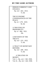### **BY THE SAME AUTHOR**

INDIAN CURRENCY AND FINANCE. Pp. viii + 263. 1913. 7s. 6d.

THE ECONOMIC CONSEQUENCES OF THE PEACE. Pp. vii + 279. 1919. 8s. 6d.

A TREATISE ON PROBABILITY. Pp. xi + 466. 1921. 18s.

A REVISION OF THE TREATY. Pp. viii + 223. 1922. 7s. 6d.

A TRACT ON MONETARY REFORM. Pp. viii + 209. 1923. 7s. 6d.

A TREATISE ON MONEY. Vol. I.—Pp. xvii + 363. 1930. Vol. II.—Pp. viii + 424. 1930.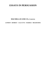## **ESSAYS IN PERSUASION**

### **MACMILLAN AND CO., LIMITED**

**LONDON · BOMBAY · CALCUTTA · MADRAS · MELBOURNE**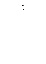## **ESSAYS**

**IN**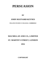# **PERSUASION**

#### **BY**

### **JOHN MAYNARD KEYNES**

**FELLOW OF KING'S COLLEGE, CAMBRIDGE**

# **MACMILLAN AND CO., LIMITED ST. MARTIN'S STREET, LONDON 1931**

**COPYRIGHT**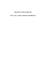#### **PRINTED IN GREAT BRITAIN**

#### **BY R. & R. CLARK, LIMITED, EDINBURGH**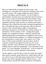## **PREFACE**

Here are collected the croakings of twelve years—the croakings of a Cassandra who could never influence the course of events in time. The volume might have been entitled "Essays in Prophecy and Persuasion," for the *Prophecy*, unfortunately, has been more successful than the *Persuasion*. But it was in a spirit of persuasion that most of these essays were written, in an attempt to influence opinion. They were regarded at the time, many of them, as extreme and reckless utterances. But I think that the reader, looking through them today, will admit that this was because they often ran directly counter to the overwhelming weight of contemporary sentiment and opinion, and not because of their character in themselves. On the contrary, I feel—reading them again, though I am a prejudiced witness—that they contain more understatement than overstatement, as judged by after-events. That this should be their tendency, is a natural consequence of the circumstances in which they were written. For I wrote many of these essays painfully conscious that a cloud of witnesses would rise up against me and very few in my support, and that I must, therefore, be at great pains to say nothing which I could not substantiate. I was constantly on my guard—as I well remember, looking back—to be as moderate as my convictions and the argument would permit.

All this applies to the first three of the five books into which these essays naturally group themselves, rather than to the last two; that is to say, to the three great controversies of the past decade, into which I plunged myself without reserve,—the Treaty of Peace and the War Debts, the Policy of Deflation,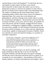and the Return to the Gold Standard,<sup>[1]</sup> of which the last two, and indeed in some respects all three, were closely interconnected. In these essays the author was *in a hurry*, desperately anxious to convince his audience in time. But in the last two books time's chariots make a less disturbing noise. The author is looking into the more distant future, and is ruminating matters which need a slow course of evolution to determine them. He is more free to be leisurely and philosophical. And here emerges more clearly what is in truth his central thesis throughout,—the profound conviction that the Economic Problem, as one may call it for short, the problem of want and poverty and the economic struggle between classes and nations, is nothing but a frightful muddle, a transitory and an *unnecessary* muddle. For the Western World already has the resources and the technique, if we could create the organisation to use them, capable of reducing the Economic Problem, which now absorbs our moral and material energies, to a position of secondary importance.

[1] I still stand—substantially—by the *Positive Suggestions for the Future Regulation of Money*, which I wrote in 1923 before our Return to the Gold Standard and which are here reprinted (p. 213) as the third Essay of Book III. Whilst we were on the Gold Standard, these proposals were necessarily in abeyance. But any one who wishes to know the general outline of how the author would settle our currency Problem, as it presents itself to-day, will find it in this essay.

Thus the author of these essays, for all his croakings, still hopes and believes that the day is not far off when the Economic Problem will take the back seat where it belongs, and that the arena of the heart and head will be occupied, or reoccupied, by our real problems—the problems of life and of human relations, of creation and behaviour and religion. And it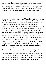happens that there is a subtle reason drawn from economic analysis why, in this case, faith may work. For if we consistently act on the optimistic hypothesis, this hypothesis will tend to be realised; whilst by acting on the pessimistic hypothesis we can keep ourselves for ever in the pit of want.

The essays have been taken out of the author's printed writings, whether books or pamphlets or newspaper and magazine articles, indiscriminately. The method has been to omit freely (without special indications in the text) anything which appeared to be redundant or unnecessary to the main line of the argument or to have lost interest with the passage of events; but to alter nothing in the text which has been retained. New explanatory footnotes, which have been added in this volume, have been placed between square brackets. The author has endeavoured to secure that the omissions shall not be such as to make the balance of argument to appear in any way different from what it was in the original context. But for the curious inquirer, if there be any, there is provided on the last page of the book a table of references showing the source from which each essay has been taken, and where it can be found in its complete contemporary setting.

I have thought it convenient to choose this date of publication, because we are standing at a point of transition. It is called a National Crisis. But that is not correct—for Great Britain the main crisis is over. There is a lull in our affairs. We are, in the autumn of 1931, resting ourselves in a quiet pool between two waterfalls. The main point is that we have regained our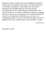freedom of choice. Scarcely any one in England now believes in the Treaty of Versailles or in the pre-war Gold Standard or in the Policy of Deflation. These battles have been won mainly by the irresistible pressure of events and only secondarily by the slow undermining of old prejudices. But most of us have, as yet, only a vague idea of what we are going to do next, of how we are going to use our regained freedom of choice. So I should like to clinch the past, as it were, by reminding the reader of what we have been through, and how it appeared at the time, and the nature of the mistakes we made.

J. M. KEYNES

*November 8, 1931.*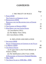## **[CONTEN](#page-51-0)[TS](#page-56-0)**

|                                                    | Page |
|----------------------------------------------------|------|
| <b>I. THE TREATY OF PEACE</b>                      |      |
| 1. PARIS (1919)                                    | 3    |
| <b>THE CAPACITY OF GERMANY TO PAY</b>              |      |
| 2. REPARATIONS (1919)                              | 7    |
| <b>PROPOSALS FOR THE RECONSTRUCTION OF EUROPE</b>  |      |
| 3. (1919)                                          | 19   |
| 4. <u>The Change of Opinion (1921)</u>             | 46   |
| <b>5. WAR DEBTS AND THE UNITED STATES</b>          | 52   |
| (i) Cancellation (1921).                           |      |
| (ii) The Balfour Note (1925).                      |      |
| (iii) Cancellation (1928).                         |      |
|                                                    |      |
| <b>II. INFLATION AND DEFLATION</b>                 |      |
| 1. <b>INFLATION</b> (1919)                         | 77   |
| <b>SOCIAL CONSEQUENCES OF CHANGES IN THE VALUE</b> |      |
| 2. OF MONEY (1923)                                 | 80   |
| 3. THE FRENCH FRANC                                | 105  |
| (i) An open letter to the French Minister of       |      |
| <i>Finance</i> (1926).                             |      |
| (ii) The Stabilisation of the Franc (1928).        |      |
| <u>A PROGRAMME OF EXPANSION (General Election,</u> |      |
| 4. May 1929)                                       | 118  |
| 5. THE GREAT SLUMP OF 1930 (Dec. 1930)             | 135  |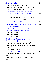| 6. ECONOMY (1931)                                     | 148 |
|-------------------------------------------------------|-----|
| (i) Saving and Spending (Jan. 1931).                  |     |
| (ii) The Economy Report (Aug. 15, 1931).              |     |
| (iii) The Economy Bill (Sept. 19, 1931).              |     |
| <b>THE CONSEQUENCES TO THE BANKS OF THE</b>           |     |
| 7. COLLAPSE OF MONEY VALUES (Aug. 1931)               | 168 |
|                                                       |     |
| <b>III. THE RETURN TO THE GOLD</b><br><b>STANDARD</b> |     |
| 1. <u>Auri Sacra Fames (1930)</u>                     | 181 |
| 2. ALTERNATIVE AIMS IN MONETARY POLICY (1923)         | 186 |
| <b>POSITIVE SUGGESTIONS FOR THE FUTURE</b>            |     |
| 3. <u>Regulation of Money (1923) (1919)</u>           | 213 |
| 4. THE SPEECHES OF THE BANK CHAIRMEN                  | 220 |
| (i) February 1924.                                    |     |
| (ii) February 1925.                                   |     |
| (iii) February 1927.                                  |     |
| <b>THE ECONOMIC CONSEQUENCES OF MR.</b>               |     |
| 5. CHURCHILL (1925)                                   | 244 |
| (i) The Misleading of Mr. Churchill.                  |     |
| (ii) The Balance of Trade and the Bank of             |     |
| England.                                              |     |
| (iii) Is there a Remedy?                              |     |
| <b>6. MITIGATION BY TARIFF</b>                        | 271 |
| (i) Proposals for a Revenue Tariff (March 7,          |     |
| 1931).                                                |     |
| (ii) On the Eve of Gold Suspension (Sept. 10,         |     |
| 1931).                                                |     |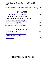| (iii) After the Suspension of Gold (Sept. 28, |  |
|-----------------------------------------------|--|
| 1931).                                        |  |

7. THE END OF THE GOLD STANDARD (Sept. 27, 1931) 288

## IV. [POLITICS](#page-309-0)

| 1. A SHORT VIEW OF RUSSIA (1925)      |     |
|---------------------------------------|-----|
| (i) What is the Communist Faith?      |     |
| (ii) Communism's Power to Survive.    |     |
| 2. THE END OF LAISSEZ-FAIRE (1926)    | 312 |
| 3. AM I A LIBERAL? (1925)             | 323 |
| 4. LIBERALISM AND LABOUR (1926)       | 339 |
|                                       |     |
| <b>V. THE FUTURE</b>                  |     |
| 1. CLISSOLD (1927)                    | 349 |
| <b>ECONOMIC POSSIBILITIES FOR OUR</b> |     |
| 2. GRANDCHILDREN (1930)               | 358 |
| <b>REFERENCES</b>                     | 375 |

**I**

## **THE TREATY OF PEACE**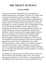## **THE TREATY OF PEACE**

## **1. PARIS (1919)**

The power to become habituated to his surroundings is a marked characteristic of mankind. Very few of us realise with conviction the intensely unusual, unstable, complicated, unreliable, temporary nature of the economic organisation by which Western Europe has lived for the last half-century. We assume some of the most peculiar and temporary of our late advantages as natural, permanent, and to be depended on, and we lay our plans accordingly. On this sandy and false foundation we scheme for social improvement and dress our political platforms, pursue our animosities and particular ambitions, and feel ourselves with enough margin in hand to foster, not assuage, civil conflict in the European family. Moved by insane delusion and reckless self-regard, the German people overturned the foundations on which we all lived and built. But the spokesmen of the French and British people have run the risk of completing the ruin, which Germany began, by a Peace which, if it is carried into effect, must impair yet further, when it might have restored, the delicate, complicated organisation, already shaken and broken by war, through which alone the European peoples can employ themselves and live.

In England the outward aspect of life does not yet teach us to feel or realise in the least that an age is over. We are busy picking up the threads of our life where we dropped them, with this difference only, that many of us seem a good deal richer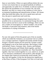than we were before. Where we spent millions before the war, we have now learnt that we can spend hundreds of millions and apparently not suffer for it. Evidently we did not exploit to the utmost the possibilities of our economic life. We look, therefore, not only to a return to the comforts of 1914, but to an immense broadening and intensification of them. All classes alike thus build their plans, the rich to spend more and save less, the poor to spend more and work less.

But perhaps it is only in England (and America) that it is possible to be so unconscious. In continental Europe the earth heaves and no one but is aware of the rumblings. There it is not just a matter of extravagance or "labour troubles"; but of life and death, of starvation and existence, and of the fearful convulsions of a dying civilisation.

For one who spent in Paris the greater part of the six months which succeeded the Armistice, an occasional visit to London was a strange experience. England still stands outside Europe. Europe's voiceless tremors do not reach her. Europe is apart and England is not of her flesh and body. But Europe is solid with herself. France, Germany, Italy, Austria, and Holland, Russia and Roumania and Poland, throb together, and their structure and civilisation are essentially one. They flourished together, they have rocked together in a war, which we, in spite of our enormous contributions and sacrifices, (like though in a less degree than America) economically stood outside, and they may fall together. In this lies the destructive significance of the Peace of Paris. If the European Civil War is to end with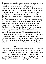France and Italy abusing their momentary victorious power to destroy Germany and Austria-Hungary now prostrate, they invite their own destruction also, being so deeply and inextricably intertwined with their victims by hidden psychic and economic bonds. At any rate an Englishman who took part in the Conference of Paris and was during those months a member of the Supreme Economic Council of the Allied Powers, was bound to become, for him a new experience, a European in his cares and outlook. There, at the nerve centre of the European system, his British preoccupations must largely fall away and he must be haunted by other and more dreadful spectres. Paris was a nightmare, and every one there was morbid. A sense of impending catastrophe overhung the frivolous scene; the futility and smallness of man before the great events confronting him; the mingled significance and unreality of the decisions; levity, blindness, insolence, confused cries from without,—all the elements of ancient tragedy were there. Seated indeed amid the theatrical trappings of the French Saloons of State, one could wonder if the extraordinary visages of Wilson and of Clemenceau, with their fixed hue and unchanging characterisation, were really faces at all and not the tragic-comic masks of some strange drama or puppet-show.

The proceedings of Paris all had this air of extraordinary importance and unimportance at the same time. The decisions seemed charged with consequences to the future of human society; yet the air whispered that the word was not flesh, that it was futile, insignificant, of no effect, dissociated from events; and one felt most strongly the impression, described by Tolstoy in *War and Peace* or by Hardy in *The Dynasts*, of events marching on to their fated conclusion uninfluenced and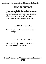unaffected by the cerebrations of Statesmen in Council:

#### **SPIRIT OF THE YEARS**

Observe that all wide sight and self-command Desert these throngs now driven to demonry By the Immanent Unrecking. Nought remains But vindictiveness here amid the strong, And there amid the weak an impotent rage.

#### **SPIRIT OF THE PITIES**

Why prompts the Will so senseless-shaped a doing?

#### **SPIRIT OF THE YEARS**

I have told thee that It works unwittingly, As one possessed, not judging.

### **2. THE CAPACITY OF GERMANY TO PAY REPARATIONS (1919)**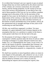It is evident that Germany's pre-war capacity to pay an annual foreign tribute has not been unaffected by the almost total loss of her colonies, her overseas connections, her mercantile marine, and her foreign properties, by the cession of ten per cent of her territory and population, of one-third of her coal and of three-quarters of her iron ore, by two million casualties amongst men in the prime of life, by the starvation of her people for four years, by the burden of a vast war debt, by the depreciation of her currency to less than one-seventh its former value, by the disruption of her allies and their territories, by Revolution at home and Bolshevism on her borders, and by all the unmeasured ruin in strength and hope of four years of allswallowing war and final defeat.

All this, one would have supposed, is evident. Yet most estimates of a great indemnity from Germany depend on the assumption that she is in a position to conduct in the future a vastly greater trade than ever she has had in the past.

For the purpose of arriving at a figure it is of no great consequence whether payment takes the form of cash (or rather of foreign exchange) or is partly effected in kind (coal, dyes, timber, etc.), as contemplated by the Treaty. In any event, it is only by the export of specific commodities that Germany can pay, and the method of turning the value of these exports to account for Reparation purposes is, comparatively, a matter of detail.

We shall lose ourselves in mere hypothesis unless we return in some degree to first principles, and, whenever we can, to such statistics as there are. It is certain that an annual payment can only be made by Germany over a series of years by diminishing her imports and increasing her exports, thus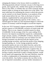enlarging the balance in her favour which is available for effecting payments abroad. Germany can pay in the long run in goods, and in goods only, whether these goods are furnished direct to the Allies, or whether they are sold to neutrals and the neutral credits so arising are then made over to the Allies. The most solid basis for estimating the extent to which this process can be carried is to be found, therefore, in an analysis of her trade returns before the war. Only on the basis of such an analysis, supplemented by some general data as to the aggregate wealth-producing capacity of the country, can a rational guess be made as to the maximum degree to which the exports of Germany could be brought to exceed her imports.

In the year 1913 Germany's imports amounted to £538,000,000 and her exports to £505,000,000, exclusive of transit trade and bullion. That is to say, imports exceeded exports by about £33,000,000. On the average of the five years ending 1913, however, her imports exceeded her exports by a substantially larger amount, namely, £74,000,000. It follows, therefore, that more than the whole of Germany's pre-war balance for new foreign investment was derived from the interest on her existing foreign securities, and from the profits of her shipping, foreign banking, etc. As her foreign properties and her mercantile marine are now to be taken from her, and as her foreign banking and other miscellaneous sources of revenue from abroad have been largely destroyed, it appears that, on the pre-war basis of exports and imports, Germany, so far from having a surplus wherewith to make a foreign payment, would be not nearly self-supporting. Her first task, therefore, must be to effect a readjustment of consumption and production to cover this deficit. Any further economy she can effect in the use of imported commodities, and any further stimulation of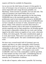exports will then be available for Reparation.

Let us run over the chief items of export: (1) Iron goods. In view of Germany's loss of resources, an increased net export seems impossible and a large decrease probable. (2) Machinery. Some increase is possible. (3) Coal and coke. The value of Germany's net export before the war was £22,000,000; the Allies have agreed that for the time being 20,000,000 tons is the maximum possible export with a problematic (and in fact) impossible increase to 40,000,000 tons at some future time; even on the basis of 20,000,000 tons we have virtually no increase of value, measured in pre-war prices; whilst, if this amount is exacted, there must be a decrease of far greater value in the export of manufactured articles requiring coal for their production. (4) Woollen goods. An increase is impossible without the raw wool, and, having regard to the other claims on supplies of raw wool, a decrease is likely. (5) Cotton goods. The same considerations apply as to wool. (6) Cereals. There never was and never can be a net export. (7) Leather goods. The same considerations apply as to wool.

We have now covered nearly half of Germany's pre-war exports, and there is no other commodity which formerly represented as much as 3 per cent of her exports. In what commodity is she to pay? Dyes?—their total value in 1913 was £10,000,000. Toys? Potash?—1913 exports were worth £3,000,000. And even if the commodities could be specified, in what markets are they to be sold?—remembering that we have in mind goods to the value not of tens of millions annually, but of hundreds of millions.

On the side of imports, rather more is possible. By lowering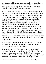the standard of life, an appreciable reduction of expenditure on imported commodities may be possible. But, as we have already seen, many large items are incapable of reduction without reacting on the volume of exports.

Let us put our guess as high as we can without being foolish, and suppose that after a time Germany will be able, in spite of the reduction of her resources, her facilities, her markets, and her productive power, to increase her exports and diminish her imports so as to improve her trade balance altogether by £100,000,000 annually, measured in pre-war prices. This adjustment is first required to liquidate the adverse trade balance, which in the five years before the war averaged £74,000,000; but we will assume that after allowing for this, she is left with a favourable trade balance of £50,000,000 a year. Doubling this to allow for the rise in post-war prices, we have a figure of £100,000,000. Having regard to the political, social, and human factors, as well as to the purely economic, I doubt if Germany could be made to pay this sum annually over a period of 30 years; but it would not be foolish to assert or to hope that she could.

Such a figure, allowing 5 per cent for interest, and 1 per cent for repayment of capital, represents a capital sum having a present value of about £1700 million.

I reach, therefore, the final conclusion that, including all methods of payment—immediately transferable wealth, ceded property, and an annual tribute—£2,000,000,000 is a safe maximum figure of Germany's capacity to pay. In all the actual circumstances, I do not believe that she can pay as much.

There is only one head under which I see a possibility of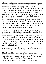adding to the figure reached on the line of argument adopted above; that is, if German labour is actually transported to the devastated areas and there engaged in the work of reconstruction. I have heard that a limited scheme of this kind is actually in view. The additional contribution thus obtainable depends on the number of labourers which the German Government could contrive to maintain in this way and also on the number which, over a period of years, the Belgian and French inhabitants would tolerate in their midst. In any case, it would seem very difficult to employ on the actual work of reconstruction, even over a number of years, imported labour having a net present value exceeding (say) £250,000,000; and even this would not prove in practice a net addition to the annual contributions obtainable in other ways.

A capacity of £8,000,000,000 or even of £5,000,000,000 is, therefore, not within the limits of reasonable possibility. It is for those who believe that Germany can make an annual payment amounting to hundreds of millions sterling to say *in what specific commodities* they intend this payment to be made, and *in what markets* the goods are to be sold. Until they proceed to some degree of detail, and are able to produce some tangible argument in favour of their conclusions, they do not deserve to be believed.

I make three provisos only, none of which affect the force of my argument for immediate practical purposes.

*First*: If the Allies were to "nurse" the trade and industry of Germany for a period of five or ten years, supplying her with large loans, and with ample shipping, food, and raw materials during that period, building up markets for her, and deliberately applying all their resources and goodwill to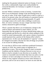making her the greatest industrial nation in Europe, if not in the world, a substantially larger sum could probably be extracted thereafter; for Germany is capable of very great productivity.

*Second*: Whilst I estimate in terms of money, I assume that there is no revolutionary change in the purchasing power of our unit of value. If the value of gold were to sink to a half or a tenth of its present value, the real burden of a payment fixed in terms of gold would be reduced proportionately. If a gold sovereign comes to be worth what a shilling is worth now, then, of course, Germany can pay a larger sum than I have named, measured in gold sovereigns.

*Third*: I assume that there is no revolutionary change in the yield of Nature and material to man's labour. It is not *impossible* that the progress of science should bring within our reach methods and devices by which the whole standard of life would be raised immeasurably, and a given volume of products would represent but a portion of the human effort which it represents now. In this case all standards of "capacity" would be changed everywhere. But the fact that all things are *possible* is no excuse for talking foolishly.

It is true that in 1870 no man could have predicted Germany's capacity in 1910. We cannot expect to legislate for a generation or more. The secular changes in man's economic condition and the liability of human forecast to error are as likely to lead to mistake in one direction as in another. We cannot as reasonable men do better than base our policy on the evidence we have and adapt it to the five or ten years over which we may suppose ourselves to have some measure of prevision; and we are not at fault if we leave on one side the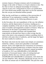extreme chances of human existence and of revolutionary changes in the order of Nature or of man's relations to her. The fact that we have no adequate knowledge of Germany's capacity to pay over a long period of years is no justification (as I have heard some people claim that it is) for the statement that she can pay ten thousand million pounds.

Why has the world been so credulous of the unveracities of politicians? If an explanation is needed, I attribute this particular credulity to the following influences in part.

In the first place, the vast expenditures of the war, the inflation of prices, and the depreciation of currency, leading up to a complete instability of the unit of value, have made us lose all sense of number and magnitude in matters of finance. What we believed to be the limits of possibility have been so enormously exceeded, and those who founded their expectations on the past have been so often wrong, that the man in the street is now prepared to believe anything which is told him with some show of authority, and the larger the figure the more readily he swallows it.

But those who look into the matter more deeply are sometimes misled by a fallacy, much more plausible to reasonable persons. Such a one might base his conclusions on Germany's total surplus of annual productivity as distinct from her export surplus. Helfferich's estimate of Germany's annual increment of wealth in 1913 was £400,000,000 to £425,000,000 (exclusive of increased money value of existing land and property). Before the war, Germany spent between £50,000,000 and £100,000,000 on armaments, with which she can now dispense. Why, therefore, should she not pay over to the Allies an annual sum of £500,000,000? This puts the crude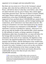argument in its strongest and most plausible form.

But there are two errors in it. First of all, Germany's [an](#page-26-0)nual savings, after what she has suffered in the war and by the Peace, will fall far short of what they were before, and, if they are taken from her year by year in future, they cannot again reach their previous level. The loss of Alsace-Lorraine, Poland, and Upper Silesia could not be assessed in terms of surplus productivity at less than £50,000,000 annually. Germany is supposed to have profited about £100,000,000 per annum from her ships, her foreign investments, and her foreign banking and connections, all of which have now been taken from her. Her saving on armaments is far more than balanced by her annual charge for pensions now estimated at £250,000,000,<sup>[2]</sup> which represents a real loss of productive capacity. And even if we put on one side the burden of the internal debt, which amounts to 240 milliards of marks, as being a question of internal distribution rather than of productivity, we must still allow for the foreign debt incurred by Germany during the war, the exhaustion of her stock of raw materials, the depletion of her live-stock, the impaired productivity of her soil from lack of manures and of labour, and the diminution in her wealth from the failure to keep up many repairs and renewals over a period of nearly five years. Germany is not as rich as she was before the war, and the diminution in her future savings for these reasons, quite apart from the factors previously allowed for, could hardly be put at less than ten per cent, that is £40,000,000 annually.

> <span id="page-26-0"></span>[2] The conversion at par of 5000 million marks overstates by reason of the existing depreciation of the mark, the present money burden of the actual pensions payments, but not, in all probability, the real loss of national productivity as a result of the casualties suffered in the war.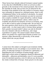These factors have already reduced Germany's annual surplus to less than the £100,000,000 at which we arrived on other grounds as the maximum of her annual payments. But even if the rejoinder be made, that we have not yet allowed for the lowering of the standard of life and comfort in Germany which may reasonably be imposed on a defeated enemy, there is still a fundamental fallacy in the method of calculation. An annual surplus available for home investment can only be converted into a surplus available for export abroad by a radical change in the kind of work performed. Labour, while it may be available and efficient for domestic services in Germany, may yet be able to find no outlet in foreign trade. We are back on the same question which faced us in our examination of the export trade—in *what* export trade is German labour going to find a greatly increased outlet? Labour can only be diverted into new channels with loss of efficiency, and a large expenditure of capital. The annual surplus which German labour can produce for capital improvements at home is no measure, either theoretically or practically, of the annual tribute which she can pay abroad.

I cannot leave this subject as though its just treatment wholly depended either on our own pledges or on economic facts. The policy of reducing Germany to servitude for a generation, of degrading the lives of millions of human beings, and of depriving a whole nation of happiness should be abhorrent and detestable,—abhorrent and detestable, even if it were possible, even if it enriched ourselves, even if it did not sow the decay of the whole civilised life of Europe. Some preach it in the name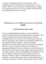of Justice. In the great events of man's history, in the unwinding of the complex fates of nations Justice is not so simple. And if it were, nations are not authorised, by religion or by natural morals, to visit on the children of their enemies the misdoings of parents or of rulers.

## **3. PROPOSALS FOR THE RECONSTRUCTION OF EUROPE (1919)**

### **(i)** *The Revision of the Treaty*

Are any constitutional means open to us for altering the Treaty? President Wilson and General Smuts, who believe that to have secured the Covenant of the League of Nations outweighs much evil in the rest of the Treaty, have indicated that we must look to the League for the gradual evolution of a more tolerable life for Europe. "There are territorial settlements," General Smuts wrote in his statement on signing the Peace Treaty, "which will need revision. There are guarantees laid down which we all hope will soon be found out of harmony with the new peaceful temper and unarmed state of our former enemies. There are punishments foreshadowed over most of which a calmer mood may yet prefer to pass the sponge of oblivion. There are indemnities stipulated which cannot be exacted without grave injury to the industrial revival of Europe, and which it will be in the interests of all to render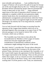more tolerable and moderate. . . . I am confident that the League of Nations will yet prove the path of escape for Europe out of the ruin brought about by this war." Without the League, President Wilson informed the Senate when he presented the Treaty to them early in July 1919, ". . . long-continued supervision of the task of reparation which Germany was to undertake to complete within the next generation might entirely break down; the reconsideration and revision of administrative arrangements and restrictions which the Treaty prescribed, but which it recognised might not provide lasting advantage or be entirely fair if too long enforced, would be impracticable."

Can we look forward with fair hopes to securing from the operation of the League those benefits which two of its principal begetters thus encourage us to expect from it? The relevant passage is to be found in Article XIX. of the Covenant, which runs as follows:

The Assembly may from time to time advise the reconsideration by Members of the League of treaties which have become inapplicable and the consideration of international conditions whose continuance might endanger the peace of the world.

But alas! Article V. provides that "Except where otherwise expressly provided in this Covenant or by the terms of the present Treaty, decisions at any meeting of the Assembly or of the Council shall require the agreement of all the Members of the League represented at the meeting." Does not this provision reduce the League, so far as concerns an early reconsideration of any of the terms of the Peace Treaty, into a body merely for wasting time? If all the parties to the Treaty are unanimously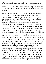of opinion that it requires alteration in a particular sense, it does not need a League and a Covenant to put the business through. Even when the Assembly of the League is unanimous it can only "advise" reconsideration by the members specially affected.

But the League will operate, say its supporters, by its influence on the public opinion of the world, and the view of the majority will carry decisive weight in practice, even though constitutionally it is of no effect. Let us pray that this be so. Yet the League in the hands of the trained European diplomatist may become an unequalled instrument for obstruction and delay. The revision of Treaties is entrusted primarily, not to the Council, which meets frequently, but to the Assembly, which will meet more rarely and must become, as any one with an experience of large Inter-Ally Conferences must know, an unwieldy polyglot debating society in which the greatest resolution and the best management may fail altogether to bring issues to a head against an opposition in favour of the *status quo*. There are indeed two disastrous blots on the Covenant,—Article V., which prescribes unanimity, and the much-criticised Article X., by which "The Members of the League undertake to respect and preserve as against external aggression the territorial integrity and existing political independence of all Members of the League." These two Articles together go some way to destroy the conception of the League as an instrument of progress, and to equip it from the outset with an almost fatal bias towards the *status quo*. It is these Articles which have reconciled to the League some of its original opponents, who now hope to make of it another Holy Alliance for the perpetuation of the economic ruin of their enemies and the Balance of Power in their own interests which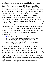they believe themselves to have established by the Peace.

But while it would be wrong and foolish to conceal from ourselves in the interests of "idealism" the real difficulties of the position in the special matter of revising treaties, that is no reason for any of us to decry the League, which the wisdom of the world may yet transform into a powerful instrument of peace, and which in Articles XI.-XVII.<sup>[3]</sup> has already accomplished a great and beneficent achievement. I agree, therefore, that our first efforts for the Revision of the Treaty must be made through the League rather than in any other way, in the hope that the force of general opinion, and if necessary, the use of financial pressure and financial inducements, may be enough to prevent a recalcitrant minority from exercising their right of veto. We must trust the new Governments, whose existence I premise in the principal Allied countries, to show a profounder wisdom and a greater magnanimity than their predecessors.

[3] These Articles, which provide safeguards against the outbreak of war between members of the League and also between members and non-members, are the solid achievement of the Covenant. These Articles make substantially less probable a war between organised Great Powers such as that of 1914. This alone should commend the League to all men.

I do not intend to enter here into details, or to attempt a revision of the Treaty clause by clause. I limit myself to three great changes which are necessary for the economic life of Europe, relating to Reparation, to Coal and Iron, and to Tariffs.

*Reparation.*—If the sum demanded for Reparation is less than what the Allies are entitled to on a strict interpretation of their engagements, it is unnecessary to particularise the items it represents or to hear arguments about its compilation. I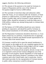suggest, therefore, the following settlement:

(1) The amount of the payment to be made by Germany in respect of Reparation and the costs of the Armies of Occupation might be fixed at £2000 million.

(2) The surrender of merchant ships and submarine cables under the Treaty, of war material under the Armistice, of State property in ceded territory, of claims against such territory in respect of public debt, and of Germany's claims against her former Allies, should be reckoned as worth the lump sum of £500 million, without any attempt being made to evaluate them item by item.

(3) The balance of £1500 million should not carry interest pending its repayment, and should be paid by Germany in thirty annual instalments of £50 million, beginning in 1923.

(4) The Reparation Commission should be dissolved, or, if any duties remain for it to perform, it should become an appanage of the League of Nations and should include representatives of Germany and of the neutral States.

(5) Germany would be left to meet the annual instalments in such manner as she might see fit, any complaint against her for non-fulfilment of her obligations being lodged with the League of Nations. That is to say, there would be no further expropriation of German private property abroad, except so far as is required to meet private German obligations out of the proceeds of such property already liquidated or in the hands of Public Trustees and Enemy-Property Custodians in the Allied countries and in the United States; and, in particular, Article 260 (which provides for the expropriation of German interests in public utility enterprises) would be abrogated.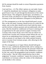(6) No attempt should be made to extract Reparation payments from Austria.

*Coal and Iron.*—(1) The Allies' options on coal under Annex V. should be abandoned, but Germany's obligation to make good France's loss of coal through the destruction of her mines should remain. This obligation should lapse, nevertheless, in the event of the coal districts of Upper Silesia being taken from Germany in the final settlement consequent on the plebiscite.

(2) The arrangement as to the Saar should hold good, except that, on the one hand, Germany should receive no credit for the mines, and, on the other should receive back both the mines and the territory without payment and unconditionally after ten years. But this should be conditional on France's entering into an agreement for the same period to supply Germany from Lorraine with at least 50 per cent of the iron ore which was carried from Lorraine into Germany proper before the war, in return for an undertaking from Germany to supply Lorraine with an amount of coal equal to the whole amount formerly sent to Lorraine from Germany proper, after allowing for the output of the Saar.

(3) The arrangement as to Upper Silesia should hold good. That is to say, a plebiscite should be held, and in coming to a final decision "regard will be paid (by the principal Allied and Associated Powers) to the wishes of the inhabitants as shown by the vote, and to the geographical and economic conditions of the locality." But the Allies should declare that in their judgement "economic conditions" require the inclusion of the coal districts in Germany unless the wishes of the inhabitants are decidedly to the contrary.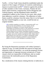Tariffs.—A Free Trade Union should be established under the auspices of the League of Nations of countries undertaking to impose no protectionist tariffs<sup>[4]</sup> whatever against the produce of other members of the Union. Germany, Poland, the new States which formerly composed the Austro-Hungarian and Turkish Empires, and the Mandated States should be compelled to adhere to this Union for ten years, after which time adherence would be voluntary. The adherence of other States would be voluntary from the outset. But it is to be hoped that the United Kingdom, at any rate, would become an original member.

[4] It would be expedient so to define a "protectionist tariff" as to permit (*a*) the total prohibition of certain imports; (*b*) the imposition of sumptuary or revenue customs duties on commodities not produced at home; (*c*) the imposition of customs duties which did not exceed by more than five per cent a countervailing excise on similar commodities produced at home; (*d*) export duties. Further, special exceptions might be permitted by a majority vote of the countries entering the Union. Duties which had existed for five years prior to a country's entering the Union might be allowed to disappear gradually by equal instalments spread over the five years subsequent to joining the Union.

By fixing the Reparation payments well within Germany's capacity to pay, we make possible the renewal of hope and enterprise within her territory, we avoid the perpetual friction and opportunity of improper pressure arising out of Treaty clauses which are impossible of fulfilment, and we render unnecessary the intolerable powers of the Reparation Commission.

By a moderation of the clauses relating directly or indirectly to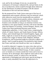coal, and by the exchange of iron ore, we permit the continuance of Germany's industrial life, and put limits on the loss of productivity which would be brought about otherwise by the interference of political frontiers with the natural localisation of the iron and steel industry.

By the proposed Free Trade Union some part of the loss of organisation and economic efficiency may be retrieved, which must otherwise result from the innumerable new political frontiers now created between greedy, jealous, immature, and economically incomplete, nationalist States. Economic frontiers were tolerable so long as an immense territory was included in a few great Empires; but they will not be tolerable when the Empires of Germany, Austria-Hungary, Russia, and Turkey have been partitioned between some twenty independent authorities. A Free Trade Union, comprising the whole of Central, Eastern, and South-Eastern Europe, Siberia, Turkey, and (I should hope) the United Kingdom, Egypt, and India, might do as much for the peace and prosperity of the world as the League of Nations itself. Belgium, Holland, Scandinavia, and Switzerland might be expected to adhere to it shortly. And it would be greatly to be desired by their friends that France and Italy also should see their way to adhesion.

It would be objected, I suppose, by some critics that such an arrangement might go some way in effect towards realising the former German dream of Mittel-Europa. If other countries were so foolish as to remain outside the Union and to leave to Germany all its advantages, there might be some truth in this. But an economic system, to which every one had the opportunity of belonging and which gave special privilege to none, is surely absolutely free from the objections of a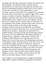privileged and avowedly imperialistic scheme of exclusion and discrimination. Our attitude to these criticisms must be determined by our whole moral and emotional reaction to the future of international relations and the Peace of the World. If we take the view that for at least a generation to come Germany cannot be trusted with even a modicum of prosperity, that while all our recent Allies are angels of light, all our recent enemies, Germans, Austrians, Hungarians, and the rest, are children of the devil, that year by year Germany must be kept impoverished and her children starved and crippled, and that she must be ringed round by enemies; then we shall reject all the proposals of this chapter, and particularly those which may assist Germany to regain a part of her former material prosperity and find a means of livelihood for the industrial population of her towns. But if this view of nations and of their relation to one another is adopted by the democracies of Western Europe, and is financed by the United States, heaven help us all. If we aim deliberately at the impoverishment of Central Europe, vengeance, I dare predict, will not limp. Nothing can then delay for very long that final civil war between the forces of Reaction and the despairing convulsions of Revolution, before which the horrors of the late German war will fade into nothing, and which will destroy, whoever is victor, the civilisation and the progress of our generation. Even though the result disappoint us, must we not base our actions on better expectations, and believe that the prosperity and happiness of one country promotes that of others, that the solidarity of man is not a fiction, and that nations can still afford to treat other nations as fellow-creatures?

Such changes as I have proposed above might do something appreciable to enable the industrial populations of Europe to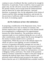continue to earn a livelihood. But they would not be enough by themselves. In particular, France would be a loser on paper (on paper only, for she will never secure the actual fulfilment of her present claims), and an escape from her embarrassments must be shown her in some other direction. I proceed, therefore, to proposals, first, for the adjustment of the claims of America and the Allies amongst themselves; and second, for the provision of sufficient credit to enable Europe to re-create her stock of circulating capital.

#### **(ii)** *The Settlement of Inter-Ally Indebtedness*

In proposing a modification of the Reparation terms, I have considered them so far only in relation to Germany. But fairness requires that so great a reduction in the amount should be accompanied by a readjustment of its apportionment between the Allies themselves. The professions which our statesmen made on every platform during the war, as well as other considerations, surely require that the areas damaged by the enemy's invasion should receive a priority of compensation. While this was one of the ultimate objects for which we said we were fighting, we never included the recovery of separation allowances amongst our war aims. I suggest, therefore, that we should by our acts prove ourselves sincere and trustworthy, and that accordingly Great Britain should waive altogether her claims for cash payment, in favour of Belgium, Serbia, and France. The whole of the payments made by Germany would then be subject to the prior charge of repairing the material injury done to those countries and provinces which suffered actual invasion by the enemy; and I believe that the sum of £1,500,000,000 thus available would be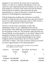adequate to cover entirely the actual costs of restoration. Further, it is only by a complete subordination of her own claims for cash compensation that Great Britain can ask with clean hands for a revision of the Treaty and clear her honour from the breach of faith for which she bears the main responsibility, as a result of the policy to which the General Election of 1918 pledged her representatives.

With the Reparation problem thus cleared up it would be possible to bring forward with a better grace and more hope of success two other financial proposals, each of [whic](#page-38-0)h involves an appeal to the generosity of the United States.

<span id="page-38-0"></span>The first is for the entire cancellation of Inter-Ally indebtedness (that is to say, indebtedness between the Governments of the Allied and Associated countries) incurred for the purposes of the war. This proposal, which has been put forward already in certain quarters, is one which I believe to be absolutely essential to the future prosperity of the world. It would be an act of far-seeing statesmanship for the United Kingdom and the United States, the two Powers chiefly concerned, to adopt it. The sums of money which are involved are shown approximately in the following table:<sup>[5]</sup>

[5] The figures in this table are partly estimated, and are probably not completely accurate in detail.

| Loans to | By United               | By United By France   |                             | To        |
|----------|-------------------------|-----------------------|-----------------------------|-----------|
|          | <b>States</b>           | Kingdom               |                             |           |
|          |                         |                       |                             |           |
| United   |                         |                       |                             |           |
|          | Kingdom 842,000,000     | $\bullet\quad\bullet$ | $\ddot{\phantom{a}}$        | 842,000   |
| France   | 550,000,000 508,000,000 |                       | $\bullet$ $\quad$ $\bullet$ | 1,058,000 |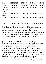| Italy          | 325,000,000                                       | 467,000,000 | 35,000,000  | 827,000 |
|----------------|---------------------------------------------------|-------------|-------------|---------|
| Russia         | 38,000,000                                        | 568,000,000 | 160,000,000 | 766,000 |
| <b>Belgium</b> | 80,000,000                                        | 98,000,000  | 90,000,000  | 268,000 |
| Serbia and     |                                                   |             |             |         |
| Jugo-          |                                                   |             |             |         |
| Slavia         | 20,000,000                                        | 20,000,000  | 20,000,000  | 60,000  |
| Other          |                                                   |             |             |         |
| <b>Allies</b>  | 35,000,000                                        | 79,000,000  | 50,000,000  | 164,000 |
|                |                                                   |             |             |         |
|                |                                                   |             |             |         |
| <b>Total</b>   | 1,900,000,000 1,740,000,000 355,000,000 3,995,000 |             |             |         |

Thus the total volume of Inter-Ally indebtedness, assuming that loans from one Ally are not set off against loans to another, is nearly £4,000,000,000. The United States is a lender only. The United Kingdom has lent about twice as much as she has borrowed. France has borrowed about three times as much as she has lent. The other Allies have been borrowers only.

If all the above Inter-Ally indebtedness were mutually forgiven, the net result on paper (i.e. assuming all the loans to be good) would be a surrender by the United States of about £2,000,000,000 and by the United Kingdom of about £900,000,000. France would gain about £700,000,000 and Italy about £800,000,000. But these figures overstate the loss to the United Kingdom and understate the gain to France; for a large part of the loans made by both these countries has been to Russia and cannot, by any stretch of imagination, be considered good. If the loans which the United Kingdom has made to her Allies are reckoned to be worth 50 per cent of their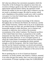full value (an arbitrary but convenient assumption which the Chancellor of the Exchequer has adopted on more than one occasion as being as good as any other for the purposes of an approximate national balance sheet), the operation would involve her neither in loss nor in gain. But in whatever way the net result is calculated on paper, the relief in anxiety which such a liquidation of the position would carry with it would be very great. It is from the United States, therefore, that the proposal asks generosity.

Speaking with a very intimate knowledge of the relations throughout the war between the British, the American, and the other Allied Treasuries, I believe this to be an act of generosity for which Europe can fairly ask, provided Europe is making an honourable attempt in other directions, not to continue war, economic or otherwise, but to achieve the economic reconstitution of the whole Continent. The financial sacrifices of the United States have been, in proportion to her wealth, immensely less than those of the European States. This could hardly have been otherwise. It was a European quarrel, in which the United States Government could not have justified itself before its citizens in expending the whole national strength, as did the Europeans. After the United States came into the war her financial assistance was lavish and unstinted, and without this assistance the Allies could never have won the war, quite apart from the decisive influence of the arrival of the American troops.

But in speaking thus as we do of American financial assistance, we tacitly assume, and America, I believe, assumed it too when she gave the money, that it was not in the nature of an investment. If Europe is going to repay the £2,000,000,000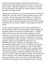worth of financial assistance which she has had from the United States with compound interest at 5 per cent, the matter takes on quite a different complexion. If America's advances are to be regarded in this light, her relative financial sacrifice has been very slight indeed.

Failing such a settlement as is now proposed, the war will have ended with a network of heavy tribute payable from one Ally to another. The total amount of this tribute is even likely to exceed the amount obtainable from the enemy; and the war will have ended with the intolerable result of the Allies paying indemnities to one another instead of receiving them from the enemy.

For this reason the question of Inter-Allied indebtedness is closely bound up with the intense popular feeling amongst the European Allies on the question of indemnities,—a feeling which is based, not on any reasonable calculation of what Germany can, in fact, pay, but on a well-founded appreciation of the unbearable financial situation in which these countries will find themselves unless she pays. Take Italy as an extreme example. If Italy can reasonably be expected to pay £800,000,000, surely Germany can and ought to pay an immeasurably higher figure. Or if it is decided (as it must be) that Austria can pay next to nothing, is it not an intolerable conclusion that Italy should be loaded with a crushing tribute, while Austria escapes? Or, to put it slightly differently, how can Italy be expected to submit to payment of this great sum and see Czecho-Slovakia pay little or nothing? At the other end of the scale there is the United Kingdom. Here the financial position is different, since to ask us to pay £800,000,000 is a very different proposition from asking Italy to pay it. But the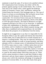sentiment is much the same. If we have to be satisfied without full compensation from Germany, how bitter will be the protests against paying it to the United States. We, it will be said, have to be content with a claim against the bankrupt estates of Germany, France, Italy, and Russia, whereas the United States has secured a first mortgage upon us. The case of France is at least as overwhelming. She can barely secure from Germany the full measure of the destruction of her countryside. Yet victorious France must pay her friends and Allies more than four times the indemnity which in the defeat of 1870 she paid Germany. The hand of Bismarck was light compared with that of an Ally or of an Associate. A settlement of Inter-Ally indebtedness is, therefore, an indispensable preliminary to the peoples of the Allied countries facing, with other than a maddened and exasperated heart, the inevitable truth about the prospects of an indemnity from the enemy.

It might be an exaggeration to say that it is impossible for the European Allies to pay the capital and interest due from them on these debts, but to make them do so would certainly be to impose a crushing burden. They may be expected, therefore, to make constant attempts to evade or escape payment, and these attempts will be a constant source of international friction and ill-will for many years to come. A debtor nation does not love its creditor, and it is fruitless to expect feelings of goodwill from France, Italy, and Russia towards this country or towards America, if their future development is stifled for many years to come by the annual tribute which they must pay us. There will be a great incentive to them to seek their friends in other directions, and any future rupture of peaceable relations will always carry with it the enormous advantage of escaping the payment of external debts. If, on the other hand, these great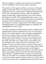debts are forgiven, a stimulus will be given to the solidarity and true friendliness of the nations lately associated.

The existence of the great war debts is a menace to financial stability everywhere. There is no European country in which repudiation may not soon become an important political issue. In the case of internal debt, however, there are interested parties on both sides, and the question is one of the internal distribution of wealth. With external debts this is not so, and the creditor nations may soon find their interest inconveniently bound up with the maintenance of a particular type of government or economic organisation in the debtor countries. Entangling alliances or entangling leagues are nothing to the entanglements of cash owing.

The final consideration influencing the reader's attitude to this proposal must, however, depend on his view as to the future place in the world's progress of the vast paper entanglements which are our legacy from war finance both at home and abroad. The war has ended with every one owing every one else immense sums of money. Germany owes a large sum to the Allies; the Allies owe a large sum to Great Britain; and Great Britain owes a large sum to the United States. The holders of war loan in every country are owed a large sum by the State; and the State in its turn is owed a large sum by these and other taxpayers. The whole position is in the highest degree artificial, misleading, and vexatious. We shall never be able to move again, unless we can free our limbs from these paper shackles. A general bonfire is so great a necessity that unless we can make of it an orderly and good-tempered affair in which no serious injustice is done to any one, it will, when it comes at last, grow into a conflagration that may destroy much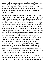else as well. As regards internal debt, I am one of those who believe that a capital levy for the extinction of debt is an absolute pre-requisite of sound finance in every one of the European belligerent countries. But the continuance on a huge scale of indebtedness between Governments has special dangers of its own.

Before the middle of the nineteenth century no nation owed payments to a foreign nation on any considerable scale, except such tributes as were exacted under the compulsion of actual occupation in force and, at one time, by absentee princes under the sanctions of feudalism. It is true that the need for European capitalism to find an outlet in the New World has led during the past fifty years, though even now on a relatively modest scale, to such countries as Argentine owing an annual sum to such countries as England. But the system is fragile; and it has only survived because its burden on the paying countries has not so far been oppressive, because this burden is represented by real assets and is bound up with the property system generally, and because the sums already lent are not unduly large in relation to those which it is still hoped to borrow. Bankers are used to this system, and believe it to be a necessary part of the permanent order of society. They are disposed to believe, therefore, by analogy with it, that a comparable system between Governments, on a far vaster and definitely oppressive scale, represented by no real assets, and less closely associated with the property system, is natural and reasonable and in conformity with human nature.

I doubt this view of the world. Even capitalism at home, which engages many local sympathies, which plays a real part in the daily process of production, and upon the security of which the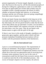present organisation of Society largely depends, is not very safe. But however this may be, will the discontented peoples of Europe be willing for a generation to come so to order their lives that an appreciable part of their daily produce may be available to meet a foreign payment, the reason of which, whether as between Europe and America, or as between Germany and the rest of Europe, does not spring compellingly from their sense of justice or duty?

On the one hand, Europe must depend in the long run on her own daily labour and not on the largesse of America; but, on the other hand, she will not pinch herself in order that the fruit of her daily labour may go elsewhere. In short, I do not believe that any of these tributes will continue to be paid, at the best, for more than a very few years. They do not square with human nature or agree with the spirit of the age.

If there is any force in this mode of thought, expediency and generosity agree together, and the policy which will best promote immediate friendship between nations will not conflict with the permanent interests of the benefactors.

#### **(iii)** *An International Loan*

I pass to a second financial proposal. The requirements of Europe are *immediate*. The prospect of being relieved of oppressive interest payments to England and America over the whole life of the next two generations (and of receiving from Germany some assistance year by year to the costs of restoration) would free the future from excessive anxiety. But it would not meet the ills of the immediate present,—the excess of Europe's imports over her exports, the adverse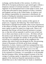exchange, and the disorder of the currency. It will be very difficult for European production to get started again without a temporary measure of external assistance. I am therefore a supporter of an international loan in some shape or form, such as has been advocated in many quarters in France, Germany, and England, and also in the United States. In whatever way the ultimate responsibility for repayment is distributed, the burden of finding the immediate resources must inevitably fall in major part upon the United States.

The chief objections to all the varieties of this species of project are, I suppose, the following. The United States is disinclined to entangle herself further (after recent experiences) in the affairs of Europe, and, anyhow, has for the time being no more capital to spare for export on a large scale. There is no guarantee that Europe will put financial assistance to proper use, or that she will not squander it and be in just as bad case two or three years hence as she is in now;—M. Klotz will use the money to put off the day of taxation a little longer, Italy and Jugo-Slavia will fight one another on the proceeds, Poland will devote it to fulfilling towards all her neighbours the military rôle which France has designed for her, the governing classes of Roumania will divide up the booty amongst themselves. In short, America would have postponed her own capital developments and raised her own cost of living in order that Europe might continue for another year or two the practices, the policy, and the men of the past nine months. And as for assistance to Germany, is it reasonable or at all tolerable that the European Allies, having stripped Germany of her last vestige of working capital, in opposition to the arguments and appeals of the American financial representatives at Paris, should then turn to the United States for funds to rehabilitate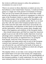the victim in sufficient measure to allow the spoliation to recommence in a year or two?

There is no answer to these objections as matters are now. If I had influence at the United States Treasury, I would not lend a penny to a single one of the present Governments of Europe. They are not to be trusted with resources which they would devote to the furtherance of policies in repugnance to which, in spite of the President's failure to assert either the might or the ideals of the people of the United States, the Republican and the Democratic parties are probably united. But if, as we must pray they will, the souls of the European peoples turn away this winter from the false idols which have survived the war that created them, and substitute in their hearts for the hatred and the nationalism, which now possess them, thoughts and hopes of the happiness and solidarity of the European family, —then should natural piety and filial love impel the American people to put on one side all the smaller objections of private advantage and to complete the work that they began in saving Europe from the tyranny of organised force, by saving her from herself. And even if the conversion is not fully accomplished, and some parties only in each of the European countries have espoused a policy of reconciliation, America can still point the way and hold up the hands of the party of peace by having a plan and a condition on which she will give her aid to the work of renewing life.

The impulse which, we are told, is now strong in the mind of the United States to be quit of the turmoil, the complication, the violence, the expense, and, above all, the unintelligibility of the European problems, is easily understood. No one can feel more intensely than the writer how natural it is to retort to the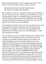folly and impracticability of the European statesmen,—Rot, then, in your own malice, and we will go our way—

Remote from Europe; from her blasted hopes; Her fields of carnage, and polluted air.

But if America recalls for a moment what Europe has meant to her and still means to her, what Europe, the mother of art and of knowledge, in spite of everything, still is and still will be, will she not reject these counsels of indifference and isolation, and interest herself in what may prove decisive issues for the progress and civilisation of all mankind?

Assuming then, if only to keep our hopes up, that America will be prepared to contribute to the process of building up the good forces of Europe, and will not, having completed the destruction of an enemy, leave us to our misfortunes,—what form should her aid take?

I do not propose to enter on details. But the main outlines of all schemes for an international loan are much the same. The countries in a position to lend assistance, the neutrals, the United Kingdom, and, for the greater portion of the sum required, the United States, must provide foreign purchasing credits for all the belligerent countries of continental Europe, allied and ex-enemy alike. The aggregate sum required might not be so large as is sometimes supposed. Much might be done, perhaps, with a fund of £200,000,000 in the first instance. This sum, even if a precedent of a different kind had been established by the cancellation of Inter-Ally War Debt, should be lent and should be borrowed with the unequivocal intention of its being repaid in full. With this object in view, the security for the loan should be the best obtainable, and the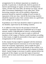arrangements for its ultimate repayment as complete as possible. In particular, it should rank, both for payment of interest and discharge of capital, in front of all Reparation claims, all Inter-Ally War Debt, all internal war loans, and all other Government indebtedness of any other kind. Those borrowing countries who will be entitled to Reparation payments should be required to pledge all such receipts to repayment of the new loan. And all the borrowing countries should be required to place their customs duties on a gold basis and to pledge such receipts to its service.

Expenditure out of the loan should be subject to general, but not detailed, supervision by the lending countries.

If, in addition to this loan for the purchase of food and materials, a guarantee fund were established up to an equal amount, namely £200,000,000 (of which it would probably prove necessary to find only a part in cash), to which all members of the League of Nations would contribute according to their means, it might be practicable to base upon it a general reorganisation of the currency.

In this manner Europe might be equipped with the minimum amount of liquid resources necessary to revive her hopes, to renew her economic organisation, and to enable her great intrinsic wealth to function for the benefit of her workers. It is useless at the present time to elaborate such schemes in further detail. A great change is necessary in public opinion before the proposals of this chapter can enter the region of practical politics, and we must await the progress of events as patiently as we can.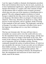I see few signs of sudden or dramatic developments anywhere. Riots and revolutions there may be, but not such, at present, as to have fundamental significance. Against political tyranny and injustice Revolution is a weapon. But what counsels of hope can Revolution offer to sufferers from economic privation, which does not arise out of the injustices of distribution but is general? The only safeguard against revolution in Central Europe is indeed the fact that, even to the minds of men who are desperate, Revolution offers no prospect of improvement whatever. There may, therefore, be ahead of us a long, silent process of semi-starvation, and of a gradual, steady lowering of the standards of life and comfort. The bankruptcy and decay of Europe, if we allow it to proceed, will affect every one in the long-run, but perhaps not in a way that is striking or immediate.

This has one fortunate side. We may still have time to reconsider our courses and to view the world with new eyes. For the immediate future events are taking charge, and the near destiny of Europe is no longer in the hands of any man. The events of the coming year will not be shaped by the deliberate acts of statesmen, but by the hidden currents, flowing continually beneath the surface of political history, of which no one can predict the outcome. In one way only can we influence these hidden currents,—by setting in motion those forces of instruction and imagination which change *opinion*. The assertion of truth, the unveiling of illusion, the dissipation of hate, the enlargement and instruction of men's hearts and minds, must be the means.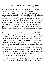# **4. THE CHANGE OF OPINION (1921)**

It is the method of modern statesmen to talk as much folly as the public demand and to practise no more of it than is compatible with what they have said, trusting that such folly in action as must wait on folly in word will soon disclose itself as such, and furnish an opportunity for slipping back into wisdom,—the Montessori system for the child, the Public. He who contradicts this child will soon give place to other tutors. Praise, therefore, the beauty of the flames he wishes to touch, the music of the breaking toy; even urge him forward; yet waiting with vigilant care, the wise and kindly saviour of Society, for the right moment to snatch him back, just singed and now attentive.

I can conceive for this terrifying statesmanship a plausible defence. Mr. Lloyd George took the responsibility for a Treaty of Peace, which was not wise, which was partly impossible, and which endangered the life of Europe. He may defend himself by saying that he knew that it was not wise and was partly impossible and endangered the life of Europe; but that public passions and public ignorance play a part in the world of which he who aspires to lead a democracy must take account; that the Peace of Versailles was the best momentary settlement which the demands of the mob and the characters of the chief actors conjoined to permit; and for the life of Europe, that he has spent his skill and strength for two years in avoiding or moderating the dangers.

Such claims would be partly true and cannot be brushed away. The private history of the Peace Conference, as it has been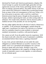disclosed by French and American participators, displays Mr. Lloyd George in a partly favourable light, generally striving against the excesses of the Treaty and doing what he could, short of risking a personal defeat. The public history of the two years which have followed it exhibit him as protecting Europe from as many of the evil consequences of his own Treaty, as it lay in his power to prevent, with a craft few could have bettered, preserving the peace, though not the prosperity, of Europe, seldom expressing the truth, yet often acting under its influence. He would claim, therefore, that by devious paths, a faithful servant of the possible, he was serving Man.

He may judge rightly that this is the best of which a democracy is capable—to be jockeyed, humbugged, cajoled along the right road. A preference for truth or for sincerity *as a method* may be a prejudice based on some aesthetic or personal standard, inconsistent, in politics, with practical good.

We cannot yet tell. Even the public learns by experience. Will the charm work still, when the stock of statesmen's credibility, accumulated before these times, is getting exhausted?

In any event, private individuals are not under the same obligation as Cabinet Ministers to sacrifice veracity to the public weal. It is a permitted self-indulgence for a private person to speak and write freely. Perhaps it may even contribute one ingredient to the congeries of things which the wands of statesmen cause to work together, so marvellously, for our ultimate good.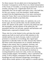For these reasons I do not admit error in having based *The Economic Consequences of the Peace* on a literal interpretation of the Treaty of Versailles, or in having examined the results of actually carrying it out. I argued that much of it was *impossible*; but I do not agree with many critics, who held that, for this very reason, it was also harmless. Inside opinion accepted from the beginning many of my main conclusions about the Treaty. But it was not therefore unimportant that outside opinion should accept them also.

For there are, in the present times, two opinions; not, as in former ages, the true and the false, but the outside and the inside; the opinion of the public voiced by the politicians and the newspapers, and the opinion of the politicians, the journalists and the civil servants, upstairs and backstairs and behind-stairs, expressed in limited circles.

Those who live in the limited circles and share the inside opinion pay both too much and too little attention to the outside opinion; too much, because, ready in words and promises to concede to it everything, they regard open opposition as absurdly futile; too little, because they believe that these words and promises are so certainly destined to change in due season, that it is pedantic, tiresome, and inappropriate to analyse their literal meaning and exact consequences. They know all this nearly as well as the critic, who wastes, in their view, his time and his emotions in exciting himself too much over what, on his own showing, cannot possibly happen. Nevertheless, what is said before the world, is still of deeper consequence than the subterranean breathings and well-informed whisperings, knowledge of which allows inside opinion to feel superior to outside opinion,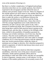even at the moment of bowing to it.

But there is a further complication. In England (and perhaps elsewhere also) there are *two* outside opinions, that which is expressed in the newspapers and that which the mass of ordinary men privately suspect to be true. These two degrees of the outside opinion are much nearer to one another than they are to the inside, and under some aspects they are identical; yet there is under the surface a real difference between the dogmatism and definiteness of the press and the living, indefinite belief of the individual man. I fancy that even in 1919 the average Englishman never really believed in the indemnity; he took it always with a grain of salt, with a measure of intellectual doubt. But it seemed to him that for the time being there could be little practical harm in going on the indemnity tack, and also that, in relation to his feelings at that time, a belief in the possibility of boundless payments by Germany was in better sentiment, even if less true, than the contrary. Thus the recent modification in British outside opinion is only partly intellectual, and is due rather to changed conditions; for it is seen that perseverance with the indemnity does now involve practical harm, whilst the claims of sentiment are no longer so decisive. He is therefore prepared to attend to arguments, of which he had always been aware out of the corner of his eye.

Foreign observers are apt to heed too little these unspoken sensibilities, which the voice of the press is bound to express ultimately. Inside opinion gradually affects them by percolating to wider and wider circles; and they are susceptible in time to argument, common sense, or self-interest. It is the business of the modern politician to be accurately aware of all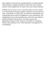three degrees; he must have enough intellect to understand the inside opinion, enough sympathy to detect the inner outside opinion, and enough brass to express the outer outside opinion.

Whether this account is true or fanciful, there can be no doubt as to the immense change in public sentiment over the past two years. The desire for a quiet life, for reduced commitments, for comfortable terms with our neighbours is now paramount. The megalomania of war has passed away, and every one wishes to conform himself with the facts. For these reasons the Reparation Chapter of the Treaty of Versailles is crumbling. There is little prospect now of the disastrous consequences of its fulfilment.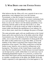# **5. WAR DEBTS AND THE UNITED STATES**

### **(i)** *Cancellation* **(1921)**

Who believes that the Allies will, over a period of one or two generations, exert adequate force over the German Government, or that the German Government can exert adequate authority over its subjects, to extract continuing fruits on a vast scale from forced labour? No one believes it in his heart; no one at all. There is not the faintest possibility of our persisting with this affair to the end. But if this is so, then, most certainly, it will not be worth our while to disorder our export trades and disturb the equilibrium of our industry for two or three years; much less to endanger the peace of Europe.

The same principles apply with one modification to the United States and to the exaction by her of the debts which the Allied Governments owe. The industries of the United States would suffer, not so much from the competition of cheap goods from the Allies in their endeavours to pay their debts, as from the inability of the Allies to purchase from America their usual proportion of her exports. The Allies would have to find the money to pay America, not so much by selling more as by buying less. The farmers of the United States would suffer more than the manufacturers; if only because increased imports can be kept out by a tariff, whilst there is no such easy way of stimulating diminished exports. It is, however, a curious fact that whilst Wall Street and the manufacturing East are prepared to consider a modification of the debts, the Middle West and South is reported (I write ignorantly) to be dead against it. For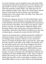two years Germany was not required to pay cash to the Allies, and during that period the manufacturers of Great Britain were quite blind to what the consequences would be to themselves when the payments actually began. The Allies have not yet been required to begin to pay cash to the United States, and the farmers of the latter are still as blind as were the British manufacturers to the injuries they will suffer if the Allies ever try seriously to pay in full.

The decisive argument, however, for the United States, as for Great Britain, is not the damage to particular interests (which would diminish with time), but the unlikelihood of permanence in the exaction of the debts, even if they were paid for a short period. I say this, not only because I doubt the ability of the European Allies to pay, but because of the great difficulty of the problem which the United States has before her in any case in balancing her commercial account with the Old World.

American economists have examined somewhat carefully the statistical measure of the change from the pre-war position. According to their estimates, America is now owed more interest on foreign investments than is due from her, quite apart from the interest on the debts of the Allied Governments; and her mercantile marine now earns from foreigners more than she owes them for similar services. Her excess of exports of commodities over imports approaches \$3000 million a year; whilst, on the other side of the balance, payments, mainly to Europe, in respect of tourists and of immigrant remittances are estimated at not above \$1000 million a year. Thus, in order to balance the account as it now stands, the United States must lend to the rest of the world, in one shape or another, not less than \$2000 million a year, to which interest and sinking fund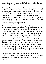on the European Governmental War Debts would, if they were paid, add about \$600 million.

Recently, therefore, the United States must have been lending to the rest of the world, mainly Europe, something like \$2000 million a year. Fortunately for Europe, a fair proportion of this was by way of speculative purchases of depreciated paper currencies. From 1919 to 1921 the losses of American speculators fed Europe; but this source of income can scarcely be reckoned on permanently. For a time the policy of loans can meet the situation; but, as the interest on past loans mounts up, it must in the long run aggravate it.

Mercantile nations have always employed large funds in overseas trade. But the practice of foreign investment, as we know it now, is a very modern contrivance, a very unstable one, and only suited to peculiar circumstances. An old country can in this way develop a new one at a time when the latter could not possibly do so with its own resources alone; the arrangement may be mutually advantageous, and out of abundant profits the lender may hope to be repaid. But the position cannot be reversed. If European bonds are issued in America on the analogy of the American bonds issued in Europe during the nineteenth century, the analogy will be a false one; because, taken in the aggregate, there is no natural increase, no *real* sinking fund, out of which they can be repaid. The interest will be furnished out of new loans, so long as these are obtainable, and the financial structure will mount always higher, until it is not worth while to maintain any longer the illusion that it has foundations. The unwillingness of American investors to buy European bonds is based on common sense.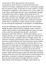At the end of 1919 I advocated (in *The Economic Consequences of the Peace*) a reconstruction loan from America to Europe, conditioned, however, on Europe's putting her own house in order. In the past two years America, in spite of European complaints to the contrary, has, in fact, made *very large* loans, much larger than the sum I contemplated, though not mainly in the form of regular, dollar-bond issues. No particular conditions were attached to these loans, and much of the money has been lost. Though wasted in part, they have helped Europe through the critical days of the post-Armistice period. But a continuance of them cannot provide a solution for the existing dis-equilibrium in the balance of indebtedness.

In part the adjustment may be effected by the United States taking the place hitherto held by England, France, and (on a small scale) Germany in providing capital for those new parts of the world less developed than herself—the British Dominions and South America. The Russian Empire, too, in Europe and Asia, is to be regarded as virgin soil, which may at a later date provide a suitable outlet for foreign capital. The American investor will lend more wisely to these countries, on the lines on which British and French investors used to lend to them, than direct to the old countries of Europe. But it is not likely that the whole gap can be bridged thus. Ultimately, and probably soon, there must be a readjustment of the balance of exports and imports. America must buy more and sell less. This is the only alternative to her making to Europe an annual present. Either American prices must rise faster than European (which will be the case if the Federal Reserve Board allows the gold influx to produce its natural consequences), or, failing this, the same result must be brought about by a further depreciation of the European exchanges, until Europe, by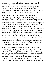inability to buy, has reduced her purchases to articles of necessity. At first the American exporter, unable to scrap all at once the processes of production for export, may meet the situation by lowering his prices; but when these have continued, say for two years, below his cost of production, he will be driven inevitably to curtail or abandon his business.

It is useless for the United States to suppose that an equilibrium position can be reached on the basis of her exporting at least as much as at present, and at the same time restricting her imports by a tariff. Just as the Allies demand vast payments from Germany, and then exercise their ingenuity to prevent her paying them, so the American Administration devises, with one hand, schemes for financing exports, and, with the other, tariffs which will make it as difficult as possible for such credits to be repaid. Great nations can often act with a degree of folly which we should not excuse in an individual.

By the shipment to the United States of all the bullion in the world, and the erection there of a sky-scraping golden calf, a short postponement may be gained. But a point may even come when the United States will refuse gold, yet still demand to be paid—a new Midas vainly asking more succulent fare than the barren metal of her own contract.

In any case the readjustment will be severe, and injurious to important interests. If, in addition, the United States exacts payment of the Allied debts, the position will be intolerable. If she persevered to the bitter end, scrapped her export industries and diverted to other uses the capital now employed in them, and if her former European associates decided to meet their obligations at whatever cost to themselves, I do not deny that the final result might be to America's material interest. But the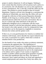project is utterly chimerical. It will not happen. Nothing is more certain than that America will not pursue such a policy to its conclusion; she will abandon it as soon as she experiences its first consequences. Nor, if she did, would the Allies pay the money. The position is exactly parallel to that of German Reparation. America will not carry through to a conclusion the collection of Allied debt, any more than the Allies will carry through the collection of their present Reparation demands. Neither, in the long run, is serious politics. Nearly all wellinformed persons admit this in private conversation. But we live in a curious age when utterances in the press are deliberately designed to be in conformity with the worstinformed, instead of with the best-informed, opinion, because the former is the wider spread; so that for comparatively long periods there can be discrepancies, laughable or monstrous, between the written and the spoken word.

If this is so, it is not good business for America to embitter her relations with Europe, and to disorder her export industries for two years, in pursuance of a policy which she is certain to abandon before it has profited her.

For the benefit of any reader who enjoys an abstract statement, I summarise the argument thus. The equilibrium of international trade is based on a complicated balance between the agriculture and the industries of the different countries of the world, and on a specialisation by each in the employment of its labour and its capital. If one country is required to transfer to another without payment great quantities of goods, for which this equilibrium does not allow, the balance is destroyed. Since capital and labour are fixed and organised in certain employments and cannot flow freely into others, the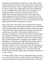disturbance of the balance is destructive to the utility of the capital and labour thus fixed. The *organisation*, on which the wealth of the modern world so largely depends, suffers injury. In course of time a new organisation and a new equilibrium can be established. But if the origin of the disturbance is of temporary duration, the losses from the injury done to organisation may outweigh the profit of receiving goods without paying for them. Moreover, since the losses will be concentrated on the capital and labour employed in particular industries, they will provoke an outcry out of proportion to the injury inflicted on the community as a whole.

Most Americans, with whom I have discussed this question, express themselves as personally favourable to the cancellation of the European debts, but add that so great a majority of their countrymen think otherwise that such a proposal is at present outside practical politics. They think, therefore, that it is premature to discuss it; for the present, America must pretend she is going to demand the money and Europe must pretend she is going to pay it. Indeed, the position is much the same as that of German Reparation in England in the middle of 1921. Doubtless my informants are right about this public opinion, the mysterious entity which is the same thing perhaps as Rousseau's General Will. Yet, all the same, I do not attach, to what they tell me, too much importance. Public opinion held that Hans Andersen's Emperor wore a fine suit; and in the United States especially, public opinion changes sometimes, as it were, *en bloc*.

If, indeed, public opinion were an unalterable thing, it would be a waste of time to discuss public affairs. And though it may be the chief business of newsmen and politicians to ascertain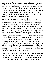its momentary features, a writer ought to be concerned, rather, with what public opinion should be. I record these platitudes because many Americans give their advice, as though it were actually immoral to make suggestions which public opinion does not now approve. In America, I gather, an act of this kind is considered so reckless that some improper motive is at once suspected, and criticism takes the form of an inquiry into the culprit's personal character and antecedents.

Let us inquire, however, a little more deeply into the sentiments and emotions which underlie the American attitude to the European debts. They want to be generous to Europe, both out of good feeling and because many of them now suspect that any other course would upset their own economic equilibrium. But they don't want to be "done." They do not want it to be said that once again the old cynics in Europe have been one too many for them. Times, too, have been bad and taxation oppressive; and many parts of America do not feel rich enough at the moment to favour a light abandonment of a possible asset. Moreover, these arrangements, between nations warring together, they liken much more closely than we do to ordinary business transactions between individuals. It is, they say, as though a bank having made an unsecured advance to a client, in whom they believe, at a difficult time when he would have gone under without it, this client were then to cry off paying. To permit such a thing would be to do an injury to the elementary principles of business honour.

The average American, I fancy, would like to see the European nations approaching him with a pathetic light in their eyes and the cash in their hands, saying, "America, we owe to you our liberty and our life; here we bring what we can in grateful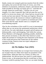thanks, money not wrung by grievous taxation from the widow and orphan, but saved, the best fruits of victory, out of the abolition of armaments, militarism, Empire, and internal strife, made possible by the help you freely gave us." And then the average American would reply: "I honour you for your integrity. It is what I expected. But I did not enter the war for profit or to invest my money well. I have had my reward in the words you have just uttered. The loans are forgiven. Return to your homes and use the resources I release to uplift the poor and the unfortunate." And it would be an essential part of the little scene that his reply should come as a complete and overwhelming surprise.

Alas for the wickedness of the world! It is not in international affairs that we can secure the sentimental satisfactions which we all love. For only individuals are good, and all nations are dishonourable, cruel, and designing. And whilst the various Prime Ministers will telegraph something suitable, drafted by their private secretaries, to the effect that America's action makes the moment of writing the most important in the history of the world and proves that Americans are the noblest creatures living, America must not expect adequate or appropriate thanks.

### **(ii)** *The Balfour Note* **(1925)**

The Balfour Note insists that our receipts from Germany *plus* our receipts from our Allies must equal our payments to the United States. When the Note was written, its effect was indeterminate. We did not know how much it would require France to pay, or the proportion that this would bear to what Germany would be paying France. Now we can make limiting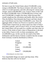estimates of both sums.

We have to pay the United States about £35,000,000 a year, rising to £40,000,000. The Dawes Scheme will yield, if and when it is in *full* operation, and after allowing for various prior charges, about £100,000,000 a year. France's share of this will be about £54,000,000, Italy's £10,000,000 (less at first), and ours £24,000,000. (I neglect the minor Allies because they would complicate the calculation and hardly affect the result.) Thus the Balfour Note demands that France and Italy should pay Great Britain not less than £16,000,000 a year. Since the aggregate debts of these two Powers to ourselves and to the United States respectively are about equal (our share of Italy's total debt is greater, and of France's less), we must assume that the United States will not settle for a smaller sum than what we receive. If the whole of It[aly](#page-65-0)'s share of Reparations is devoted to her debts, France is left, on these assumptions, with £22,000,000 to pay. In this case the net result of the Debt Settlements and the Dawes Scheme would be that the receipts from Germany would be distributed as follows:

<span id="page-65-0"></span>

| <b>United</b>         |             |
|-----------------------|-------------|
| Kingdom               | Nil.        |
| Italy                 | Nil.        |
| France                | £32,000,000 |
| <b>United</b>         |             |
| States <sup>[6]</sup> | £58,000,000 |

[6] Including her own direct share.

Very improbable things are easier said than done. Who believes that this will ever be done?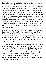But we have not yet reached the gravamen of my criticism of the Balfour Note. The above is what would happen if the Dawes Scheme is perfectly successful. If the Dawes Scheme is only partly successful, then, by the principle of the Balfour Note, *France must make good the difference* to ourselves and the United States. For example, if the Dawes Scheme produces half its maximum, which, in the opinion of many good judges, would be a considerable achievement, France will get less than nothing at all and *more than the whole* of Germany's payments will go to the United States. France would become, in fact, a deferred claimant on a third share of the Dawes Scheme, if the Scheme works very well, and a guarantor of Germany, if it works less well. Is not any one very silly who thinks that this can come to pass?

It is obvious that France will never agree to such a settlement. But suppose *per impossible* that she did. In this case Great Britain and the United States have, theoretically, no further interest whatever in the operation or productivity of the Dawes Scheme. France becomes the only interested party,—interested not merely as a creditor but as a guarantor who must make deficiencies good.

This fatal objection is necessarily inherent in the Balfour Note. It is of the essence of the Note that the less Germany pays, the *more* France shall pay;—that is to say, the less France is in a position to pay, the more she shall pay. Diplomatically and financially alike, this is topsy-turvy. It would never bring us cash; yet it would destroy our diplomatic authority as a moderator between France and Germany. The Foreign Office would have sold its influence for a mess of pottage which the Treasury would never taste.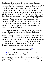The Balfour Note, therefore, is bad in principle. There can be no working settlement except on the exactly opposite principle, namely that the less Germany pays, the *less* France shall pay. The amount of France's payment must vary in the same direction as Germany's, not in the opposite direction. This was the principle of the suggestion, which I offered recently, by which France's payment should be a proportion of her receipts from Germany. According to current report, France herself has put forward just this principle through the mouth of M. Clémentel. I suggested that the proportion be one-third. M. Clémentel's reported offer would amount, on the assumption that the United States got the same terms, to about half my figure. But it does not follow that he would not offer more to obtain a settlement on these lines.

Such a settlement would increase, instead of diminishing, the interest of ourselves and the United States in the Dawes Scheme. We should have, between us, a bigger interest than France. We might, in this way, obtain a moderate contribution towards our American debt, corresponding to that part of it which we contracted, indirectly, on French account. We should certainly place ourselves in a strong moral and diplomatic position to claim a moderating and pacific influence in the Franco-German problems which still lie ahead.

## **(iii)** *Cancellation* **(1928) [7]**

[7] The material for this essay was prepared in connection with a Broadcast "Talk" given on May 3, 1928.

Let us remember the origin of the War Debts. Soon after the beginning of the war it was clear that certain of our Allies— Russia and Belgium in the first instance, but subsequently all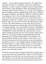of them—would require financial assistance. We might have given this in loans or in subsidies. Loans were preferred to subsidies, in order to preserve a greater sense of responsibility and economy in the spending of them. But though financial assistance took the form of loans, it is scarcely to be supposed that the lending countries regarded them at the time as being in the nature of ordinary investments. Indeed it would have been very illogical to do so. For we often gave assistance in the form of money, precisely because we were less able to assist with men or ships. For example, when we sent guns to Italy to help her after her first serious reverse, she had to pay for them by loans. But when matters got worse still, and we sent not only guns but gunners too to man them and to be killed, then we charged nothing. Yet in the former case Italy's contribution was the greater and in the latter ours. In particular, America's contribution for some time after she came into the war was mainly financial, because she was not yet ready to help in any other way. So long as America was sending materials and munitions to be used by Allied soldiers, she charged us for them, and these charges are the origin of what we now owe her. But when later on she sent men too, to use the munitions themselves, then we were charged nothing. Evidently there is not much logic in a system which causes us to owe money to America, not because she was able to help us so much, but because at first she was able to help us, so far at least as man power was concerned, so little.

This does not mean that the financial help which America gave us was not of the most extraordinary value to us. By the time that America came into the war our own resources as a lender were literally at an end. We were still at that time just about able to finance ourselves, but we had reached a point when we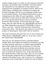could no longer finance our Allies as well. America's financial assistance was therefore quite invaluable. From the moment she entered the war she undertook to lend whatever was required for the expenditure of ourselves and our Allies in the United States, including some contribution to support the Foreign Exchanges. But she was not prepared to make loans for use outside America. Great Britain had therefore to go on making loans to her Allies for such expenditure—with the result that we had to lend our Allies after America came into the war an amount almost equal to what we ourselves borrowed. More precisely, we borrowed from the United States, after she came into the war, £850,000,000, and lent to our Allies during the same period £750,000,000; so that in effect it was true—what the Americans have always been concerned to deny—that the loans she made to us were for the purpose of financing our Allies rather than for ourselves.

The result was that by the end of the war we were owed by our Allies about £1,600,000,000, whilst we, in our turn, owed to the United States £850,000,000.

Since the war, the question has been constantly debated whether these sums ought to be treated as investments, just like any other business transaction, or whether regard should be paid to their origin and to the circumstances in which they were made. It has been the British view that they were not made as business transactions and should not be treated as such. It has been the American view, on the other hand, that they should be taken at their face value, that is to say, as bonds due and payable, tempered only by considerations as to the capacity of the debtor to pay, and, in practice, by a willingness on the part of the United States to accept a low rate of interest.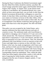During the Peace Conference the British Government urged that the Allied War Debts should be entirely cancelled. Mr. Lloyd George raised the matter again with President Wilson in August 1920. Finally, in August 1922, in the famous Note written by Lord Balfour, the considered British view, from which we have never gone back, was set forth. In this Note the British Government declared their willingness to cancel the whole of what their Allies owed them, and also to forgo their own claims on Germany in favour of the other Allies, if the United States in turn would relieve them of their debt. By such an arrangement Great Britain would have been giving up on paper more than twice what she gained. The offer still holds good.

This policy was not accepted by the United States, and a separate settlement has been made between each pair of countries in turn. The settlement made with Great Britain is equivalent to charging a rate of interest of 3·3 per cent on the whole amount due. The American settlement with France is equivalent to repayment at  $1·6$  per cent interest, and that with Italy to repayment at  $0.4$  per cent interest. Thus, the American settlement with Great Britain is twice as onerous as that with France and eight times as onerous as that with Italy. Great Britain, in her turn, has made arrangements with France and Italy, and has in both cases let them off lighter even than has the United States—the British settlement with France being 10 per cent easier and that with Italy 33 per cent easier than the corresponding American settlements. Thus, whilst the other Allies have been largely relieved this country is left with the task of repaying her whole burden, subject only to the mitigation that the rate of interest charged, namely, 3·3 per cent, is moderate.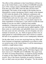The effect of this settlement is that Great Britain will have to pay to the United States a sum of about £33,000,000 annually up to 1933, rising to nearly £38,000,000 annually thereafter from that year until 1984, when the debt will have been discharged. The reality of the weight of this burden may be illustrated by certain calculations which I made in the summer of 1923 when the details of Mr. Baldwin's settlement with Washington were first made public. We shall be paying to the United States each year for sixty years a sum equivalent to two-thirds of the cost of our Navy, a sum nearly equal to our State expenditure on Education, a sum which exceeds the total burden of our pre-war debt. Looked at from another standpoint, it represents more than the total normal profits of our coal mines and our mercantile marine added together. With these sums we could endow and splendidly house *every month* for sixty years one new university, one new hospital, one new institute of research, etc., etc. With an equal sacrifice over an equal period we could abolish slums and re-house in comfort the half of our population which is now inadequately sheltered.

On the other hand, we are now receiving from our Allies and from Germany an important contribution as an offset to what we ourselves pay to the United States. It will be interesting to establish a rough balance-sheet.

In 1928 we shall receive from our Allies £12,800,000 and pay the United States £33,200,000; and by 1933 these figures will have risen to £17,700,000 and £37,800,000. Thus apart from our share of German Reparations, we shall be paying annually in respect of War Debts about £20,000,000 more than we receive. Now if the Dawes Annuities are paid by Germany in full, we shall come out just about "all-square." For the normal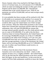Dawes Annuity when it has reached its full figure (less the service of German loans, etc.) will amount to £117,000,000, of which our share (excluding the receipts of other parts of the Empire) will be about £22,000,000. Mr. Churchill has estimated that in the current financial year, 1928-29, our payments out will be £32,845,000, and our total receipts nearly £32,000,000.

It is not probable that these receipts will be realised in full. But it will enable us to summarise the situation if we assume for the moment that they are so realised. In this case, each Ally would be able to pay the United States out of their receipts from Germany. When the Allied Debt payments to the United States have reached their maximum amount under the existing settlements, they will total £83,000,000 per annum (the *average* amount payable annually over the whole period works out at a total of £61,000,000). If we add to this the direct American share in German Reparations, the United States will be receiving £78,000,000 annually out of the £117,000,000 receivable by the Allies from Germany, or 67 per cent, *plus* £10,000,000 from Italy not covered by Reparations; or if we take the average payments, in lieu of the maximum, the United States will be receiving £66,000,000 out of £117,000,000 or 57 per cent. In either case Great Britain would receive, on balance, nothing.

It follows from the above that if the maximum Dawes Annuities were to be reduced by one-third—which, in the opinion of many of us, is highly probable—the United States will, by the time that the Allied payments to her have reached their full figure, be the sole beneficiary. In this event the net result of all War Debt settlements would be to leave the United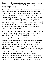States—on balance and off-setting receipts against payments receiving from Germany £78,000,000 per annum, and no one else getting anything.

I have put the calculation in this form because it renders it very clear why, in the minds of the Allies, the question of further relief to Germany is intimately bound up with the question of their own obligations to the United States. The official American attitude that there is no connection between the two, is a very hollow pretence. The resettlement of the Dawes Scheme is one to which the United States must be, in one way or another, a party. But—let me add—any concession she may make will go entirely to the relief of Germany and the European Allies, Great Britain adhering to her principle of receiving nothing on balance.

If all, or nearly all, of what Germany pays for Reparations has to be used, not to repair the damage done, but to repay the United States for the financial part which she played in the common struggle, many will feel that this is not an outcome tolerable to the sentiments of mankind or in reasonable accord with the spoken professions of Americans when they entered the war or afterwards. Yet it is a delicate matter, however keenly the public may feel, for any Englishman in authority to take the initiative in saying such things in an official way. Obviously, we must pay what we have covenanted to pay, and any proposal, if there is to be one, must come from the United States. It fell to my lot during the war to be the official draftsman in the British Treasury of all the financial agreements with the Allies and with the United States out of which this situation has arisen. I was intimately familiar, day by day, with the reasons and motives, which governed the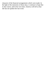character of the financial arrangements which were made. In the light of the memories of those days, I continue to hope that in due course, and in her own time, America will tell us that she has not spoken her last word.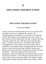# **INFLATION AND DEFLATION**

## **INFLATION AND DEFLATION**

#### **1. INFLATION (1919)**

Lenin is said to have declared that the best way to destroy the Capitalist System was to debauch the currency. By a continuing process of inflation, Governments can confiscate, secretly and unobserved, an important part of the wealth of their citizens. By this method they not only confiscate, but they confiscate *arbitrarily*; and, while the process impoverishes many, it actually enriches some. The sight of this arbitrary rearrangement of riches strikes not only at security, but at confidence in the equity of the existing distribution of wealth. Those to whom the system brings windfalls, beyond their deserts and even beyond their expectations or desires, become "profiteers," who are the object of the hatred of the bourgeoisie, whom the inflationism has impoverished, not less than of the proletariat. As the inflation proceeds and the real value of the currency fluctuates wildly from month to month, all permanent relations between debtors and creditors, which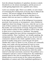form the ultimate foundation of capitalism, become so utterly disordered as to be almost meaningless; and the process of wealth-getting degenerates into a gamble and a lottery.

Lenin was certainly right. There is no subtler, no surer means of overturning the existing basis of Society than to debauch the currency. The process engages all the hidden forces of economic law on the side of destruction, and does it in a manner which not one man in a million is able to diagnose.

In the latter stages of the war all the belligerent Governments practised, from necessity or incompetence, what a Bolshevist might have done from design. Even now, when the war is over, most of them continue out of weakness the same malpractices. But further, the Governments of Europe, being many of them at this moment reckless in their methods as well as weak, seek to direct on to a class known as "profiteers" the popular indignation against the more obvious consequences of their vicious methods. These "profiteers" are, broadly speaking, the entrepreneur class of capitalists, that is to say, the active and constructive element in the whole capitalist society, who in a period of rapidly rising prices cannot but get rich quick whether they wish it or desire it or not. If prices are continually rising, every trader who has purchased for stock or owns property and plant inevitably makes profits. By directing hatred against this class, therefore, the European Governments are carrying a step further the fatal process which the subtle mind of Lenin had consciously conceived. The profiteers are a consequence and not a cause of rising prices. By combining a popular hatred of the class of entrepreneurs with the blow already given to social security by the violent and arbitrary disturbance of contract and of the established equilibrium of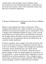wealth which is the inevitable result of inflation, these Governments are fast rendering impossible a continuance of the social and economic order of the nineteenth century. But they have no plan for replacing it.

#### **2. SOCIAL CONSEQUENCES OF CHANGES IN THE VALUE OF MONEY (1923)**

Money is only important for what it will procure. Thus a change in the monetary unit, which is uniform in its operation and affects all transactions equally, has no consequences. If, by a change in the established standard of value, a man received and owned twice as much money as he did before in payment for all rights and for all efforts, and if he also paid out twice as much money for all acquisitions and for all satisfactions, he would be wholly unaffected.

It follows, therefore, that a change in the value of money, that is to say in the level of prices, is important to Society only in so far as its incidence is unequal. Such changes have produced in the past, and are producing now, the vastest social consequences, because, as we all know, when the value of money changes, it does *not* change equally for all persons or for all purposes. A man's receipts and his outgoings are not all modified in one uniform proportion. Thus a change in prices and rewards, as measured in money, generally affects different classes unequally, transfers wealth from one to another,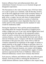bestows affluence here and embarrassment there, and redistributes Fortune's favours so as to frustrate design and disappoint expectation.

The fluctuations in the value of money since 1914 have been on a scale so great as to constitute, with all that they involve, one of the most significant events in the economic history of the modern world. The fluctuation of the standard, whether gold, silver, or paper, has not only been of unprecedented violence, but has been visited on a society of which the economic organisation is more dependent than that of any earlier epoch on the assumption that the standard of value would be moderately stable.

During the Napoleonic Wars and the period immediately succeeding them the extreme fluctuation of English prices within a single year was 22 per cent; and the highest price level reached during the first quarter of the nineteenth century, which we used to reckon the most disturbed period of our currency history, was less than double the lowest and with an interval of thirteen years. Compare with this the extraordinary movements of the past nine years. From 1914 to 1920 all countries experienced an expansion in the supply of money to spend relatively to the supply of things to purchase, that is to say *Inflation*. Since 1920 those countries which have regained control of their financial situation, not content with bringing the Inflation to an end, have contracted their supply of money and have experienced the fruits of *Deflation*. Others have followed inflationary courses more riotously than before.

Each process, Inflation and Deflation alike, has inflicted great injuries. Each has an effect in altering the *distribution* of wealth between different classes, Inflation in this respect being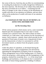the worse of the two. Each has also an effect in overstimulating or retarding the *production* of wealth, though here Deflation is the more injurious. The division of our subject thus indicated is the most convenient for us to follow,—examining first the effect of changes in the value of money on the distribution of wealth with most of our attention on Inflation, and next their effect on the production of wealth with most of our attention on Deflation.

## **(A) CHANGES IN THE VALUE OF MONEY, AS AFFECTING DISTRIBUTION**

## **(i)** *The Investing Class*

Of the various purposes which money serves, some essentially depend upon the assumption that its real value is nearly constant over a period of time. The chief of these are those connected, in a wide sense, with contracts for the *investment of money*. Such contracts—namely, those which provide for the payment of fixed sums of money over a long period of time are the characteristic of what it is convenient to call the *Investment System*, as distinct from the property system generally.

Under this phase of capitalism, as developed during the nineteenth century, many arrangements were devised for separating the management of property from its ownership. These arrangements were of three leading types: (1) Those in which the proprietor, while parting with the management of his property, retained his ownership of it—*i.e.* of the actual land, buildings, and machinery, or of whatever else it consisted in, this mode of tenure being typified by a holding of ordinary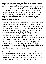shares in a joint-stock company; (2) those in which he parted with the property temporarily, receiving a fixed sum of *money* annually in the meantime, but regained his property eventually, as typified by a lease; and (3) those in which he parted with his real property permanently, in return either for a perpetual annuity fixed in terms of money, or for a terminable annuity and the repayment of the principal in money at the end of the term, as typified by mortgages, bonds, debentures, and preference shares. This third type represents the full development of *Investment*.

Contracts to receive fixed sums of money at future dates (made without provision for possible changes in the real value of money at those dates) must have existed as long as money has been lent and borrowed. In the form of leases and mortgages, and also of permanent loans to Governments and to a few private bodies, such as the East India Company, they were already frequent in the eighteenth century. But during the nineteenth century they developed a new and increased importance, and had, by the beginning of the twentieth, divided the propertied classes into two groups—the "business men" and the "investors"—with partly divergent interests. The division was not sharp as between individuals; for business men might be investors also, and investors might hold ordinary shares; but the division was nevertheless real, and not the less important because it was seldom noticed.

By this system the active business class could call to the aid of their enterprises not only their own wealth but the savings of the whole community; and the professional and propertied classes, on the other hand, could find an employment for their resources, which involved them in little trouble, no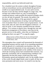responsibility, and (it was believed) small risk.

<span id="page-81-0"></span>For a hundred years the system worked, throughout Europe, with an extraordinary success and facilitated the growth of wealth on an unprecedented scale. To save and to invest became at once the duty and [th](#page-81-0)e delight of a large class. The savings were seldom drawn on, and, accumulating at compound interest, made possible the material triumphs which we now all take for granted. The morals, the politics, the literature, and the religion of the age joined in a grand conspiracy for the promotion of saving. God and Mammon were reconciled. Peace on earth to men of good means. A rich man could, after all, enter into the Kingdom of Heaven—if only he saved. A new harmony sounded from the celestial spheres. "It is curious to observe how, through the wise and beneficent arrangement of Providence, men thus do the greatest service to the public, when they are thinking of nothing but their own gain";<sup>[8]</sup> so sang the angels.

> [8] *Easy Lessons on Money Matters for the Use of Young People.* Published by the Society for Promoting Christian Knowledge. Twelfth Edition, 1850.

The atmosphere thus created well harmonised the demands of expanding business and the needs of an expanding population with the growth of a comfortable non-business class. But amidst the general enjoyment of ease and progress, the extent to which the system depended on the stability of the money to which the investing classes had committed their fortunes, was generally overlooked; and an unquestioning confidence was apparently felt that this matter would look after itself. Investments spread and multiplied, until, for the middle classes of the world, the gilt-edged bonds came to typify all that was most permanent and most secure. So rooted in our day has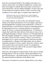been the conventional belief in the stability and safety of a money contract that, according to English law, trustees have been encouraged to embark their trust funds exclusively in such transactions, and are indeed forbidden, except in the case of real estate (an exception which is itself a survival of the conditions of an earlier age), to employ them otherwise.<sup>[9]</sup>

[9] German trustees were not released from a similar obligation until 1923, by which date the value of trust funds invested in titles to money had entirely disappeared.

As in other respects, so also in this, the nineteenth century relied on the future permanence of its own happy experiences and disregarded the warning of past misfortunes. It chose to forget that there is no historical warrant for expecting money to be represented even by a constant quantity of a particular metal, far less by a constant purchasing power. Yet Money is simply that which the State declares from time to time to be a good legal discharge of money contracts. In 1914 gold had not been the English standard for a century or the sole standard of any other country for half a century. There is no record of a prolonged war or a great social upheaval which has not been accompanied by a change in the legal tender, but an almost unbroken chronicle in every country which has a history, back to the earliest dawn of economic record, of a progressive deterioration in the real value of the successive legal tenders which have represented money.

Moreover, this progressive deterioration in the value of money through history is not an accident, and has had behind it two great driving forces—the impecuniosity of Governments and the superior political influence of the debtor class.

The power of taxation by currency depreciation is one which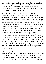has been inherent in the State since Rome discovered it. The creation of legal tender has been and is a Government's ultimate reserve; and no State or Government is likely to decree its own bankruptcy or its own downfall so long as this instrument still lies at hand unused.

Besides this, as we shall see below, the benefits of a depreciating currency are not restricted to the Government. Farmers and debtors and all persons liable to pay fixed money dues share in the advantage. As now in the persons of business men, so also in former ages these classes constituted the active and constructive elements in the economic scheme. Those secular changes, therefore, which in the past have depreciated money, assisted the new men and emancipated them from the dead hand; they benefited new wealth at the expense of old, and armed enterprise against accumulation. The tendency of money to depreciate has been in past times a weighty counterpoise against the cumulative results of compound interest and the inheritance of fortunes. It has been a loosening influence against the rigid distribution of old-won wealth and the separation of ownership from activity. By this means each generation can disinherit in part its predecessors' heirs; and the project of founding a perpetual fortune must be disappointed in this way, unless the community with conscious deliberation provides against it in some other way, more equitable and more expedient.

At any rate, under the influence of these two forces—the financial necessities of Governments and the political influence of the debtor class—sometimes the one and sometimes the other, the progress of inflation has been *continuous*, if we consider long periods, ever since money was first devised in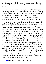the sixth century B.C. Sometimes the standard of value has depreciated of itself; failing this, debasements have done the work.

Nevertheless it is easy at all times, as a result of the way we use money in daily life, to forget all this and to look on money as itself the absolute standard of value; and when, besides, the actual events of a hundred years have not disturbed his illusions, the average man regards what has been normal for three generations as a part of the permanent social fabric.

<span id="page-84-0"></span>[The](#page-84-0) course of events during the nineteenth century favoured such ideas. During its first quarter, the very high prices of the Napoleonic Wars were followed by a somewhat rapid improvement in the value of money. For the next seventy years, with some temporary fluctuations, the tendency of prices continued to be downwards, the lowest point being reached in 1896. But while this was the tendency as regards direction, the remarkable feature of this long period was the relative *stability* of the price level. Approximately the *same* level of price ruled in or about the years 1826, 1841, 1855, 1862, 1867, 1871, and 1915. Prices were also level in the years 1844, 1881, and 1914. [10] If we call the index number of these latter years 100, we find that, for the period of close on a century from 1826 to the outbreak of war, the maximum fluctuation in either direction was 30 points, the index number never rising above 130 and never falling below 70. No wonder that we came to believe in the stability of money contracts over a long period. The metal *gold* might not possess all the theoretical advantages of an artificially regulated standard, but it could not be tampered with and had proved reliable in practice.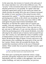At the same time, the investor in Consols in the early part of the century had done very well in three different ways. The "security" of his investment had come to be considered as near absolute perfection as was possible. Its capital value had uniformly appreciated, partly for the reason just stated, but chiefly because the steady fall in the rate of interest increased the number of years' purchase of the annual income which represented the capital.<sup>[11]</sup> And the annual money income had a purchasing power which on the whole was increasing. If, for example, we consider the seventy years from 1826 to 1896 (and ignore the great improvement immediately after Waterloo), we find that the capital value of Consols rose steadily, with only temporary set-backs, from 79 to 109 (in spite of Goschen's conversion from a 3 per cent rate to a 2¾ per cent rate in 1889 and a 2½ per cent rate effective in 1903), while the purchasing power of the annual dividends, even after allowing for the reduced rates of interest, had increased 50 per cent. But Consols, too, had added the virtue of stability to that of improvement. Except in years of crisis Consols never fell below 90 during the reign of Queen Victoria; and even in '48, when thrones were crumbling, the mean price of the year fell but 5 points. Ninety when she ascended the throne, they reached their maximum with her in the year of Diamond Jubilee. What wonder that our parents thought Consols a good investment!

[11] If, for example, the rate of interest falls from  $4\frac{1}{2}$  per cent to 3 per cent, 3 per cent Consols rise in value from 66 to 100.

Thus there grew up during the nineteenth century a large, powerful, and greatly respected class of persons, well-to-do individually and very wealthy in the aggregate, who owned neither buildings, nor land, nor businesses, nor precious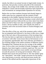metals, but titles to an annual income in legal-tender money. In particular, that peculiar creation and pride of the nineteenth century, the savings of the middle class, had been mainly thus embarked. Custom and favourable experience had acquired for such investments an unimpeachable reputation for security.

Before the war these medium fortunes had already begun to suffer some loss (as compared with the summit of their prosperity in the middle 'nineties) from the rise in prices and also in the rate of interest. But the monetary events which have accompanied and have followed the war have taken from them about one-half of their real value in England, seven-eighths in France, eleven-twelfths in Italy, and virtually the whole in Germany and in the succession states of Austria-Hungary and Russia.

Thus the effect of the war, and of the monetary policy which has accompanied and followed it, has been to take away a large part of the real value of the possessions of the investing class. The loss has been so rapid and so intermixed in the time of its occurrence with other worse losses that its full measure is not yet separately apprehended. But it has effected, nevertheless, a far-reaching change in the relative position of different classes. Throughout the Continent the pre-war savings of the middle class, so far as they were invested in bonds, mortgages, or bank deposits, have been largely or entirely wiped out. Nor can it be doubted that this experience must modify social psychology towards the practice of saving and investment. What was deemed most secure has proved least so. He who neither spent nor "speculated," who made "proper provision for his family," who sang hymns to security and observed most straitly the morals of the edified and the respectable injunctions of the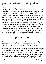worldly-wise,—he, indeed, who gave fewest pledges to Fortune has yet suffered her heaviest visitations.

What moral for our present purpose should we draw from this? Chiefly, I think, that it is not safe or fair to combine the social organisation developed during the nineteenth century (and still retained) with a *laissez-faire* policy towards the value of money. It is not true that our former arrangements have worked well. If we are to continue to draw the voluntary savings of the community into "investments," we must make it a prime object of deliberate State policy that the standard of value, in terms of which they are expressed, should be kept stable; adjusting in other ways (calculated to touch all forms of wealth equally and not concentrated on the relatively helpless "investors") the redistribution of the national wealth, if, in course of time, the laws of inheritance and the rate of accumulation have drained too great a proportion of the income of the active classes into the spending control of the inactive.

### **(ii)** *The Business Class*

It has long been recognised, by the business world and by economists alike, that a period of rising prices acts as a stimulus to enterprise and is beneficial to business men.

In the first place there is the advantage which is the counterpart of the loss to the investing class which we have just examined. When the value of money falls, it is evident that those persons who have engaged to pay fixed sums of money yearly out of the profits of active business must benefit, since their fixed money outgoings will bear a smaller proportion than formerly to their money turnover. This benefit persists not only during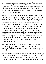the transitional period of change, but also, so far as old loans are concerned, when prices have settled down at their new and higher level. For example, the farmers throughout Europe, who had raised by mortgage the funds to purchase the land they farmed, now find themselves almost freed from the burden at the expense of the mortgagees.

But during the period of change, while prices are rising month by month, the business man has a further and greater source of windfall. Whether he is a merchant or a manufacturer, he will generally buy before he sells, and on at least a part of his stock he will run the risk of price changes. If, therefore, month after month his stock appreciates on his hands, he is always selling at a better price than he expected and securing a windfall profit upon which he had not calculated. In such a period the business of trade becomes unduly easy. Any one who can borrow money and is not exceptionally unlucky must make a profit, which he may have done little to deserve. Thus, when prices are rising, the business man who borrows money is able to repay the lender with what, in terms of real value, not only represents no interest, but is even less than the capital originally advanced.

But if the depreciation of money is a source of gain to the business man, it is also the occasion of opprobrium. To the consumer the business man's exceptional profits appear as the cause (instead of the consequence) of the hated rise of prices. Amidst the rapid fluctuations of his fortunes he himself loses his conservative instincts, and begins to think more of the large gains of the moment than of the lesser, but permanent, profits of normal business. The welfare of his enterprise in the relatively distant future weighs less with him than before, and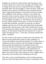thoughts are excited of a quick fortune and clearing out. His excessive gains have come to him unsought and without fault or design on his part, but once acquired he does not lightly surrender them, and will struggle to retain his booty. With such impulses and so placed, the business man is himself not free from a suppressed uneasiness. In his heart he loses his former self-confidence in his relation to Society, in his utility and necessity in the economic scheme. He fears the future of his business and his class, and the less secure he feels his fortune to be the tighter he clings to it. The business man, the prop of Society and the builder of the future, to whose activities and rewards there had been accorded, not long ago, an almost religious sanction, he of all men and classes most respectable, praiseworthy, and necessary, with whom interference was not only disastrous but almost impious, was now to suffer sidelong glances, to feel himself suspected and attacked, the victim of unjust and injurious laws,—to become, and know himself half guilty, a profiteer.

No man of spirit will consent to remain poor if he believes his betters to have gained their goods by lucky gambling. To convert the business man into the profiteer is to strike a blow at capitalism, because it destroys the psychological equilibrium which permits the perpetuance of unequal rewards. The economic doctrine of normal profits, vaguely apprehended by every one, is a necessary condition for the justification of capitalism. The business man is only tolerable so long as his gains can be held to bear some relation to what, roughly and in some sense, his activities have contributed to Society.

This, then, is the second disturbance to the existing economic order for which the depreciation of money is responsible. If the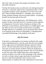fall in the value of money discourages investment, it also discredits enterprise.

Not that the business man was allowed, even during the period of boom, to retain the whole of his exceptional profits. A host of popular remedies vainly attempted to cure the evils of the day; which remedies themselves—subsidies, price and rent fixing, profiteer hunting, and excess profits duties—eventually became not the least part of the evils.

In due course came the depression, with falling prices, which operate on those who hold stocks in a manner exactly opposite to rising prices. Excessive losses, bearing no relation to the efficiency of the business, took the place of windfall gains; and the effort of every one to hold as small stocks as possible brought industry to a standstill, just as previously their efforts to accumulate stocks had over-stimulated it. Unemployment succeeded Profiteering as the problem of the hour.

## **(iii)** *The Earner*

It has been a commonplace of economic textbooks that wages tend to lag behind prices, with the result that the real earnings of the wage-earner are diminished during a period of rising prices. This has often been true in the past, and may be true even now of certain classes of labour which are ill-placed or ill-organised for improving their position. But in Great Britain, at any rate, and in the United States also, some important sections of labour were able to take advantage of the situation not only to obtain money wages equivalent in purchasing power to what they had before, but to secure a real improvement, to combine this with a diminution in their hours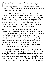of work (and, so far, of the work done), and to accomplish this (in the case of Great Britain) at a time when the total wealth of the community as a whole had suffered a decrease. This reversal of the usual course has not been due to an accident and is traceable to definite causes.

The organisation of certain classes of labour—railwaymen, miners, dockers, and others—for the purpose of securing wage increases is better than it was. Life in the army, perhaps for the first time in the history of wars, raised in many respects the conventional standard of requirements,—the soldier was better clothed, better shod, and often better fed than the labourer, and his wife, adding in war time a separation allowance to new opportunities to earn, had also enlarged her ideas.

But these influences, while they would have supplied the motive, might have lacked the means to the result if it had not been for another factor—the windfalls of the profiteer. The fact that the business man had been gaining, and gaining notoriously, considerable windfall profits in excess of the normal profits of trade, laid him open to pressure, not only from his employees but from public opinion generally; and enabled him to meet this pressure without financial difficulty. In fact, it was worth his while to pay ransom, and to share with his workmen the good fortune of the day.

Thus the working classes improved their *relative* position in the years following the war, as against all other classes except that of the "profiteers." In some important cases they improved their absolute position—that is to say, account being taken of shorter hours, increased money wages, and higher prices, some sections of the working classes secured for themselves a higher real remuneration for each unit of effort or work done. But we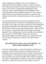cannot estimate the *stability* of this state of affairs, as contrasted with its desirability, unless we know the source from which the increased reward of the working classes was drawn. Was it due to a permanent modification of the economic factors which determine the distribution of the national product between different classes? Or was it due to some temporary and exhaustible influence connected with Inflation and with the resulting disturbance in the standard of value?

The period of depression has exacted its penalty from the working classes more in the form of unemployment than by a lowering of real wages, and State assistance to the unemployed has greatly moderated even this penalty. Money wages have followed prices downwards. But the depression of 1921-22 did not reverse or even greatly diminish the relative advantage gained by the working classes over the middle class during the previous years. In 1923 British wage rates stood at an appreciably higher level above the pre-war rates than did the cost of living, if allowance is made for the shorter hours worked.

## **(B) CHANGES IN THE VALUE OF MONEY, AS AFFECTING PRODUCTION**

If, for any reason right or wrong, the business world *expects* that prices will fall, the processes of production tend to be inhibited; and if it expects that prices will rise, they tend to be over-stimulated. A fluctuation in the measuring-rod of value does not alter in the least the wealth of the world, the needs of the world, or the productive capacity of the world. It ought not, therefore, to affect the character or the volume of what is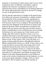produced. A movement of *relative* prices, that is to say of the comparative prices of different commodities, *ought* to influence the character of production, because it is an indication that various commodities are not being produced in the exactly right proportions. But this is not true of a change, as such, in the *general* price level.

The fact that the expectation of changes in the *general* price level affects the processes of production, is deeply rooted in the peculiarities of the existing economic organisation of society. We have already seen that a change in the general level of prices, that is to say a change in the measuring-rod, which fixes the obligation of the borrowers of money (who make the decisions which set production in motion) to the lenders (who are inactive once they have lent their money), effects a redistribution of real wealth between the two groups. Furthermore, the active group can, if they foresee such a change, alter their action in advance in such a way as to minimise their losses to the other group or to increase their gains from it, if and when the expected change in the value of money occurs. If they expect a fall, it may pay them, as a group, to damp production down, although such enforced idleness impoverishes Society as a whole. If they expect a rise, it may pay them to increase their borrowings and to swell production beyond the point where the real return is just sufficient to recompense Society as a whole for the effort made. Sometimes, of course, a change in the measuring-rod, especially if it is unforeseen, may benefit one group at the expense of the other disproportionately to any influence it exerts on the volume of production; but the tendency, in so far as the active group anticipate a change, will be as I have described it. This is simply to say that the intensity of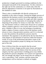production is largely governed in existing conditions by the anticipated real profit of the entrepreneur. Yet this criterion is the right one for the community as a whole only when the delicate adjustment of interests is not upset by fluctuations in the standard of value.

There is also a considerable risk directly arising out of instability in the value of money. During the lengthy process of production the business world is incurring outgoings in terms of *money*—paying out in money for wages and other expenses of production—in the expectation of recouping this outlay by disposing of the product for *money* at a later date. That is to say, the business world as a whole must always be in a position where it stands to gain by a rise of price and to lose by a fall of price. Whether it likes it or not, the technique of production under a régime of money-contract forces the business world always to carry a big speculative position; and if it is reluctant to carry this position, the productive process must be slackened. The argument is not affected by the fact that there is some degree of specialisation of function within the business world, in so far as the professional speculator comes to the assistance of the producer proper by taking over from him a part of his risk.

Now it follows from this, not merely that the *actual occurrence* of price changes profits some classes and injures others (which has been the theme of the first section of this chapter), but that a *general fear* of falling prices may inhibit the productive process altogether. For if prices are expected to fall, not enough risk-takers can be found who are willing to carry a speculative "bull" position, and this means that entrepreneurs will be reluctant to embark on lengthy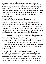productive processes involving a money outlay long in advance of money recoupment,—whence unemployment. The *fact* of falling prices injures entrepreneurs; consequently the *fear* of falling prices causes them to protect themselves by curtailing their operations; yet it is upon the aggregate of their individual estimations of the risk, and their willingness to run the risk, that the activity of production and of employment mainly depends.

There is a further aggravation of the case, in that an expectation about the course of prices tends, if it is widely held, to be cumulative in its results up to a certain point. If prices are expected to rise and the business world acts on this expectation, that very fact causes them to rise for a time and, by verifying the expectation, reinforces it; and similarly, if it expects them to fall. Thus a comparatively weak initial impetus may be adequate to produce a considerable fluctuation.

The best way to cure this mortal disease of individualism must be to provide that there shall never exist any confident expectation either that prices generally are going to fall or that they are going to rise; and also that there shall be no serious risk that a movement, if it does occur, will be a big one. If, unexpectedly and accidentally, a moderate movement were to occur, wealth, though it might be redistributed, would not be diminished thereby.

To procure this result by removing all possible influences towards an initial movement would seem to be a hopeless enterprise. The remedy would lie, rather, in so controlling the standard of value that whenever something occurred which, left to itself, would create an expectation of a change in the general level of prices, the controlling authority should take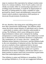steps to counteract this expectation by setting in motion some factor of a contrary tendency. Even if such a policy were not wholly successful, either in counteracting expectations or in avoiding actual movements, it would be an improvement on the policy of sitting quietly by whilst a standard of value, governed by chance causes and deliberately removed from central control, produces expectations which paralyse or intoxicate the government of production.

We see, therefore, that rising prices and falling prices each have their characteristic disadvantage. The Inflation which causes the former means Injustice to individuals and to classes, —particularly to rentiers; and is therefore unfavourable to saving. The Deflation which causes falling prices means Impoverishment to labour and to enterprise by leading entrepreneurs to restrict production, in their endeavour to avoid loss to themselves; and is therefore disastrous to employment. The counterparts are, of course, also true,—namely that Deflation means Injustice to borrowers, and that Inflation leads to the over-stimulation of industrial activity. But these results are not so marked as those emphasised above, because borrowers are in a better position to protect themselves from the worst effects of Deflation than lenders are to protect themselves from those of Inflation, and because labour is in a better position to protect itself from overexertion in good times than from underemployment in bad times.

Thus Inflation is unjust and Deflation is inexpedient. Of the two perhaps Deflation is, if we rule out exaggerated inflations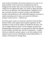such as that of Germany, the worse; because it is worse, in an impoverished world, to provoke unemployment than to disappoint the rentier. But it is not necessary that we should weigh one evil against the other. It is easier to agree that both are evils to be shunned. The Individualistic Capitalism of today, precisely because it entrusts saving to the individual investor and production to the individual employer, *presumes* a stable measuring-rod of value, and cannot be efficient perhaps cannot survive—without one.

For these grave causes we must free ourselves from the deep distrust which exists against allowing the regulation of the standard of value to be the subject of *deliberate decision*. We can no longer afford to leave it in the category of which the distinguishing characteristics are possessed in different degrees by the weather, the birth-rate, and the Constitution,—matters which are settled by natural causes, or are the resultant of the separate action of many individuals acting independently, or require a Revolution to change them.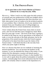# **3. THE FRENCH FRANC**

## **(i)** *An open letter to the French Minister of Finance* **(***whoever he is or may be***) (Jan. 1926)**

MONSIEUR,—When I read in my daily paper the daily projects of yourself and your predecessors to draft new budgets and to fund old debts, I get the impression that Paris discusses very little what seems to me in London to be the technical analysis of your problem. May I, therefore, divert your attention for a moment from your Sisyphean task of rolling budgets up Parliament Hill back to certain fundamental calculations?

I have written about the French franc many times in recent years, and I do not find that I have changed my mind. More than two years ago I wrote: "The level of the franc is going to be settled in the long run, not by speculation or the balance of trade, or even the outcome of the Ruhr adventure, but by the proportion of his earned income which the French taxpayer will permit to be taken from him to pay the claims of the French rentier." I still think that this is the root idea from which your plans ought to develop.

Now it is obvious that there are two methods of attaining the desired equilibrium. You can increase the burdens on the taxpayer, or you can diminish the claims of the rentier. If you choose the first alternative, taxation will absorb nearly a quarter of the national income of France. Is this feasible? If it is ever safe to speak about the political atmosphere of another country, I should judge from recent indications that the French public will certainly refuse to submit to the imposition of a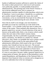burden of additional taxation sufficient to satisfy the claims of the rentier at their present level. And even if such taxation were politically possible, it would probably break down administratively. The pressing task of the French Treasury is not to devise additional taxes, but to construct an administrative machine capable of collecting those which exist. If, therefore, I were in your place, I should not, as a politician, give another minute's thought to new taxes, but would concentrate, so far as concerned the fiscal part of my office, on consolidating and administering the taxes already voted.

Since this by itself is not enough, your next business provided you accept my conclusion as to the mind of the French public—is to consider coolly how best to reduce the claims of the rentier. Three methods offer themselves: first, a general capital levy; second, a forced reduction of the rate of interest on the public debt; third, a rise of prices which would reduce the real value of the rentier's money claims. Unquestionably, the first is preferable on grounds of virtue, justice, and theory. For Britain in a similar fix I should advocate it. But I think it so probable that such a project would be defeated in France to-day by the same political and administrative difficulties which stand in the way of further taxation, that I should not lose my time on it. The second method is attractive, if only because it offers no administrative difficulties. I believe that some authorities in France have favoured it. Nevertheless, I should decline this expedient also, if I were in your place, because, unlike a general capital levy or a depreciation of money, this species of discrimination is truly named Repudiation, and Repudiation of the National Debt is a departure from financial virtue so extreme and so dangerous as not to be undertaken but in the last emergency.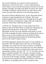We are left, therefore, by a process of the exclusion of alternatives, with one Exit only—a rise of internal prices; which leads us away from the fiscal field to the price level, the foreign exchanges, the gold in the Bank of France, the volume of foreign investment, and the balance of trade. Here I must invite your particular attention to an interesting paradox.

Successive Finance Ministers have, in fact, done their utmost to find an escape through the Exit I indicate. They have inflated magnificently, and they have brought down the gold value of the franc by progressive stages with only temporary set-backs. What more could they have done?

I will tell you. The great army of your predecessors have failed, in spite of all their efforts, to depreciate adequately the *internal purchasing power* of the franc. Your present difficulties are due, not to the inflation of the notes or to the fall of the exchange (for these events are tending all the time to help you out of your troubles), but to the failure of these factors to diminish proportionately the internal purchasing power of the rentier's money claims.

The following figures present the essence of your problem. In December 1925, the gold value of the franc on the foreign exchanges was 19 per cent of its pre-war parity; world gold prices were about 158 per cent of their pre-war level; therefore on the pre-war basis a note circulation and a franc price level amounting to 830 per cent (for  $158 \div 19 = 8.3$ ) of their pre-war figures would be justified. Now the note circulation, being about 1000 per cent of its pre-war figure, roughly corresponds to the level of the foreign exchange—though, allowing for increased territory and the loss of gold and silver coin from the circulation, it is probably still too low in relation to the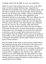exchange, rather than too high, on a pre-war comparison.

When we come to the internal franc price level, on the other hand, we find an entirely different story. Imported raw materials have inevitably risen to their international parity. But the classes of goods such as food and other articles entering into the cost-of-living index number, which are dominated by home production, are far below their equilibrium value. Wholesale food prices in November 1925 were 490 per cent of pre-war, retail prices in Paris (thirteen items) were 433 per cent, and in the third quarter of 1925 the cost-of-living index for Paris stood at 401 per cent. These figures may understate the real rise of prices, but it certainly seems that French domestic costs are not above five times their pre-war figure. This means that the prices of purely home produce, converted at the present rate of exchange, are not much more than *half* world prices, and are actually below their pre-war level in terms of gold. Thus the Inflation of the currency has produced its full effect on the exchanges, and consequently on the prices of imported commodities, but has largely failed to do so on the prices of home produce.

Now the burden of the rentier on the taxpayer is measured by the internal purchasing power of the francs which have to be taken from the latter to be handed to the former. *Thus if internal prices had risen as fast as the exchange has fallen, the real burden of the national debt service would be reduced by at least a third.* I suggest to you, therefore, that, whilst the solution of your fiscal difficulties can come about in no other way than by a rise in the internal price level, it is not so clear that this need be accompanied either by further Inflation or by a further fall in the exchange.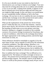It is for you to decide in your own mind at what level of internal prices you can hope to balance your budget. Your next step must be to bring about this rise in as orderly and scientific a way as you are able. Looking from outside, it appears to me that an internal price level between eight and nine times prewar might be high enough. In this case there is no justification for any considerable further Inflation or fall in the franc exchange. All you have to do is to stabilise the note circulation and the franc exchange at near their present level and to allow time for internal prices to rise correspondingly.

What are the explanations of the present low level of franc prices? I think that they are: (1) the time element—internal prices move slowly, but will move as they should in time; (2) the hoarding of bank-notes on an even greater scale than formerly, leading to a sluggish circulation of the available currency; (3) excessive foreign investment by Frenchmen, due to lack of confidence, which drives the exchange down below the figure appropriate to the trading position; and (4) the legal restrictions on rents, etc.

These influences should be remediable as regards (1) by the mere lapse of time, and as regards (2) and (3) by the restoration of internal confidence. The right strategy, therefore, is to restore confidence and then just wait. And the way to restore confidence is, surely, not to heap up taxes, but to stabilise the franc exchange beyond doubt or criticism near its present level.

How to stabilise the franc exchange? Not so difficult as it is supposed to be. The balance of trade is strongly in favour of France. The present level of internal prices encourages exports and discourages imports. The metallic reserve of the Bank of France is worth (at the present exchange) nearly 40 per cent of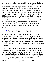the note issue. Nothing is required, I expect, but that the Bank of France should declare that for two years at least it will furnish dollar exchange against francs in unlimited amounts on terms *not worse* than some stated rate between dollars and francs, and that the Bank should be prepared, if necessary, to use its gold for the purpose. The rate selected should probably lie somewhere between 1 dollar for 25 francs and 1 dollar for 30 francs, and it would be safer to choose the latter ratio at first, with just a hope that the former might be achieved in the end.<sup>[12]</sup> The success of the scheme requires no more than that the Bank's undertaking should be believed. With this background of stability you will be able to borrow enough to carry you through the transitional period without further Inflation.

[12] [This was a happy guess, since the actual figure adopted two and a half years later was 25.5 francs to the dollar.]

For the rest you can trust time. As the internal price level gradually rises to an equilibrium with the exchange and as the machinery for collecting the taxes is gradually improved, your budget receipts will grow month by month until they balance the expenses. Those taxes which are fixed in francs and are not *ad valorem* should, of course, be raised *pari passu* with the rise in prices.

There are two matters on which the Government of France needs to exercise an iron resolve—to fix the franc exchange at a minimum figure even if it costs gold to do so, and to collect the taxes in full. These are the indispensable measures. Heroic efforts to increase the rates of taxation are, at this stage, efforts in a wrong direction, and will not be successful.

What are the arguments against these courses? They are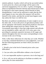entirely political. A policy which will not be successful unless it raises prices by a heavy percentage will be open to the universal unpopularity of *la vie chère*. A policy of bringing about an equilibrium between internal and external prices must be injurious to the export interests which flourish on their disequilibrium. It may not be sufficient to reply that the first must happen in any case unless the taxpayer will sacrifice himself to the rentier, and that the second must happen some day unless the franc is to fall for ever.

But there are political considerations of some weight to set on the other side. A rise in the prices of agricultural produce will not be unpopular with farmers and peasant producers who have been selling their output much too cheap. Further, the Government must make it clear that wage-earners and officials are not intended to suffer, and will, if it is wise, pass a law providing for automatic quarterly increases of all wages and salaries throughout the next two years corresponding to every increase in the cost of living.

Well, I offer these reflections for what they are worth. Whether or not they commend themselves to your judgement, I am sure that the following questions are those which you need to ponder:—

1. Would a rise in the level of internal prices solve your difficulties?

2. Can you solve your difficulties without a rise of prices?

3. Is it not impossible anyhow to prevent a rise in the long run?

4. If so, will you not be judicious to facilitate an orderly rise and to play for time meanwhile?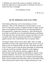5. Whether you choose this course or another, is there any sufficient objection to using the gold in the Bank of France to anchor the franc exchange?

Your obedient servant,

J. M. KEYNES

#### **(ii)** *The Stabilisation of the Franc* **(1928)**

One blames politicians, not for inconsistency, but for obstinacy. They are the interpreters, not the masters, of our fate. It is their job, in short, to register the *fait accompli*. In this spirit we all applaud M. Poincaré for not allowing himself to be hampered by a regard for consistency. After declaring for years that it would be an act of national bankruptcy and shame to devalue the franc, he has fixed it at about one-fifth of its prewar gold value, and has retorted with threats of resignation against anyone who would hinder him in so good a deed.

The figure finally chosen seems about right. There are high authorities in France who argue that one-sixth of pre-war (150 francs to the £) would be better and safer. But about one-fifth (124.21 francs to the  $E$ ) has the great advantage of conforming to the rate which has actually existed for some eighteen months. None of the relevant statistics suggests that M. Poincaré has made the mistake of stabilising at a figure which involves Deflation. No lower value for the franc (in terms of gold) than that now chosen has ever existed except during the hectic twelve months from December 1925 to November 1926, when internal prices had no time to adjust themselves to the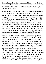furious fluctuations of the exchanges. Moreover, the Budget balances with the burden of the *rentes* on the taxpayer bearable at the present level. I see no sufficient reason, therefore, to choose a lower figure.

Is the value too low? For that is the line of criticism in France itself. There are two chief tests. Is it lower than the figure to which internal prices are adjusted? Does it demand too great a sacrifice from the rentier? The official Index Numbers, if taken at their face-value, suggest that prices are in line with a gold value of the franc nearer to one quarter (100 francs to the  $E$ ) than to one-fifth of the pre-war value. But the French Index Numbers are very crude affairs subject to a wide margin of error, and the two and a half years which has elapsed since the franc was worth more than the figure now fixed, is a fair time to allow for an adjustment of prices upward—a much quicker business than a downward adjustment can be. House rents doubtless must rise, but it is probable that other prices will trend only a little upward if at all, compared with gold prices abroad. As for the rentier, a very drastic capital levy having been brought about *de facto* and the awkward consequences surmounted, it is asking too much to undo gratuitously what is already done. Three other arguments, however, of a practical order are probably those which have convinced M. Poincaré. To choose a higher value for the franc might disturb the equilibrium of the Budget which has been so painfully achieved. It would upset the industrialist exporters—who have their means of exerting political influence. And—most tangible of all—it would involve the Bank of France in a loss on the foreign exchange, said to amount to some £300,000,000, which, as an agent of the Government, it has bought up at the present rate. To fix 100 francs to the £, for example, might cost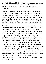the Bank of France £60,000,000, of which no mean proportion might accrue to foreigners. This is just the sort of argument which M. Poincaré and every other Frenchman is able to understand.

The deed, therefore, is done. Since it removes an element of uncertainty from the Money Markets and Stock Exchanges of the world, and since French importers and manufacturers need hesitate no longer, a good deal of purchasing power, which has been lying idle, may be returned to active employment. M. Poincaré has, therefore, done something—perhaps for the first time in his career—to make the rest of us feel more cheerful.

It is interesting to compare the several fortunes of France and Great Britain over the post-war period. In Great Britain our authorities have never talked such rubbish as their French colleagues or offended so grossly against all sound principles of finance. But Great Britain has come out of the transitional period with the weight of her war debt aggravated, her obligations to the United States unabated, and deflationary finance still in the ascendant; with the heavy burden of taxes appropriate to the former and a million unemployed as the outcome of the latter. France, on the other hand, has written down her internal war debt by four-fifths, and has persuaded her Allies to let her off more than half of her external debt; and now she is avoiding the sacrifices of Deflation. Yet she has contrived to do this without the slightest loss of reputation for conservative finance and capitalist principles. The Bank of France emerges much stronger than the Bank of England; and everyone still feels that France is the last stronghold of tenacious saving and the rentier mentality. Assuredly it does not pay to be good.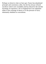Perhaps we deserve what we have got. France has abandoned principle and consistency alike, but she has always refused sacrifices which were avoidable and has obeyed in the end the teachings of experience. We in England have not submitted either to the warnings of theory or to the pressure of facts, obstinately obedient to conventions.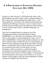# **4. A PROGRAMME OF EXPANSION (GENERAL ELECTION, MAY 1929)**

**I**

Except for a brief recovery in 1924 before the return to the gold standard, one-tenth or more of the working population of this country have been unemployed for eight years—a fact unprecedented in our history. The number of insured persons counted by the Ministry of Labour as out of work has never been less than one million since the initiation of their statistics in 1923. To-day (April 1929) 1,140,000 workpeople are unemployed.

This level of unemployment is costing us out of the Unemployment Fund a cash disbursement of about £50,000,000 a year. This does not include poor relief. Since 1921 we have paid out to the unemployed in cash a sum of about £500,000,000—and have got literally nothing for it. This sum would have built a million houses; it is nearly double the whole of the accumulated savings of the Post Office Savings Bank; it would build a third of all the roads in the country; it far exceeds the total value of all the mines, of every description, which we possess; it would be enough to revolutionise the industrial equipment of the country; or to proceed from what is heavy to what is lighter, it would provide every third family in the country with a motor car or would furnish a fund enough to allow the whole population to attend cinemas for nothing to the end of time.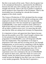But this is not nearly all the waste. There is the far greater loss to the unemployed themselves, represented by the difference between the dole and a full working wage, and by the loss of strength and morale. There is the loss in profits to employers and in taxation to the Chancellor of the Exchequer. There is the incalculable loss of retarding for a decade the economic progress of the whole country.

The Census of Production of 1924 calculated that the average value of the net annual output of a British working man when employed is about £220. On this basis the waste through unemployment since 1921 has mounted up to approximately £2,000,000,000, a sum which would be nearly sufficient to build all the railways in the country twice over. It would pay off our debt to America twice over. It is more than the total sum that the Allies are asking from Germany for Reparations.

It is important to know and appreciate these figures because they put the possible cost of Mr. Lloyd George's schemes into its true perspective. He calculates that a development programme of £100,000,000 a year will bring back 500,000 men into employment. This expenditure is not large in proportion to the waste and loss accruing year by year through unemployment, as can be seen by comparing it with the figures quoted above. It only represents 5 per cent of the loss already accumulated on account of unemployment since 1921. It is equal to about 2½ per cent of the national income. If the experiment were to be continued at the rate of £100,000,000 per annum for three years, and if the whole of it were to be entirely wasted, the annual interest payable on it hereafter would increase the Budget by less than 2 per cent. In short, it is a very modest programme. The idea that it represents a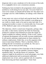desperate risk to cure a moderate evil is the reverse of the truth. It is a negligible risk to cure a monstrous anomaly.

Nothing has been included in the programme which cannot be justified as worth doing for its own sake. Yet even if half of it were to be wasted, we should still be better off. Was there ever a stronger case for a little boldness, for taking a risk if there be one?

It may seem very wise to sit back and wag the head. But while we wait, the unused labour of the workless is not piling up to our credit in a bank, ready to be used at some later date. It is running irrevocably to waste; it is irretrievably lost. Every puff of Mr. Baldwin's pipe costs us thousands of pounds.

The objection, which is raised more frequently, perhaps, than any other, is that money raised by the State for financing productive schemes must diminish *pro tanto* the supply of capital available for ordinary industry. If this is true, a policy of national development will not really increase employment. It will merely substitute employment on State schemes for ordinary employment. Either that, or (so the argument often runs) it must mean Inflation. There is, therefore, little or nothing that the Government can usefully do. The case is hopeless, and we must just drift along.

This was the contention of the Chancellor of the Exchequer in his Budget speech. "It is the orthodox Treasury dogma, steadfastly held," he told the House of Commons, "that whatever might be the political or social advantages, very little additional employment and no permanent additional employment can, in fact, and as a general rule, be created by State borrowing and State expenditure." Some State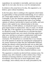expenditure, he concluded, is inevitable, and even wise and right for its own sake, but not as a cure for unemployment.

In relation to the actual facts of to-day, this argument is, we believe, quite without foundation.

In the first place, there is nothing in the argument which limits its applicability to State-promoted undertakings. If it is valid at all, it must apply equally to a new works started by Morris, or Courtaulds, to any new business enterprise entailing capital expenditure. If it were announced that some of our leading captains of industry had decided to launch out boldly, and were about to sink capital in new industrial plant to the tune, between them, of £100 millions, we should all expect to see a great improvement in employment. And, of course, we should be right. But, if the argument we are dealing with were sound, we should be wrong. We should have to conclude that these enterprising business men were merely diverting capital from other uses, and that no real gain to employment could result. Indeed, we should be driven to a still more remarkable conclusion. We should have to conclude that it was virtually out of the question to absorb our unemployed workpeople by any means whatsoever (other than the unthinkable Inflation), and that the obstacle which barred the path was no other than an insufficiency of capital. This, if you please, in Great Britain, who has surplus savings which she is accustomed to lend abroad on the scale of more than a hundred millions a year.

The argument is certainly not derived from common sense. No ordinary man, left to himself, is able to believe that, if there had been no housing schemes in recent years, there would, nevertheless, have been just as much employment. And, accordingly, most ordinary men are easily persuaded by Mr.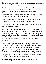Lloyd George that, if his schemes for employment are adopted, more men will be employed.

But the argument is not only unplausible. It is also untrue. There are three resources which can enable new investment to provide a net addition to the amount of employment.

The first source of supply comes out of the savings which we are now disbursing to pay the unemployed.

The second source of supply comes from the savings which now run to waste through lack of adequate credit.

The third source of supply comes from a reduction in the *net* amount of foreign lending.

Let us consider these in turn, beginning with the first source. Individual saving means that some individuals are *producing* more than they are *consuming*. This surplus may, and should, be used to increase capital equipment. But, unfortunately, this is not the only way in which it can be used. It can also be used to enable other individuals to *consume* more than they *produce*.

This is what happens when there is unemployment. We are using our savings to pay for unemployment instead of using them to equip the country. The savings which Mr. Lloyd George's schemes will employ will be diverted not from financing other capital equipment, but partly from financing unemployment. From the Unemployment Fund alone we are now paying out £50,000,000 a year; and this is not the whole of the cost of supporting the unemployed.

In the second place, the savings of individuals do not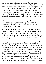necessarily materialise in investments. The amount of investment in capital improvements depends, on the one hand, on the amount of credit created by the Bank of England; and, on the other hand, on the eagerness of entrepreneurs to invest, of whom the Government itself is nowadays the most important. So far from the total of investment, as determined by these factors, being necessarily equal to the total of saving, disequilibrium between the two is at the root of many of our troubles.

When investment runs ahead of saving we have a boom, intense employment, and a tendency to Inflation. When investment lags behind, we have a slump and abnormal unemployment, as at present.

It is commonly objected to this that an expansion of credit necessarily means Inflation. But not *all* credit-creation means Inflation. Inflation only results when we endeavour, as we did in the war and afterwards, to expand our activities still further after everyone is already employed and our savings are being used up to the hilt.

The suggestion that a policy of capital expenditure, if it does not take capital away from ordinary industry, will spell Inflation, would be true enough if we were dealing with boom conditions. And it would become true if the policy of capital expenditure were pushed unduly far, so that the demand for savings began to exceed the supply. But we are far, indeed, from such a position at the present time. A large amount of deflationary slack has first to be taken up before there can be the smallest danger of a development policy leading to Inflation. To bring up the bogy of Inflation as an objection to capital expenditure at the present time is like warning a patient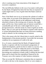who is wasting away from emaciation of the dangers of excessive corpulence.

The real difficulty hitherto in the way of an easier credit policy by the Bank of England has been the fear that an expansion of credit might lead to a loss of gold which the Bank could not afford.

Now if the Bank were to try to increase the volume of credit at a time when, on account of the depression of home enterprise, no reliance could be placed on the additional credit being absorbed at home at the existing rate of interest, this might quite well be true. Since market rates of interest would fall, a considerable part of the new credit might find its way to *foreign* borrowers, with the result of a drain of gold out of the Bank. Thus it is not safe for the Bank to expand credit unless it is certain beforehand that there are *home* borrowers standing ready to absorb it at the existing rates of interest.

This is the reason why the Liberal plan is exactly suited to the fundamentals of the present position. It provides the necessary condition for an expansion of credit to be safe.

It is, of course, essential that the Bank of England should loyally co-operate with the Government's programme of capital development, and do its best to make it a success. For, unfortunately, it would lie within the power of the Bank, provided it were to pursue a deflationary policy aimed at preventing any expansion in bank-credit, to defeat the best-laid plans and to ensure that the expenditure financed by the Treasury *was* at the expense of other business enterprise.

Thus we accept Mr. McKenna's contention that an expansion of credit is the key to the situation. But if we were simply to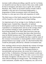increase credit without providing a specific use for it at home, we should be nervous that too much of this extra credit would be lent to foreigners and taken away in gold. We conclude, therefore, that, whilst an increased volume of bank-credit is probably a *sine qua non* of increased employment, a programme of home investment which will absorb this increase is a *sine qua non* of the safe expansion of credit.

The third source of the funds required for the Liberal policy will be found by a net reduction of foreign lending.

An important part of our savings is now finding its outlet in foreign issues. Granted that a big policy of national development could not be financed wholly out of the existing expenditure on unemployment and out of the savings which are at present running to waste, granted that, to meet the borrowing demands of the State other borrowers must go without, why should we assume that these other borrowers must be British business men? The technique of the capital market makes it far more probable that they would be some of the overseas Governments or municipalities which London at present finances on so large a scale. It is the bond market that would be principally affected by a British Government loan.

Now anything which served to diminish the volume of foreign issues would be welcomed by the Bank of England at the present time for its own sake. The exchange position is uncomfortable and precarious; the recent rise in bank-rate is proof of that. A diminution of foreign investment would ease the strain on the exchanges. Why, it is only a year or two since the Bank of England, with this end in view, was maintaining a semi-official embargo on foreign issues. The embargo was a crude instrument, suitable only for temporary use, and we do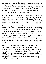not suggest its renewal. But the need which that embargo was designed to supply still remains, if in a less acute degree. In relation to our less favourable balance of foreign trade, we are investing abroad dangerously much; and we are investing abroad to this dangerous extent partly because there are insufficient outlets for our savings at home.

It follows, therefore, that a policy of capital expenditure, in so far as it might go beyond the mere absorption of deflationary slack, would serve mainly to divert to home development savings which now find their way abroad, and that this would be a welcome result in the interests of the Bank of England.

It has been objected that if we lend less abroad, our exports will fall off. We see no reason to anticipate this. Immediately, as we have said, the reduction in *net* foreign lending will relieve the pressure on the Bank of England's stock of gold. But, ultimately, its main effect will be realised, not in a reduction of exports, but in an increase of imports. For the new schemes will require a certain amount of imported raw materials, whilst those who are now unemployed will consume more imported food when they are once again earning decent wages.

Here, then, is our answer. The savings which Mr. Lloyd George's schemes will employ will be diverted, not from financing other capital equipment, but partly from financing unemployment. A further part will come from the savings which now run to waste through lack of adequate credit. Something will be provided by the very prosperity which the new policy will foster. And the balance will be found by a reduction of foreign lending.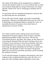The whole of the labour of the unemployed is available to increase the national wealth. It is crazy to believe that we shall ruin ourselves financially by trying to find means for using it and that "Safety First" lies in continuing to maintain men in idleness.

It is precisely *with* our unemployed productive resources that we shall make the new investments.

We are left with a broad, simple, and surely incontestable proposition. Whatever real difficulties there may be in the way of absorbing our unemployed labour in productive work, an inevitable diversion of resources from other forms of employment is not one of them.

## **II**

Our whole economic policy during recent years has been dominated by the preoccupation of the Treasury with their departmental problem of debt conversion. The less the Government borrows, the better, they argue, are the chances of converting the National Debt into loans carrying a lower rate of interest. In the interests of conversion, therefore, they have exerted themselves to curtail, as far as they can, all public borrowing, all capital expenditure by the State, no matter how productive and desirable in itself. We doubt if the general public has any idea how powerful, persistent, and far-reaching this influence has been.

To all well-laid schemes of progress and enterprise, they have (whenever they could) barred the door with, No! Now, it is quite true, that curtailing capital expenditure exerts some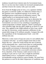tendency towards lower interest rates for Government loans. But it is no less true that it makes for increased unemployment and that it leaves the country with a pre-war outfit.

Even from the Budget point of view, it is a question whether the game is worth the candle. It is difficult to believe that, if this question were considered squarely on its merits, any intelligent person could return an affirmative answer. The capital market is an international market. All sorts of influences which are outside our control go to determine the gilt-edged rate of interest; and the effect which the British Government can exert on it by curtailing or expanding its capital programme is limited. Suppose, which is putting the case extremely high, that the effect might be as much as ¼ per cent. This, applied to the £2000 millions of War Loan, which are ripe for conversion, would represent a difference in the annual debt charge of £5 millions annually. Compare this with the expenditure of the Unemployment Fund—over £50 millions last year.

Moreover, in the course of (say) ten years it is not unlikely that a situation will arise—as used to happen from time to time before the war—when for world reasons the rate of interest will be abnormally low—much lower than we could possibly hope for by Treasury contrivances in the exceptionally unfavourable environment of abnormally high world rates. This will be the moment for a successful conversion scheme. Even, therefore, if the Treasury could convert to-day at a saving of  $\frac{1}{4}$  per cent or  $\frac{1}{2}$  per cent, it might be extremely improvident to do so. A premature conversion for an inconsiderable saving would be a grave blunder. We must have the patience to wait for the ideal conjuncture of conditions, and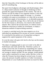then the Chancellor of the Exchequer of the day will be able to pull off something big.

But apart from budgetary advantages and disadvantages, there is a deep-seated confusion of thought in hindering on these grounds the capital development of the country. The rate of interest can fall for either of two opposite reasons. It may fall on account of an abundant supply of savings, *i.e.* of money available to be spent on investments; or it may fall on account of a deficient supply of investments, *i.e.* on desirable purposes on which to spend the savings. Now a fall in the rate of interest for the first reason is, obviously, very much in the national interest. But a fall for the second reason, if it follows from a deliberate restriction of outlets for investment, is simply a disastrous method of impoverishing ourselves.

A country is enriched not by the mere negative act of an individual not spending all his income on current consumption. It is enriched by the positive act of using these savings to augment the capital equipment of the country.

It is not the miser who gets rich; but he who lays out his money in fruitful investment.

The object of urging people to save is *in order* to be able to build houses and roads and the like. Therefore a policy of trying to lower the rate of interest by suspending new capital improvements and so stopping up the outlets and purposes of our savings is simply suicidal. No one, perhaps, would uphold such a policy expressed in so many words. But this, in fact, is what the Treasury has been doing for several years. In some cases, the pressure of public opinion or of other Government Departments or Local Authorities has been too much for them.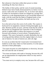But whenever it has been within their power to choke something off, they have done so.

The futility of their policy and the want of sound reasoning behind it have been finally demonstrated by its failure even to secure a fall in the rate of interest. For, as we have seen above, if outlets for investment at home are stopped up, savings flow abroad on a scale disproportionate to our favourable balance of trade, with the result that the Bank of England tends to lose gold. To counteract this position, the bank-rate has to be raised.

So in the end we have the worst of all worlds. The country is backward in its equipment, instead of being thoroughly up to date. Business profits are poor, with the result that the yield of the income tax disappoints the Chancellor of the Exchequer, and he is unable either to relieve the taxpayer or to push forward with schemes of social reform. Unemployment is rampant. This want of prosperity actually diminishes the rate of saving and thus defeats even the original object of a lower rate of interest. So rates of interest are, after all, high.

It is not an accident that the Conservative Government have landed us in the mess where we find ourselves. It is the natural outcome of their philosophy:

"You must not press on with telephones or electricity, because this will raise the rate of interest."

"You must not hasten with roads or housing, because this will use up opportunities for employment which we may need in later years."

"You must not try to employ every one, because this will cause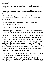inflation."

"You must not invest, because how can you know that it will pay?"

"You must not do anything, because this will only mean that you can't do something else."

"Safety First! The policy of maintaining a million unemployed has now been pursued for eight years without disaster. Why risk a change?"

"We will not promise more than we can perform. We, therefore, promise nothing."

This is what we are being fed with.

They are slogans of depression and decay—the timidities and obstructions and stupidities of a sinking administrative vitality.

Negation, Restriction, Inactivity—these are the Government's watchwords. Under their leadership we have been forced to button up our waistcoats and compress our lungs. Fears and doubts and hypochondriac precautions are keeping us muffled up indoors. But we are not tottering to our graves. We are healthy children. We need the breath of life. There is nothing to be afraid of. On the contrary. The future holds in store for us far more wealth and economic freedom and possibilities of personal life than the past has ever offered.

There is no reason why we should not feel ourselves free to be bold, to be open, to experiment, to take action, to try the possibilities of things. And over against us, standing in the path, there is nothing but a few old gentlemen tightly buttonedup in their frock coats, who only need to be treated with a little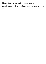friendly disrespect and bowled over like ninepins.

Quite likely they will enjoy it themselves, when once they have got over the shock.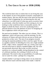# **5. THE GREAT SLUMP OF 1930 (1930)**

**I**

The world has been slow to realise that we are living this year in the shadow of one of the greatest economic catastrophes of modern history. But now that the man in the street has become aware of what is happening, he, not knowing the why and wherefore, is as full to-day of what may prove excessive fears as, previously, when the trouble was first coming on, he was lacking in what would have been a reasonable anxiety. He begins to doubt the future. Is he now awakening from a pleasant dream to face the darkness of facts? Or dropping off into a nightmare which will pass away?

He need not be doubtful. The other was *not* a dream. This *is* a nightmare, which will pass away with the morning. For the resources of Nature and men's devices are just as fertile and productive as they were. The rate of our progress towards solving the material problems of life is not less rapid. We are as capable as before of affording for every one a high standard of life—high, I mean, compared with, say, twenty years ago and will soon learn to afford a standard higher still. We were not previously deceived. But to-day we have involved ourselves in a colossal muddle, having blundered in the control of a delicate machine, the working of which we do not understand. The result is that our possibilities of wealth may run to waste for a time—perhaps for a long time.

I doubt whether I can hope to bring what is in my mind into fully effective touch with the mind of the reader. I shall be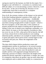saying too much for the layman, too little for the expert. Forthough no one will believe it—economics is a technical and difficult subject. It is even becoming a science. However, I will do my best—at the cost of leaving out, because it is too complicated, much that is necessary to a complete understanding of contemporary events.

First of all, the extreme violence of the slump is to be noticed. In the three leading industrial countries of the world—the United States, Great Britain, and Germany—10,000,000 workers stand idle. There is scarcely an important industry anywhere earning enough profit to make it expand—which is the test of progress. At the same time, in the countries of primary production the output of mining and of agriculture is selling, in the case of almost every important commodity, at a price which, for many or for the majority of producers, does not cover its cost. In 1921, when prices fell as heavily, the fall was from a boom level at which producers were making abnormal profits; and there is no example in modern history of so great and rapid a fall of prices from a normal figure as has occurred in the past year. Hence the magnitude of the catastrophe.

The time which elapses before production ceases and unemployment reaches its maximum is, for several reasons, much longer in the case of the primary products than in the case of manufacture. In most cases the productive units are smaller and less well organised amongst themselves for enforcing a process of orderly contraction; the length of the production period, especially in agriculture, is longer; the costs of a temporary shut-down are greater; men are more often their own employers and so submit more readily to a contraction of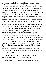the income for which they are willing to work; the social problems of throwing men out of employment are greater in more primitive communities; and the financial problems of a cessation of production of primary output are more serious in countries where such primary output is almost the whole sustenance of the people. Nevertheless we are fast approaching the phase in which the output of primary producers will be restricted almost as much as that of manufacturers; and this will have a further adverse reaction on manufacturers, since the primary producers will have no purchasing power wherewith to buy manufactured goods; and so on, in a vicious circle.

In this quandary individual producers base illusory hopes on courses of action which would benefit an individual producer or class of producers so long as they were alone in pursuing them, but which benefit no one if every one pursues them. For example, to restrict the output of a particular primary commodity raises its price, so long as the output of the industries which use this commodity is unrestricted; but if output is restricted all round, then the demand for the primary commodity falls off by just as much as the supply, and no one is further forward. Or again, if a particular producer or a particular country cuts wages, then, so long as others do not follow suit, that producer or that country is able to get more of what trade is going. But if wages are cut all round, the purchasing power of the community as a whole is reduced by the same amount as the reduction of costs; and, again, no one is further forward.

Thus neither the restriction of output nor the reduction of wages serves in itself to restore equilibrium.

Moreover, even if we were to succeed eventually in re-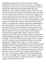establishing output at the lower level of money-wages appropriate to (say) the pre-war level of prices, our troubles would not be at an end. For since 1914 an immense burden of bonded debt, both national and international, has been contracted, which is fixed in terms of money. Thus every fall of prices increases the burden of this debt, because it increases the value of the money in which it is fixed. For example, if we were to settle down to the pre-war level of prices, the British National Debt would be nearly 40 per cent greater than it was in 1924 and double what it was in 1920; the Young Plan would weigh on Germany much more heavily than the Dawes Plan, which it was agreed she could not support; the indebtedness to the United States of her associates in the Great War would represent 40-50 per cent more goods and services than at the date when the settlements were made; the obligations of such debtor countries as those of South America and Australia would become insupportable without a reduction of their standard of life for the benefit of their creditors; agriculturists and householders throughout the world, who have borrowed on mortgage, would find themselves the victims of their creditors. In such a situation it must be doubtful whether the necessary adjustments could be made in time to prevent a series of bankruptcies, defaults, and repudiations which would shake the capitalist order to its foundations. Here would be a fertile soil for agitation, seditions, and revolution. It is so already in many quarters of the world. Yet, all the time, the resources of Nature and men's devices would be just as fertile and productive as they were. The machine would merely have been jammed as the result of a muddle. But because we have magneto trouble, we need not assume that we shall soon be back in a rumbling waggon and that motoring is over.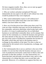We have magneto trouble. How, then, can we start up again? Let us trace events backwards.

1. Why are workers and plant unemployed? Because industrialists do not expect to be able to sell without loss what would be produced if they were employed.

2. Why cannot industrialists expect to sell without loss? Because prices have fallen more than costs have fallen indeed, costs have fallen very little.

3. How can it be that prices have fallen more than costs? For costs are what a business man pays out for the production of his commodity, and prices determine what he gets back when he sells it. It is easy to understand how for an individual business or an individual commodity these can be unequal. But surely for the community as a whole the business men get back the same amount as they pay out, since what the business men pay out in the course of production constitutes the incomes of the public which they pay back to the business men in exchange for the products of the latter? For this is what we understand by the normal circle of production, exchange, and consumption.

4. No! Unfortunately this is not so; and here is the root of the trouble. It is not true that what the business men pay out as costs of production necessarily comes back to them as the saleproceeds of what they produce. It is the characteristic of a boom that their sale-proceeds exceed their costs; and it is the characteristic of a slump that their costs exceed their saleproceeds. Moreover, it is a delusion to suppose that they can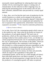<span id="page-129-0"></span>necessarily restore eq[uilib](#page-129-0)rium by reducing their total costs, whether it be by restricting their output or cutting rates of remuneration; for the reduction of their outgoings may, by reducing the purchasing power of the earners who are also their customers, diminish their sale-proceeds by a nearly equal amount.

5. How, then, can it be that the total costs of production for the world's business as a whole can be unequal to the total saleproceeds? Upon what does the inequality depend? I think that I know the answer. But it is too complicated and unfamiliar for me to expound it here satisfactorily. (Elsewhere I have tried to expound it accurately.<sup>[13]</sup>) So I must be somewhat perfunctory.

[13] [In my *Treatise on Money*.]

Let us take, first of all, the consumption-goods which come on to the market for sale. Upon what do the profits (or losses) of the producers of such goods depend? The total costs of production, which are the same thing as the community's total earnings looked at from another point of view, are divided in a certain proportion between the cost of consumption-goods and the cost of capital-goods. The incomes of the public, which are again the same thing as the community's total earnings, are also divided in a certain proportion between expenditure on the purchase of consumption-goods and savings. Now if the first proportion is larger than the second, producers of consumption-goods will *lose* money; for their sale proceeds, which are equal to the expenditure of the public on consumption-goods, will be less (as a little thought will show) than what these goods have cost them to produce. If, on the other hand, the second proportion is larger than the first, then the producers of consumption-goods will make exceptional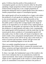*gains*. It follows that the profits of the producers of consumption-goods can only be restored, either by the public spending a larger proportion of their incomes on such goods (which means saving less), or by a larger proportion of production taking the form of capital-goods (since this means a smaller proportionate output of consumption-goods).

But capital-goods will not be produced on a larger scale unless the producers of such goods are making a profit. So we come to our second question—upon what do the profits of the producers of capital-goods depend? They depend on whether the public prefer to keep their savings liquid in the shape of money or its equivalent or to use them to buy capital-goods or the equivalent. If the public are reluctant to buy the latter, then the producers of capital-goods will make a loss; consequently less capital-goods will be produced; with the result that, for the reasons given above, producers of consumption-goods will also make a loss. In other words, *all* classes of producers will tend to make a loss; and general unemployment will ensue. By this time a vicious circle will be set up, and, as the result of a series of actions and reactions, matters will get worse and worse until something happens to turn the tide.

This is an unduly simplified picture of a complicated phenomenon. But I believe that it contains the essential truth. Many variations and fugal embroideries and orchestrations can be superimposed; but this is the tune.

If, then, I am right, the fundamental cause of the trouble is the lack of new enterprise due to an unsatisfactory market for capital investment. Since trade is international, an insufficient output of new capital-goods in the world as a whole affects the prices of commodities everywhere and hence the profits of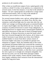producers in all countries alike.

Why is there an insufficient output of new capital-goods in the world as a whole? It is due, in my opinion, to a conjunction of several causes. In the first instance, it was due to the attitude of lenders—for new capital-goods are produced to a large extent with borrowed money. Now it is due to the attitude of borrowers, just as much as to that of lenders.

For several reasons lenders were, and are, asking higher terms for loans than new enterprise can afford. First, the fact, that enterprise could afford high rates for some time after the war whilst war wastage was being made good, accustomed lenders to expect much higher rates than before the war. Second, the existence of political borrowers to meet Treaty obligations, of banking borrowers to support newly restored gold standards, of speculative borrowers to take part in Stock Exchange booms, and, latterly, of distress borrowers to meet the losses which they have incurred through the fall of prices, all of whom were ready if necessary to pay almost any terms, have hitherto enabled lenders to secure from these various classes of borrowers higher rates than it is possible for genuine new enterprise to support. Third, the unsettled state of the world and national investment habits have restricted the countries in which many lenders are prepared to invest on any reasonable terms at all. A large proportion of the globe is, for one reason or another, distrusted by lenders, so that they exact a premium for risk so great as to strangle new enterprise altogether. For the last two years, two out of the three principal creditor nations of the world, namely, France and the United States, have largely withdrawn their resources from the international market for long-term loans.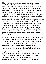Meanwhile, the reluctant attitude of lenders has become matched by a hardly less reluctant attitude on the part of borrowers. For the fall of prices has been disastrous to those who have borrowed, and any one who has postponed new enterprise has gained by his delay. Moreover, the risks that frighten lenders frighten borrowers too. Finally, in the United States, the vast scale on which new capital enterprise has been undertaken in the last five years has somewhat exhausted for the time being—at any rate so long as the atmosphere of business depression continues—the profitable opportunities for yet further enterprise. By the middle of 1929 new capital undertakings were already on an inadequate scale in the world as a whole, outside the United States. The culminating blow has been the collapse of new investment inside the United States, which to-day is probably 20 to 30 per cent less than it was in 1928. Thus in certain countries the opportunity for new profitable investment is more limited than it was; whilst in others it is more risky.

A wide gulf, therefore, is set between the ideas of lenders and the ideas of borrowers for the purpose of genuine new capital investment; with the result that the savings of the lenders are being used up in financing business losses and distress borrowers, instead of financing new capital works.

At this moment the slump is probably a little overdone for psychological reasons. A modest upward reaction, therefore, may be due at any time. But there cannot be a real recovery, in my judgement, until the ideas of lenders and the ideas of productive borrowers are brought together again; partly by lenders becoming ready to lend on easier terms and over a wider geographical field, partly by borrowers recovering their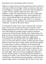good spirits and so becoming readier to borrow.

Seldom in modern history has the gap between the two been so wide and so difficult to bridge. Unless we bend our wills and our intelligences, energised by a conviction that this diagnosis is right, to find a solution along these lines, then, if the diagnosis *is* right, the slump may pass over into a depression, accompanied by a sagging price level, which might last for years, with untold damage to the material wealth and to the social stability of every country alike. Only if we seriously seek a solution, will the optimism of my opening sentences be confirmed—at least for the nearer future.

It is beyond the scope of this essay to indicate lines of future policy. But no one can take the first step except the central banking authorities of the chief creditor countries; nor can any one Central Bank do enough acting in isolation. Resolute action by the Federal Reserve Banks of the United States, the Bank of France, and the Bank of England might do much more than most people, mistaking symptoms or aggravating circumstances for the disease itself, will readily believe. In every way the most effective remedy would be that the Central Banks of these three great creditor nations should join together in a bold scheme to restore confidence to the international long-term loan market; which would serve to revive enterprise and activity everywhere, and to restore prices and profits, so that in due course the wheels of the world's commerce would go round again. And even if France, hugging the supposed security of gold, prefers to stand aside from the adventure of creating new wealth, I am convinced that Great Britain and the United States, like-minded and acting together, could start the machine again within a reasonable time; if, that is to say, they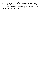were energised by a confident conviction as to what was wrong. For it is chiefly the lack of this conviction which to-day is paralysing the hands of authority on both sides of the Channel and of the Atlantic.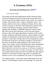## **6. Economy (1931)**

#### **(i)** *Saving and Spending* **(Jan. 1931) [14]**

[14] A Broadcast Address.

The slump in trade and employment and the business losses which are being incurred are as bad as the worst which have ever occurred in the modern history of the world. No country is exempt. The privation and—what is sometimes worse—the anxiety which exist to-day in millions of homes all over the world is extreme. In the three chief industrial countries of the world, Great Britain, Germany, and the United States, I estimate that probably 12,000,000 industrial workers stand idle. But I am not sure that there is not even more human misery to-day in the great agricultural countries of the world— Canada, Australia, and South America, where millions of small farmers see themselves ruined by the fall in the prices of their products, so that their receipts after harvest bring them in much less than the crops have cost them to produce. For the fall in the prices of the great staple products of the world such as wheat, wool, sugar, cotton, and indeed most other commodities has been simply catastrophic. Most of these prices are now below their pre-war level; yet costs, as we all know, remain far above their pre-war level. A week or two ago, it is said, wheat in Liverpool sold at the lowest price recorded since the reign of Charles II. more than 250 years ago. How is it possible for farmers to live in such conditions? Of course it is impossible.

You might suppose—and some austere individuals do in fact believe—that cheapness must be an advantage. For what the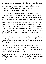producer loses, the consumer gains. But it is not so. For those of us who work—and we are in the great majority—can only consume so long as we produce. So that anything which interferes with the processes of production necessarily interferes also with those of consumption.

The reason for this is that there are all kinds of obstacles to the costs and prices of everything falling equally. For example, the wages-costs of most manufacturers are practically the same as they were. See how the vicious process works out. The prices of wool and wheat fall. Good for the British consumer of wheat and woollen garments—so one might suppose. But the producers of wool and wheat, since they receive too little for their products, cannot make their usual purchases of British goods. Consequently those British consumers who are at the same time workers who make these goods find themselves out of work. What is the use of cheapness when incomes are falling?

When Dr. Johnson, visiting the Island of Skye, was told that twenty eggs might be bought for a penny, he said, "Sir, I don't gather from this that eggs are plenty in your miserable Island, but that pence are few."

Cheapness which is due to increased efficiency and skill in the arts of production is indeed a benefit. But cheapness which means the ruin of the producer is one of the greatest economic disasters which can possibly occur.

It would not be true to say that we are not taking a grave view of the case. Yet I doubt whether we are taking a grave enough view. In the enforced idleness of millions, enough potential wealth is running to waste to work wonders. Many million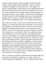pounds' worth of goods could be produced each day by the workers and the plants which stand idle—and the workers would be the happier and the better for it. We ought to sit down to mend matters, in the mood of grave determination and the spirit of action at all costs, which we should have in a war. Yet a vast inertia seems to weigh us down. The peculiarity of the position to-day—to my mind—is that there is something to be said for nearly all the remedies that any one has proposed, though some, of course, are better than others. All the rival policies have something to offer. Yet we adopt none of them.

The worst of it is that we have one excellent excuse for doing nothing. To a large extent the cure lies outside our own power. The problem is an international one, and for a country which depends on foreign trade as much as we do there are narrow limits to what we can achieve by ourselves. But this is not the only reason why we are inactive. Nor is it a sufficient reason. For something we can do by ourselves. The other principal reason, in my opinion, is a serious misunderstanding as to what kind of action is useful and what kind is not. There are to-day many well-wishers of their country who believe that the most useful thing which they and their neighbours can do to mend the situation is to *save* more than usual. If they refrain from spending a larger proportion of their incomes than usual they believe that they will have helped employment. If they are members of Town or County Councils they believe that their right course at such a time as this is to oppose expenditure on new amenities or new public works.

Now, in certain circumstances all this would be quite right, but in present circumstances, unluckily, it is quite wrong. It is utterly harmful and misguided—the very opposite of the truth.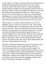For the object of saving is to release labour for employment on producing capital-goods such as houses, factories, roads, machines, and the like. But if there is a large unemployed surplus already available for such purposes, then the effect of saving is merely to add to this surplus and therefore to increase the number of the unemployed. Moreover, when a man is thrown out of work in this or any other way, his diminished spending power causes further unemployment amongst those who would have produced what he can no longer afford to buy. And so the position gets worse and worse in a vicious circle.

The best guess I can make is that whenever you save five shillings, you put a man out of work for a day. Your saving that five shillings adds to unemployment to the extent of one man for one day—and so on in proportion. On the other hand, whenever you buy goods you increase employment—though they must be British, home-produced goods if you are to increase employment in this country. After all, this is only the plainest common sense. For if you buy goods, someone will have to make them. And if you do not buy goods, the shops will not clear their stocks, they will not give repeat orders, and some one will be thrown out of work.

Therefore, oh patriotic housewives, sally out to-morrow early into the streets and go to the wonderful sales which are everywhere advertised. You will do yourselves good—for never were things so cheap, cheap beyond your dreams. Lay in a stock of household linen, of sheets and blankets to satisfy all your needs. And have the added joy that you are increasing employment, adding to the wealth of the country because you are setting on foot useful activities, bringing a chance and a hope to Lancashire, Yorkshire, and Belfast.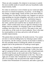These are only examples. Do whatever is necessary to satisfy the most sensible needs of yourself and your household, make improvements, build.

For what we need now is not to button up our waistcoats tight, but to be in a mood of expansion, of activity—to do things, to buy things, to make things. Surely all this is the most obvious common sense. For take the extreme case. Suppose we were to stop spending our incomes altogether, and were to save the lot. Why, every one would be out of work. And before long we should have no incomes to spend. No one would be a penny the richer, and the end would be that we should all starve to death—which would surely serve us right for refusing to buy things from one another, for refusing to take in one another's washing, since that is how we all live. The same is true, and even more so, of the work of a local authority. Now is the time for municipalities to be busy and active with all kinds of sensible improvements.

The patient does not need rest. He needs exercise. You cannot set men to work by holding back, by refusing to place orders, by inactivity. On the contrary, activity of one kind or another is the only possible means of making the wheels of economic progress and of the production of wealth go round again.

Nationally, too, I should like to see schemes of greatness and magnificence designed and carried through. I read a few days ago of a proposal to drive a great new road, a broad boulevard, parallel to the Strand, on the south side of the Thames, as a new thoroughfare joining Westminster to the City. That is the right sort of notion. But I should like to see something bigger still. For example, why not pull down the whole of South London from Westminster to Greenwich, and make a good job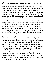of it—housing on that convenient area near to their work a much greater population than at present, in far better buildings with all the conveniences of modern life, yet at the same time providing hundreds of acres of squares and avenues, parks and public spaces, having, when it was finished, something magnificent to the eye, yet useful and convenient to human life as a monument to our age. Would that employ men? Why, of course it would! Is it better that the men should stand idle and miserable, drawing the dole? Of course it is not.

These, then, are the chief observations which I want to leave with you now—first of all, to emphasise the extreme gravity of the situation, with about a quarter of our working population standing idle; next, that the trouble is a world-wide one which we cannot cure by ourselves; and, third, that we can all the same do something by ourselves and that something must take the form of activity, of doing things, of spending, of setting great enterprises afoot.

But I also have one final theme to put before you. I fancy that a reason why some people may be a little horrified at my suggestions is the fear that we are much too poor to be able to afford what they consider to be extravagance. They think that we are poor, much poorer than we were and that what we chiefly need is to cut our coat according to our cloth, by which they mean that we must curtail our consumption, reduce our standard of life, work harder and consume less; and that that is the way out of the wood. This view is not, in my judgement, in accordance with the facts. We have plenty of cloth and only lack the courage to cut it into coats. I want, therefore, to give you some cheerful facts to dispose you to take an ampler view of the economic strength of this country.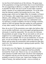Let me first of all remind you of the obvious. The great mass of the population is living much better than it ever lived before. We are supporting in idleness, at a higher standard of life than is possible for those who are in work in most other countries, nearly a quarter of our employable population. Yet at the same time the national wealth is increasing year by year. After paying wages which are far higher than, for example, in France or in Germany, after supporting a quarter of our population in idleness, after adding to the country's equipment of houses and roads and electrical plant and so forth on a substantial scale, we still have a surplus available to be lent to foreign countries, which in 1929 was greater than the surplus for such purposes of any other country in the world, even of the United States.

How do we do it? If the pessimists were right who believe that we are terribly inefficient, over-extravagant and getting poorer, obviously it would be impossible. We can only do it because the pessimists are quite wrong. We are not nearly so rich as we might be if we could manage our affairs better and not get them into such a muddle. But we are not inefficient, we are not poor, we are not living on our capital. Quite the contrary. Our labour and our plant are enormously more productive than they used to be. Our national income is going up quite quickly. That is how we do it.

Let me give you a few figures. As compared with so recent a date as 1924, our productive output per head has probably increased by 10 per cent. That is to say, we can produce the same amount of wealth with 10 per cent fewer men employed. As compared with pre-war the increase in output per head is probably as much as 20 per cent. Apart from changes in the value of money, the national income—even so recently as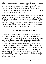1929 with a great mass of unemployment (it cannot, of course, be quite so good to-day)—was probably increasing by as much as £100,000,000 a year; and this has been going on year by year for a good many years. At the same time we have been quietly carrying through almost a revolution in the distribution of incomes in the direction of equality.

Be confident, therefore, that we are suffering from the growing pains of youth, not from the rheumatics of old age. We are failing to make full use of our opportunities, failing to find an outlet for the great increase in our productive powers and our productive energy. Therefore we must not draw in our horns; we must push them out. Activity and boldness and enterprise, both individually and nationally, must be the cure.

## **(ii)** *The Economy Report* **(Aug. 15, 1931)**

The Report of the Economy Committee can be considered from several points of view. It is an exceedingly valuable document because it is a challenge to us to make up our minds one way or the other on certain vital matters of policy. In particular it invites us to decide whether it is our intention to make the Deflation effective by transmitting the reduction of international prices to British salaries and wages; though if this *is* our intention, it would be absurd to pretend that the process can stop with school-teachers and policemen. The Committee's Report goes too far or not far enough. But this is not the question which I wish to discuss here. I would like to confine myself to what has been so far, as it seems to me, a neglected aspect of the Report.

The Committee show no evidence of having given a moment's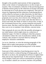thought to the possible repercussions of their programme, either on the volume of unemployment or on the receipts of taxation. They recommend a reduction of the purchasing power of British citizens partly by the reduction of incomes and partly by throwing out of work persons now employed. They give no reason for supposing that this reduction of purchasing power will be offset by increases in other directions; for their idea is that the Government should take advantage of the economies proposed, not to tax less, but to borrow less. Perhaps at the back of their heads they have some crude idea that there is a fixed Loan Fund, the whole of which is always lent, so that, if the Government borrows less, private enterprise necessarily borrows more. But they could not believe this on reflection, if they were to try to translate it into definite, concrete terms.

Their proposals do not even offer the possible advantages to our trade balance which might ensue on a reduction of industrial wages. For there is nothing in what they propose calculated to reduce the costs of production; indeed, on the contrary, they propose to increase them by raising the employers' insurance contribution.

Let us try, therefore, to write the missing paragraphs of the Report and to make some guesses as to the probable consequences of reducing purchasing power in the manner proposed.

Some part of this reduction of purchasing power may be expected to lead to a reduced buying of foreign goods, *e.g.* if the dole is cut down, the unemployed will have to tighten their belts and eat less imported food. To this extent the situation will be helped. Some part will be economised by saving less; *e.g.* if teachers' salaries are cut down, teachers will probably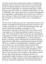save less or even draw on their past savings, to maintain the standard of life to which they have become accustomed. But for the rest British producers will find the receipts reaching them from the expenditure of consumers (policemen, schoolteachers, men on the dole, etc.) reduced by the balance of, say, £70,000,000. They cannot meet this loss without reducing their own expenditure or discharging some of their men, or both; *i.e.* they will have to follow the example of the Government, and this will again set moving the same series of consequences, and so on.

The net result would necessarily be a substantial increase in the number of unemployed drawing the dole and a decrease in the receipts of taxation as a result of the diminished incomes and profits. Indeed the immediate consequences of the Government's reducing its deficit are the exact inverse of the consequences of its financing additional capital works out of loans. One cannot predict with accuracy the exact quantitative consequences of either, but they are broadly the same. Several of the Committee's recommendations, *e.g.* those relating to Roads, to Housing, and to Afforestation, do indeed expressly imply that the whole theory underlying the principle of Public Works as a remedy for unemployment is mistaken, and they ask, in effect, for a reversal of the policies based on this principle. Yet they do not trouble to argue the case. I suppose that they are such very plain men that the advantages of not spending money seem obvious to them. They may even be so plain as to be unaware of the existence of the problem which I am now discussing. But they are flying in the face of a considerable weight of opinion. For the main opposition to the Public Works remedy is based on the practical difficulties of devising a reasonable programme, not on the principle. But a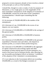proposal to reverse measures already in force involves a denial of the principle as well as of the feasibility.

I should like, though it is rash, to make, if only for purposes of illustration, a very rough guess as to the magnitudes of the more immediate consequences of the adoption of economies of £100,000,000, carried out on the lines of the Committee's recommendations. I should expect something like the following:

(1) An increase of 250,000-400,000 in the number of the unemployed;

(2) A decrease of, say, £20,000,000 in the excess of our imports over our exports;

(3) A decrease of £10,000,000 to £15,000,000 in the savings of the general public;

(4) A decrease of £20,000,000 to £30,000,000 in business profits;

(5) A decrease of £10,000,000 to £15,000,000 in the personal expenditure of business men and others, who depend on business profits, as a result of these profits being less;

(6) A decrease of £5,000,000 to £10,000,000 in the aggregate of capital construction and working capital and other investment at home entered upon by private enterprise, as a result of the lower level of business profits, after allowing for any favourable psychological effects on business "confidence" of the adoption of the Committee's recommendations;

(7) A *net* reduction in the Government deficit not exceeding £50,000,000, as a result of the Budget economies of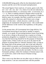£100,000,000 being partly offset by the diminished yield of taxation and the cost of the increased unemployment.

The actual figures I have used are, of course, guess-work. But  $(2) + (3) + (4) - (5) - (6) = (7)$ , where (7) is the net reduction in the Government deficit, is a necessary truth—as necessary as 2  $+ 2 = 4$ . There is nothing rational to dispute about except the size of the various items entering into this equation. It might be held by some, for example, that there would be an *increase* under (6), instead of a decrease; and if there were a large increase of this item—which, however, could not, in my judgement, be maintained with good reason—this would make all the difference in the world to the expediency of the policy proposed.

At the present time, all Governments have large deficits. For Government borrowing of one kind or another is nature's remedy, so to speak, for preventing business losses from being, in so severe a slump as the present one, so great as to bring production altogether to a standstill. It is much better in every way that the borrowing should be for the purpose of financing capital works, if these works are any use at all, than for the purpose of paying doles (or veterans' bonuses). But, so long as the slump lasts on the present scale, this is the only effective choice which we possess, and Government borrowing for the one purpose or the other (or a diminished Sinking Fund, which has the same effect) is practically inevitable. For this is a case, fortunately perhaps, where the weakness of human nature will, we can be sure, come to the rescue of human wrongheadedness.

This is not to say that there are not other ways in which we can help ourselves. I am not concerned here with the possible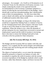advantages—for example—of a Tariff or of Devaluation or of a National Treaty for the reduction of all money incomes. I am simply analysing the results to be expected from the recommendations of the Economy Committee adopted as a means of reducing the uncovered deficit of the Budget. And I should add, to prevent misunderstanding, that I should prefer some of their recommendations—for they have done their work in detail with ability and fair-mindedness—to most kinds of additional taxation other than a tariff.

My own policy for the Budget, so long as the slump lasts, would be to suspend the Sinking Fund, to continue to borrow for the Unemployment Fund, and to impose a Revenue Tariff. To get us out of the slump we must look to quite other expedients. When the slump is over, when the demands of private enterprise for new capital have recovered to normal and employment is good and the yield of taxation is increasing, then is the time to restore the Sinking Fund and to look critically at the less productive State enterprises.

### **(iii)** *The Economy Bill* **(Sept. 19, 1931)**

The Budget and the Economy Bill are replete with folly and injustice. It is a tragedy that the moral energies and enthusiasm of many truly self-sacrificing and well-wishing people should be so misdirected.

The objects of national policy, so as to meet the emergency, should be primarily to improve our balance of trade, and secondarily to equalise the yield of taxation with the normal recurrent expenditure of the Budget by methods which would increase, rather than diminish, output, and hence increase the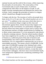national income and the yield of the revenue, whilst respecting the principles of social justice. The actual policy of the Government fails on each of these tests. It will have comparatively little effect on the balance of trade. It will largely increase unemployment and diminish the yield of the revenue. And it outrages the principles of justice to a degree which I should have thought inconceivable.

To begin with the last. The incomes of well-to-do people have been cut by 2½ to 3½ per cent. The school-teachers are cut 15 per cent,<sup>[15]</sup> in addition to the extra taxes which they have to pay. It is a monstrous thing to single out this class and discriminate against them, merely because they happen to be employees of the Government. It is particularly outrageous, because efforts have been made in recent years to attract into the profession teachers of higher qualifications by holding out to them certain expectations. It is even proposed to take powers to dissolve existing contracts. That the school-teachers should have been singled out for sacrifice as an offering to the Moloch of finance is a sufficient proof of the state of hysteria and irresponsibility into which Cabinet Ministers have worked themselves. For it is impossible to represent this cut as one of unavoidable necessity. The money saved is £6,000,000. At the same time £32,000,000 is going to the Sinking Fund, whilst tea, sugar, and a tariff as sources of revenue are left untapped. The Prime Minister has offered no defence, except that some of his former colleagues, who have since recovered their heads, were temporarily frightened into considering something of the same kind.

[15][Afterwards reduced to 10 per cent.]

The school-teachers are the most outstanding case of injustice.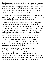But the same considerations apply in varying degrees to all the attacks on the standards of Government employees. The principle of discriminating against persons in the service of the State, because they can be reached most easily, is not right. At least it would have been more decent in the circumstances if the phrase "equality of sacrifice" had not been used.

Moreover, the Government's programme is as foolish as it is wrong. Its direct effect on employment must be disastrous. It is safe to predict that it will increase the volume of unemployment by more than the 10 per cent by which the dole is to be cut. It represents a reckless reversal of all the partial attempts which have been made hitherto to mitigate the consequences of the collapse of private investment; and it is a triumph for the so-called "Treasury View" in its most extreme form. Not only is purchasing power to be curtailed, but roadbuilding, housing, and the like are to be retrenched. Local authorities are to follow suit. If the theory which underlies all this is to be accepted, the end will be that no one can be employed, except those happy few who grow their own potatoes, as a result of each of us refusing, for reasons of economy, to buy the services of any one else. To raid the Road Fund in order to maintain the Sinking Fund is, in present circumstances, a policy of Bedlam.

Finally there is the problem of the Balance of Trade, which, after all, is the main point so far as concerns the emergency. Broadly speaking, the cost of production is left unchanged. Cutting the school-teachers' salaries will not help us to recapture the markets of the world. Those wages and the like which are within the Government's direct control happen to be just those which it is most useless to cut in the interests of the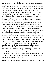export trade. We are told that it is a wicked misrepresentation to say that all this is a preliminary to a general assault on wages. Yet it has less than no sense unless it is. But meanwhile the Government have noticed that there is just one point where their activities raise the cost of production, namely, the employers' insurance contribution, which is, in effect, a poll tax on employment. So, in order to prove for certain that they are quite mad, the Government have decided to *increase* it.

There are only two ways in which the Government plan can help the Balance of Trade. Whenever any one is thrown out of work or otherwise impoverished, he will perforce consume less. Most of this reduced consumption will merely cause business losses and unemployment to other Englishmen. Some part of it, however, perhaps a fifth, will be at the expense of imports; though even this would not help if those Free Traders are right who think that a reduction of imports leads to a corresponding reduction of exports. But it is a wasteful way of setting about the task of reducing imports. The other way is by increasing both the quantity of unemployment and also the pains of being unemployed, since this may slightly increase the chance of wage-reductions being accepted. Economy can have no other purpose or meaning except to release resources. A small proportion of what is thus released will relieve the Balance of Trade. The rest will be resources of domestic plant and labour, of which we already have a surplus out of use.

Thus the Government's scheme, for the sake of which we are asked to swallow so much, is in the main misdirected, and will not assist the solution of our twin problems of unemployment and an adverse balance of trade.

As regards the latter, which, unremedied, will at no distant date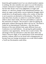break the gold standard even if we cut school-teachers' salaries to nothing, the only remedies now open to us are Devaluation, a drastic restriction of imports by direct methods, a severe cut, not less than 30 per cent in my judgement, in wages and salaries, or a decisive change in the international position. An attack on wages would mean a severe industrial struggle which would drive us off gold-parity within a few weeks; so that this is not in practice an alternative to Devaluation. Thus there are only three lines of policy to which it is worth the Cabinet's while to direct their minds. The first and mildest is a plan for the restriction of imports. The second is a plan for getting off gold-parity without allowing the slide to go too far. The third is a plan for an International Conference—one that means business of the most definite kind, quite different from any Conference ever held hitherto—for giving the gold-standard countries a last opportunity. All the rest is waste of time. The advantage of the last alternative is that this alone offers any chance, however slight, of an amelioration of the international position, without which we are faced with a disappearance of income from our foreign investments on a scale which neither a Tariff nor Devaluation could offset.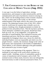## **7. THE CONSEQUENCES TO THE BANKS OF THE COLLAPSE OF MONEY VALUES (Aug. 1931)**

A year ago it was the failure of agriculture, mining, manufactures, and transport to make normal profits, and the unemployment and waste of productive resources ensuing on this, which was the leading feature of the economic situation. To-day, in many parts of the world, it is the serious embarrassment of the banks which is the cause of our gravest concern. The shattering German crisis of July 1931, which took the world more by surprise than it should, was in its essence a banking crisis, though precipitated, no doubt, by political events and political fears. That the top-heavy position, which ultimately crumbled to the ground, should have been built up at all, was, in my judgement, a sin against the principles of sound banking. One watched its erection with amazement and terror. But the fact which was primarily responsible for bringing it down was a factor for which the individual bankers were not responsible and which very few people foresaw—namely, the enormous change in the value of gold money and consequently in the burden of indebtedness which debtors, in all countries adhering to the gold standard, had contracted to pay in terms of gold.

Let us begin at the beginning of the argument. There is a multitude of real assets in the world which constitute our capital wealth—buildings, stocks of commodities, goods in course of manufacture and of transport, and so forth. The nominal owners of these assets, however, have not infrequently borrowed *money* in order to become possessed of them. To a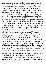corresponding extent the actual owners of wealth have claims, not on real assets, but on money. A considerable part of this "financing" takes place through the banking system, which interposes its guarantee between its depositors who lend it money, and its borrowing customers to whom it loans money wherewith to finance the purchase of real assets. The interposition of this veil of money between the real asset and the wealth owner is a specially marked characteristic of the modern world. Partly as a result of the increasing confidence felt in recent years in the leading banking systems, the practice has grown to formidable dimensions. The bank-deposits of all kinds in the United States, for example, stand in round figures at \$50,000,000,000; those of Great Britain at £2,000,000,000. In addition to this there is the great mass of bonded and mortgage indebtedness held by individuals.

All this is familiar enough in general terms. We are also familiar with the idea that a change in the value of money can gravely upset the relative positions of those who possess claims to money and those who owe money. For, of course, a fall in prices, which is the same thing as a rise in the value of claims on money, means that real wealth is transferred from the debtor in favour of the creditor, so that a larger proportion of the real asset is represented by the claims of the depositor, and a smaller proportion belongs to the nominal owner of the asset who has borrowed in order to buy it. This, we all know, is one of the reasons why changes in prices are upsetting.

But it is not to this familiar feature of falling prices that I wish to invite attention. It is to a further development which we can ordinarily afford to neglect but which leaps to importance when the change in the value of money is *very large*—when it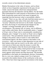exceeds a more or less determinate amount.

Modest fluctuations in the value of money, such as those which we have frequently experienced in the past, do not vitally concern the banks which have interposed their guarantee between the depositor and the debtor. For the banks allow beforehand for some measure of fluctuation in the value both of particular assets and of real assets in general, by requiring from the borrower what is conveniently called a "margin." That is to say, they will only lend him money up to a certain proportion of the value of the asset which is the "security" offered by the borrower to the lender. Experience has led to the fixing of conventional percentages for the "margin" as being reasonably safe in all ordinary circumstances. The amount will, of course, vary in different cases within wide limits. But for marketable assets a "margin" of 20 per cent to 30 per cent is conventionally considered as adequate, and a "margin" of as much as 50 per cent as highly conservative. Thus provided the amount of the downward change in the money value of assets is well within these conventional figures, the direct interest of the banks is not excessive;—they owe money to their depositors on one side of their balance-sheet and are owed it on the other, and it is no vital concern of theirs just what the money is worth. But consider what happens when the downward change in the money value of assets within a brief period of time *exceeds* the amount of the conventional "margin" over a large part of the assets against which money has been borrowed. The horrible possibilities to the banks are immediately obvious. Fortunately, this is a very rare, indeed a unique event. For it had never occurred in the modern history of the world prior to the year 1931. There have been large *upward* movements in the money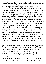value of assets in those countries where inflation has proceeded to great lengths. But this, however disastrous in other ways, did nothing to jeopardise the position of the banks; for it increased the amount of their "margins." There was a large downward movement in the slump of 1921, but that was from an exceptionally high level of values which had ruled for only a few months or weeks, so that only a small proportion of the banks' loans had been based on such values and these values had not lasted long enough to be trusted. *Never* before has there been such a world-wide collapse over almost the whole field of the money values of real assets as we have experienced in the last two years. And, finally, during the last few months —so recently that the bankers themselves have, as yet, scarcely appreciated it—it has come to exceed in very many cases the amount of the conventional "margins." In the language of the market the "margins" have run off. The exact details of this are not likely to come to the notice of the outsider until some special event—perhaps some almost accidental event—occurs which brings the situation to a dangerous head. For, so long as a bank is in a position to wait quietly for better times and to ignore meanwhile the fact that the security against many of its loans is no longer as good as it was when the loans were first made, nothing appears on the surface and there is no cause for panic. Nevertheless, even at this stage the underlying position is likely to have a very adverse effect on new business. For the banks, being aware that many of their advances are in fact "frozen" and involve a larger latent risk than they would voluntarily carry, become particularly anxious that the remainder of their assets should be as liquid and as free from risk as it is possible to make them. This reacts in all sorts of silent and unobserved ways on new enterprise. For it means that the banks are less willing than they would normally be to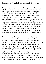finance any project which may involve a lock-up of their resources.

Now, in estimating the quantitative importance of the factor to which I am calling attention, we have to consider what has been happening to the prices of various types of property. There are, first of all, the principal raw materials and foodstuffs of international commerce. These are of great importance to the banks, because the stocks of these commodities, whether in warehouse or in transit or embodied in half-finished or unsold manufactured articles, are very largely financed through the banks. In the last eighteen months the prices of these commodities have fallen *on the average* by about 25 per cent. But this is an average, and banks cannot average the security of one customer with that of another. Many individual commodities of the greatest commercial importance have fallen in price by 40 to 50 per cent or even more.

Next come the ordinary or common shares of the great companies and corporations which are the market leaders in the Stock Exchanges of the world. In most countries the average fall amounts to 40 to 50 per cent; and, this again, is an average which means that individual shares, even amongst those which would have been considered of good quality two years ago, have fallen enormously more. Then there are the bonds and the fixed interest securities. Those of the very highest grade have, indeed, risen slightly, or, at the worst, not fallen by more than 5 per cent, which has been of material assistance in some quarters. But many other fixed interest securities, which, while not of the highest grade, were, and are, good securities, have fallen from 10 to 15 per cent; whilst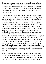foreign government bonds have, as is well known, suffered prodigious falls. These declines, even where they are more moderate, may be scarcely less serious, because such bonds (though not in Great Britain) are often owned by the banks themselves outright, so that there is no "margin" to protect them from loss.

The declines in the prices of commodities and of securities have, broadly speaking, affected most countries alike. When we come to the next category of property—and one of great quantitative importance—namely, real estate, the facts are more various as between one country and another. A great element of stability in Great Britain, and, I believe, in France also, has been the continued comparative firmness in real estate values:—no slump has been experienced in this quarter, with the result that mortgage business is sound and the multitude of loans granted on the security of real estate are unimpaired. But in many other countries the slump has affected this class of property also; and particularly, perhaps, in the United States, where farm values have suffered a great decline, and also city property of modern construction, much of which would not fetch to-day more than 60 to 70 per cent of its original cost of construction, and not infrequently much less. This is an immense aggravation of the problem, where it has occurred, both because of the very large sums involved and because such property is ordinarily regarded as relatively free from risk.

Finally, there are the loans and advances which banks have made to their customers for the purposes of their customers' business. These are, in many cases, in the worst condition of all. The security in these cases is primarily the profit, actual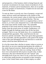and prospective, of the business which is being financed; and in present circumstances for many classes of producers of raw materials, of farmers and of manufacturers, there are no profits and every prospect of insolvencies, if matters do not soon take a turn for the better.

To sum up, there is scarcely any class of property, except real estate, however useful and important to the welfare of the community, the current money value of which has not suffered an enormous and scarcely precedented decline. This has happened in a community which is so organised that a veil of money is, as I have said, interposed over a wide field between the actual asset and the wealth owner. The ostensible proprietor of the actual asset has financed it by borrowing money from the actual owner of wealth. Furthermore, it is largely through the banking system that all this has been arranged. That is to say, the banks have, for a consideration, interposed their guarantee. They stand between the real borrower and the real lender. They have given their guarantee to the real lender; and this guarantee is only good if the money value of the asset belonging to the real borrower is worth the money which has been advanced on it.

It is for this reason that a decline in money values so severe as that which we are now experiencing threatens the solidity of the whole financial structure. Banks and bankers are by nature blind. They have not seen what was coming. Some of them have even welcomed the fall of prices towards what, in their innocence, they have deemed the just and "natural" and inevitable level of pre-war, that is to say, to the level of prices to which their minds became accustomed in their formative years. In the United States some of them employ so-called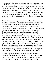"economists" who tell us even to-day that our troubles are due to the fact that the prices of some commodities and some services have not yet fallen enough, regardless of what should be the obvious fact that their cure, if it could be realised, would be a menace to the solvency of their institution. A "sound" banker, alas! is not one who foresees danger and avoids it, but one who, when he is ruined, is ruined in a conventional and orthodox way along with his fellows, so that no one can really blame him.

But to-day they are beginning at last to take notice. In many countries bankers are becoming unpleasantly aware of the fact that, when their customers' margins have run off, they are themselves "on margin." I believe that, if to-day a really conservative valuation were made of all doubtful assets, quite a significant proportion of the banks of the world would be found to be insolvent; and with the further progress of Deflation this proportion will grow rapidly. Fortunately our own domestic British Banks are probably at present—for various reasons—among the strongest. But there is a degree of Deflation which no bank can stand. And over a great part of the world, and not least in the United States, the position of the banks, though partly concealed from the public eye, may be in fact the weakest element in the whole situation. It is obvious that the present trend of events cannot go much further without something breaking. If nothing is done, it will be amongst the world's banks that the really critical breakages will occur.

Modern capitalism is faced, in my belief, with the choice between finding some way to increase money values towards their former figure, or seeing widespread insolvencies and defaults and the collapse of a large part of the financial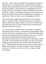structure;—after which we should all start again, not nearly so much poorer as we should expect, and much more cheerful perhaps, but having suffered a period of waste and disturbance and social injustice, and a general re-arrangement of private fortunes and the ownership of wealth. Individually many of us would be "ruined," even though collectively we were much as before. But under the pressure of hardship and excitement, we might have found out better ways of managing our affairs.

The present signs suggest that the bankers of the world are bent on suicide. At every stage they have been unwilling to adopt a sufficiently drastic remedy. And by now matters have been allowed to go so far that it has become extraordinarily difficult to find any way out.

It is necessarily part of the business of a banker to maintain appearances and to profess a conventional respectability which is more than human. Lifelong practices of this kind make them the most romantic and the least realistic of men. It is so much their stock-in-trade that their position should not be questioned, that they do not even question it themselves until it is too late. Like the honest citizens they are, they feel a proper indignation at the perils of the wicked world in which they live,—when the perils mature; but they do not foresee them. A Bankers' Conspiracy! The idea is absurd! I only wish there were one! So, if they are saved, it will be, I expect, in their own despite.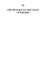### **THE RETURN TO THE GOLD STANDARD**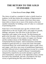## **THE RETURN TO THE GOLD STANDARD**

#### **1. AURI SACRA FAMES (Sept. 1930)**

The choice of gold as a standard of value is chiefly based on tradition. In the days before the evolution of Representative Money, it was natural, for reasons which have been many times told, to choose one or more of the metals as the most suitable commodity for holding a store of value or a command of purchasing power.

Some four or five thousand years ago the civilised world settled down to the use of gold, silver, and copper for pounds, shillings, and pence, but with silver in the first place of importance and copper in the second. The Mycenaeans put gold in the first place. Next, under Celtic or Dorian influences, came a brief invasion of iron in place of copper over Europe and the northern shores of the Mediterranean. With the Achaemenid Persian Empire, which maintained a bimetallic standard of gold and silver at a fixed ratio (until Alexander overturned them), the world settled down again to gold, silver, and copper, with silver once more of predominant importance; and there followed silver's long hegemony (except for a certain revival of the influence of gold in Roman Constantinople), chequered by imperfectly successful attempts at gold-andsilver bimetallism, especially in the eighteenth century and the first half of the nineteenth, and only concluded by the final victory of gold during the fifty years before the war.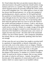Dr. Freud relates that there are peculiar reasons deep in our subconsciousness why gold in particular should satisfy strong instincts and serve as a symbol. The magical properties, with which Egyptian priestcraft anciently imbued the yellow metal, it has never altogether lost. Yet, whilst gold as a store of value has always had devoted patrons, it is, as the sole standard of purchasing power, almost a parvenu. In 1914 gold had held this position in Great Britain *de jure* over less than a hundred years (though *de facto* for more than two hundred), and in most other countries over less than sixty. For except during rather brief intervals gold has been too scarce to serve the needs of the world's principal medium of currency. Gold is, and always has been, an extraordinarily scarce commodity. A modern liner could convey across the Atlantic in a single voyage all the gold which has been dredged or mined in seven thousand years. At intervals of five hundred or a thousand years a new source of supply has been discovered—the latter half of the nineteenth century was one of these epochs—and a temporary abundance has ensued. But as a rule, generally speaking, there has been not enough.

Of late years the *auri sacra fames* has sought to envelop itself in a garment of respectability as densely respectable as was ever met with, even in the realms of sex or religion. Whether this was first put on as a necessary armour to win the hard-won fight against bimetallism and is still worn, as the goldadvocates allege, because gold is the sole prophylactic against the plague of fiat moneys, or whether it is a furtive Freudian cloak, we need not be curious to inquire. But we may remind the reader of what he well knows—namely, that gold has become part of the apparatus of conservatism and is one of the matters which we cannot expect to see handled without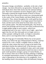prejudice.

One great change, nevertheless—probably, in the end, a fatal change—has been effected by our generation. During the war individuals threw their little stocks into the national meltingpots. Wars have sometimes served to disperse gold, as when Alexander scattered the temple hoards of Persia or Pizarro those of the Incas. But on this occasion war concentrated gold in the vaults of the Central Banks; and these Banks have not released it. Thus, almost throughout the world, gold has been withdrawn from circulation. It no longer passes from hand to hand, and the touch of the metal has been taken away from men's greedy palms. The little household gods, who dwelt in purses and stockings and tin boxes, have been swallowed ed by a single golden image in each country, which lives underground and is not seen. Gold is out of sight—gone back again into the soil. But when gods are no longer seen in a yellow panoply walking the earth, we begin to rationalise them; and it is not long before there is nothing left.

Thus the long age of Commodity Money has at last passed finally away before the age of Representative Money. Gold has ceased to be a coin, a hoard, a tangible claim to wealth, of which the value cannot slip away so long as the hand of the individual clutches the material stuff. It has become a much more abstract thing—just a standard of value; and it only keeps this nominal status by being handed round from time to time in quite small quantities amongst a group of Central Banks, on the occasions when one of them has been inflating or deflating its managed representative money in a different degree from what is appropriate to the behaviour of its neighbours. Even the handing round is becoming a little old-fashioned, being the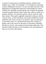occasion of unnecessary travelling expenses, and the most modern way, called "ear-marking," is to change the ownership without shifting the location. It is not a far step from this to the beginning of arrangements between Central Banks by which, without ever formally renouncing the rule of gold, the quantity of metal actually buried in their vaults may come to stand, by a modern alchemy, for what they please, and its value for what they choose. Thus gold, originally stationed in heaven with his consort silver, as Sun and Moon, having first doffed his sacred attributes and come to earth as an autocrat, may next descend to the sober status of a constitutional king with a cabinet of Banks; and it may never be necessary to proclaim a Republic. But this is not yet—the evolution may be quite otherwise. The friends of gold will have to be extremely wise and moderate if they are to avoid a Revolution.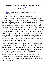# **2. ALTERNATIVE AIMS IN MONETARY POLICY (1923) [16]**

[16] [*I.e.* prior to the restoration of the Gold Standard in Great Britain.]

The instability of money has been compounded, in most countries except the United States, of two elements: the failure of the national currencies to remain stable in terms of what was supposed to be the standard of value, namely gold; and the failure of gold itself to remain stable in terms of purchasing power. Attention has been mainly concentrated (*e.g.* by the Cunliffe Committee) on the first of these two factors. It is often assumed that the restoration of the gold standard, that is to say, of the convertibility of each national currency at a fixed rate in terms of gold, must be, in any case, our objective; and that the main question of controversy is whether national currencies should be restored to their pre-war gold value or to some lower value nearer to the present facts; in other words, the choice between *Deflation* and *Devaluation*.

This assumption is hasty. If we glance at the course of prices during the last five years, it is obvious that the United States, which has enjoyed a gold standard throughout, has suffered as severely as many other countries, that in the United Kingdom the instability of gold has been a larger factor than the instability of the exchange, that the same is true even of France, and that in Italy it has been nearly as large. On the other hand, in India, which has suffered violent exchange fluctuations, the standard of value has been more stable than in any other country.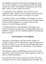We should not, therefore, by fixing the exchanges get rid of our currency troubles. It is even possible that this step might weaken our control. The problem of stabilisation has several sides, which we must consider one by one:

1. Devaluation *versus* Deflation. Do we wish to fix the standard of value, whether or not it be gold, near the existing value? Or do we wish to restore it to the pre-war value?

2. Stability of Prices *versus* Stability of Exchange. Is it more important that the value of a national currency should be stable in terms of purchasing power, or stable in terms of the currency of certain foreign countries?

3. The Restoration of a Gold Standard. In the light of our answers to the first two questions, is a gold standard, however imperfect in theory, the best available method for attaining our ends in practice?

### **(i)** *Devaluation* **versus** *Deflation*

The policy of reducing the ratio between the volume of a country's currency and its requirements of purchasing power in the form of money, so as to increase the exchange value of the currency in terms of gold or of commodities, is conveniently called *Deflation*.

The alternative policy of stabilising the value of the currency somewhere near its present value, without regard to its pre-war value, is called *Devaluation*.

Up to the date of the Genoa Conference of April 1922, these two policies were not clearly distinguished by the public, and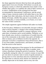the sharp opposition between them has been only gradually appreciated. Even now (October 1923) there is scarcely any European country in which the authorities have made it clear whether their policy is to stabilise the value of their currency or to raise it. Stabilisation at the existing level has been recommended by International Conferences; and the actual value of many currencies tends to fall rather than to rise. But, to judge from other indications, the heart's desire of the State Banks of Europe, whether they pursue it successfully, as in Czecho-Slovakia, or unsuccessfully, as in France, is to *raise* the value of their currencies.

The simple arguments against Deflation fall under two heads.

In the first place, Deflation is not *desirable*, because it effects, what is always harmful, a change in the existing Standard of Value, and redistributes wealth in a manner injurious, at the same time, to business and to social stability. Deflation, as we have already seen, involves a transference of wealth from the rest of the community to the rentier class and to all holders of titles to money; just as Inflation involves the opposite. In particular it involves a transference from all borrowers, that is to say from traders, manufacturers, and farmers, to lenders, from the active to the inactive.

But whilst the oppression of the taxpayer for the enrichment of the rentier is the chief lasting result, there is another, more violent, disturbance during the period of transition. The policy of gradually raising the value of a country's money to (say) 100 per cent above its present value in terms of goods amounts to giving notice to every merchant and every manufacturer, that for some time to come his stock and his raw materials will steadily depreciate on his hands, and to every one who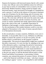finances his business with borrowed money that he will, sooner or later, lose 100 per cent on his liabilities (since he will have to pay back in terms of commodities twice as much as he has borrowed). Modern business, being carried on largely with borrowed money, must necessarily be brought to a standstill by such a process. It will be to the interest of everyone in business to go out of business for the time being; and of everyone who is contemplating expenditure to postpone his orders so long as he can. The wise man will be he who turns his assets into cash, withdraws from the risks and the exertions of activity, and awaits in country retirement the steady appreciation promised him in the value of his cash. A probable expectation of Deflation is bad enough; a certain expectation is disastrous. For the mechanism of the modern business world is even less adapted to fluctuations in the value of money upwards than it is to fluctuations downwards.

In the second place, in many countries, Deflation, even were it desirable, is not *possible*; that is to say, Deflation in sufficient degree to restore the currency to its pre-war parity. For the burden which it would throw on the taxpayer would be insupportable. This practical impossibility might have rendered the policy innocuous, if it were not that, by standing in the way of the alternative policy, it prolongs the period of uncertainty and severe seasonal fluctuation, and even, in some cases, can be carried into effect sufficiently to cause much interference with business. The fact, that the restoration of their currencies to the pre-war parity is still the declared official policy of the French and Italian Governments, is preventing, in those countries, any rational discussion of currency reform. All those —and in the financial world they are many—who have reasons for wishing to appear "correct," are compelled to talk foolishly.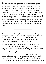In Italy, where sound economic views have much influence and which may be nearly ripe for currency reform, Signor Mussolini has threatened to raise the lira to its former value. Fortunately for the Italian taxpayer and Italian business, the lira does not listen even to a dictator and cannot be given castor oil. But such talk can postpone positive reform; though it may be doubted if so good a politician would have propounded such a policy, even in bravado and exuberance, if he had understood that, expressed in other but equivalent words, it was as follows: "My policy is to halve wages, double the burden of the National Debt, and to reduce by 50 per cent the prices which Sicily can get for her exports of oranges and lemons."

If the restoration of many European currencies to their pre-war parity with gold is neither desirable nor possible, what are the forces or the arguments which have established this undesirable impossibility as the avowed policy of most of them? The following are the most important:

1. *To leave the gold value of a country's currency at the low level to which war has driven it is an injustice to the rentier class and to others whose income is fixed in terms of currency, and practically a breach of contract; whilst to restore its value would meet a debt of honour.*

The injury done to pre-war holders of fixed interest-bearing stocks is beyond dispute. Real justice, indeed, might require the restoration of the purchasing power, and not merely the gold value, of their money incomes, a measure which no one in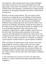fact proposes; whilst nominal justice has not been infringed, since these investments were not in gold bullion but in the legal tender of the realm. Nevertheless, if this class of investors could be dealt with separately, considerations of equity and the expedience of satisfying reasonable expectation would furnish a strong case.

But this is not the actual situation. The vast issues of War Loans have swamped the pre-war holdings of fixed interestbearing stocks, and Society has largely adjusted itself to the new situation. To restore the value of pre-war holdings by Deflation means enhancing at the same time the value of war and post-war holdings, and thereby raising the total claims of the rentier class not only beyond what they are entitled to, but to an intolerable proportion of the total income of the community. Indeed justice, rightly weighed, comes down on the other side. Much the greater proportion of the money contracts still outstanding were entered into when money was worth more nearly what it is worth now than what it was worth in 1913. Thus, in order to do justice to a minority of creditors, a great injustice would be done to a great majority of debtors.

When, therefore, the depreciation of the currency has lasted long enough for Society to adjust itself to the new values, Deflation is even worse than Inflation. Both are "unjust" and disappoint reasonable expectation. But whereas Inflation, by easing the burden of national debt and stimulating enterprise, has a little to throw into the other side of the balance, Deflation has nothing.

2. *The restoration of a currency to its pre-war gold value enhances a country's financial prestige and promotes future confidence.*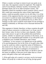Where a country can hope to restore its pre-war parity at an early date, this argument cannot be neglected. This might be said of Great Britain, Holland, Sweden, Switzerland, and (perhaps) Spain, but of no other European country. The argument cannot be extended to those countries which, even if they could raise somewhat the value of their legal-tender money, could not possibly restore it to its old value. It is of the essence of the argument that the *exact* pre-war parity should be recovered. It would not make much difference to the financial prestige of Italy whether she stabilised the lira at 100 to the £ sterling or at 60; and it would be much better for her prestige to stabilise it definitely at 100 than to let it fluctuate between 60 and 100.

This argument is limited, therefore, to those countries the gold value of whose currencies is within (say) 5 or 10 per cent of their former value. Its force in these cases depends, I think, upon what answer we give to the problem discussed below, namely, whether we intend to pin ourselves in the future, as in the past, to an unqualified gold standard. If we still prefer such a standard to any available alternative, and if future "confidence" in our currency is to depend not on the stability of its purchasing power but on the fixity of its gold value, then it may be worth our while to stand the racket of Deflation to the extent of 5 or 10 per cent. This view is in accordance with that expressed by Ricardo in analogous circumstances a hundred years ago. If, on the other hand, we decide to aim for the future at stability of the price level rather than at a fixed parity with gold, in that case *cadit quaestio*.

3. *If the gold value of a country's currency can be increased, labour will profit by a reduced cost of living, foreign goods*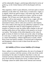*will be obtainable cheaper, and foreign debts fixed in terms of gold (e.g. to the United States) will be discharged with less effort.*

This argument, which is pure delusion, exercises quite as much influence as the other two. If the franc is worth more, wages, it is argued, which are paid in francs, will surely buy more, and French imports, which are paid for in francs, will be so much cheaper. No! If francs are worth more they will buy more labour as well as more goods,—that is to say, wages will fall; and the French exports, which pay for the imports, will, measured in francs, fall in value just as much as the imports. Nor will it make in the long run any difference whatever in the amount of goods the value of which England will have to transfer to America to pay her dollar debts whether in the end sterling settles down at four dollars to the pound or at its prewar parity. The burden of this debt depends on the value of gold, in terms of which it is fixed, not on the value of sterling. It is not easy, it seems, for men to apprehend that their money is a mere intermediary, without significance in itself, which flows from one hand to another, is received and is dispensed, and disappears when its work is done from the sum of a nation's wealth.

#### **(ii)** *Stability of Prices* **versus** *Stability of Exchange*

Since, subject to certain qualifications, the rate of exchange of a country's currency with the currency of the rest of the world (assuming for the sake of simplicity that there is only one external currency) depends on the relation between the internal price level and the external price level, it follows that the exchange cannot be stable unless *both* internal *and* external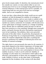price levels remain stable. If, therefore, the external price level lies outside our control, we must submit either to our own internal price level or to our exchange being pulled about by external influences. If the external price level is unstable, we cannot keep *both* our own price level *and* our exchanges stable. And we are compelled to choose.

In pre-war days, when almost the whole world was on a gold standard, we had all plumped for stability of exchange as against stability of prices, and we were ready to submit to the social consequences of a change of price level for causes quite outside our control, connected, for example, with the discovery of new gold mines in foreign countries or a change of banking policy abroad. But we submitted, partly because we did not dare trust ourselves to a less automatic (though more reasoned) policy, and partly because the price fluctuations experienced were in fact moderate. Nevertheless, there were powerful advocates of the other choice. In particular, the proposals of Professor Irving Fisher for a Compensated Dollar, amounted, unless all countries adopted the same plan, to putting into practice a preference for stability of internal price level over stability of external exchange.

The right choice is not necessarily the same for all countries. It must partly depend on the relative importance of foreign trade in the economic life of the country. Nevertheless, there does seem to be in almost every case a presumption in favour of the stability of prices, if only it can be achieved. Stability of exchange is in the nature of a convenience which adds to the efficiency and prosperity of those who are engaged in foreign trade. Stability of prices, on the other hand, is profoundly important for the avoidance of the various evils described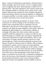above. Contracts and business expectations, which presume a stable exchange, must be far fewer, even in a trading country such as England, than those which presume a stable level of internal prices. The main argument to the contrary seems to be that exchange stability is an easier aim to attain, since it only requires that the same standard of value should be adopted at home and abroad; whereas an internal standard, so regulated as to maintain stability in an index number of prices, is a difficult scientific innovation, never yet put into practice.

At any rate the unthinking assumption, in favour of the restoration of a fixed exchange as the one thing to aim at, requires more examination than it sometimes receives. Especially is this the case if the prospect that a majority of countries will adopt the same standard is still remote. When by adopting the gold standard we could achieve stability of exchange with almost the whole world, whilst any other standard would have appeared as a solitary eccentricity, the solid advantages of certainty and convenience supported the conservative preference for gold. Nevertheless, even so, the convenience of traders and the primitive passion for solid metal might not, I think, have been adequate to preserve the dynasty of gold, if it had not been for another, half-accidental circumstance; namely, that for many years past gold had afforded not only a stable exchange but, on the whole, a stable price level also. In fact, the choice between stable exchanges and stable prices had not presented itself as an acute dilemma. And when, prior to the development of the South African mines, we seemed to be faced with a continuously falling price level, the fierceness of the bimetallic controversy testified to the discontent provoked as soon as the existing standard appeared seriously incompatible with the stability of prices.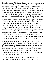Indeed, it is doubtful whether the pre-war system for regulating the international flow of gold would have been capable of dealing with such large or sudden divergencies between the price levels of different countries as have occurred lately. The fault of the pre-war régime, under which the rates of exchange between a country and the outside world were fixed, and the internal price level had to adjust itself thereto (*i.e.* was chiefly governed by external influences), was that it was too slow and insensitive in its mode of operation. The fault of the post-war régime, under which the price level mainly depends on internal influences (*i.e.* internal currency and credit policy) and the rates of exchange with the outside world have to adjust themselves thereto, is that it is too rapid in its effect and oversensitive, with the result that it may act violently for merely transitory causes. Nevertheless, when the fluctuations are large and sudden, a quick reaction is necessary for the maintenance of equilibrium; and the necessity for quick reaction has been one of the factors which have rendered the pre-war method inapplicable to post-war conditions, and have made every one nervous of proclaiming a final fixation of the exchange.

A fluctuating exchange means that relative prices can be knocked about by the most fleeting influences of politics and of sentiment, and by the periodic pressure of seasonal trades. But it also means that this method is a most rapid and powerful corrective of real disequilibria in the balance of international payments arising from whatever causes, and a wonderful preventive in the way of countries which are inclined to spend abroad beyond their resources.

Thus when there are violent shocks to the pre-existing equilibrium between the internal and external price levels, the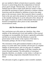pre-war method is likely to break down in practice, simply because it cannot bring about the readjustment of internal prices *quick enough*. Theoretically, of course, the pre-war method must be able to make itself effective sooner or later, provided the movement of gold is allowed to continue without restriction until the inflation or deflation of prices has taken place to the necessary extent. But in practice there is usually a limit to the rate and to the amount by which the actual currency or the metallic backing for it can be allowed to flow abroad. If the supply of money or credit is reduced faster than social and business arrangements allow prices to fall, intolerable inconveniences result.

### **(iii)** *The Restoration of a Gold Standard*

Our conclusions up to this point are, therefore, that, when stability of the internal price level and stability of the external exchanges are incompatible, the former is generally preferable; and that on occasions when the dilemma is acute the preservation of the former at the expense of the latter is, fortunately perhaps, the line of least resistance.

The restoration of the gold standard (whether at the pre-war parity or at some other rate) certainly will not give us complete stability of internal prices, and can only give us complete stability of the external exchanges if all other countries also restore the gold standard. The advisability of restoring it depends, therefore, on whether, on the whole, it will give us the best working compromise obtainable between the two ideals.

The advocates of gold, as against a more scientific standard,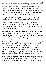base their cause on the double contention that in practice gold has provided and will provide a reasonably stable standard of value and that in practice, since governing authorities lack wisdom as often as not, a managed currency will, sooner or later, come to grief. Conservatism and scepticism join arms as they often do. Perhaps superstition comes in too; for gold still enjoys the prestige of its smell and colour.

The considerable success with which gold maintained its stability of value in the changing world of the nineteenth century was certainly remarkable. After the discoveries of Australia and California it began to depreciate dangerously, and before the exploitation of South Africa it began to appreciate dangerously. Yet in each case it righted itself and retained its reputation.

But the conditions of the future are not those of the past. We have no sufficient ground for expecting the continuance of the special conditions which preserved a sort of balance before the war. For what are the underlying explanations of the good behaviour of gold during the nineteenth century?

In the first place, it happened that progress in the discovery of gold mines roughly kept pace with progress in other directions —a correspondence which was not altogether a matter of chance, because the progress of that period, since it was characterised by the gradual opening up and exploitation of the world's surface, not unnaturally brought to light *pari passu* the remoter deposits of gold. But this stage of history is now almost at an end. A quarter of a century has passed by since the discovery of an important deposit. Material progress is more dependent now on the growth of scientific and technical knowledge, of which the application to gold-mining may be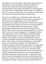intermittent. Years may elapse without great improvement in the methods of extracting gold; and then the genius of a chemist may realise past dreams and forgotten hoaxes, transmuting base into precious like Subtle, or extracting gold from sea-water as in the Bubble. Gold is liable to be either too dear or too cheap. In either case, it is too much to expect that a succession of accidents will keep the metal steady.

But there was another type of influence which used to aid stability. The value of gold has not depended on the policy or the decisions of a single body of men; and a sufficient proportion of the supply has been able to find its way, without any flooding of the market, into the Arts or into the hoards of Asia for its marginal value to be governed by a steady psychological estimation of the metal in relation to other things. This is what is meant by saying that gold has "intrinsic value" and is free from the dangers of a "managed" currency. The *independent variety* of the influences determining the value of gold has been in itself a steadying influence. The arbitrary and variable character of the proportion of gold reserves to liabilities maintained by many of the note-issuing banks of the world, so far from introducing an incalculable factor, was an element of stability. For when gold was relatively abundant and flowed towards them, it was absorbed by their allowing their ratio of gold reserves to rise slightly; and when it was relatively scarce, the fact that they had no intention of ever utilising their gold reserves for any practical purpose permitted most of them to view with equanimity a moderate weakening of their proportion. A great part of the flow of South African gold between the end of the Boer War and 1914 was able to find its way into the central gold reserves of European and other countries with the minimum effect on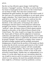prices.

But the war has effected a great change. Gold itself has become a "managed" currency. The West, as well as the East, has learnt to hoard gold; but the motives of the United States are not those of India. Now that most countries have abandoned the gold standard, the supply of the metal would, if the chief user of it restricted its holdings to its real needs, prove largely redundant. The United States has not been able to let gold fall to its "natural" value, because it could not face the resulting depreciation of its standard. It has been driven, therefore, to the costly policy of burying in the vaults of Washington what the miners of the Rand have laboriously brought to the surface. Consequently gold now stands at an "artificial" value, the future course of which almost entirely depends on the policy of the Federal Reserve Board of the United States. The value of gold is no longer the resultant of the chance gifts of Nature and the judgement of numerous authorities and individuals acting independently. Even if other countries gradually return to a gold basis, the position will not be greatly changed. The tendency to employ some variant of the gold-exchange standard and the probably permanent disappearance of gold from the pockets of the people are likely to mean that the strictly *necessary* gold reserves of the Central Banks of the gold-standard countries will fall considerably short of the available supplies. The actual value of gold will depend, therefore, on the policy of three or four of the most powerful Central Banks, whether they act independently or in unison. If, on the other hand, pre-war conventions about the use of gold in reserves and in circulation were to be restored which is, in my opinion, the much less probable alternative there might be, as Professor Cassel has predicted, a serious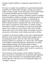shortage of gold, leading to a progressive appreciation in its value.

Nor must we neglect the possibility of a partial demonetisation of gold by the United States through a closing of its mints to further receipts of gold. The present policy of the United States in accepting unlimited imports of gold can be justified, perhaps, as a temporary measure, intended to preserve tradition and to strengthen confidence through a transitional period. But, looked at as a permanent arrangement, it could hardly be judged otherwise than as a foolish expense. If the Federal Reserve Board intends to maintain the value of the dollar at a level which is irrespective of the inflow or outflow of gold, what object is there in continuing to accept at the mints gold which is not wanted, yet costs a heavy price? If the United States mints were to be closed to gold, everything, except the actual price of the metal, could continue precisely as before.

Confidence in the future stability of the value of gold depends therefore on the United States being foolish enough to go on accepting gold which it does not want, and wise enough, having accepted it, to maintain it at a fixed value. This double event might be realised through the collaboration of a public understanding nothing with a Federal Reserve Board understanding everything. But the position is precarious; and not very attractive to any country which is still in a position to choose what its future standard is to be.

This discussion of the prospects of the stability of gold has partly answered by anticipation the second principal argument in favour of the restoration of an unqualified gold standard, namely that this is the only way of avoiding the dangers of a "managed" currency.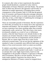It is natural, after what we have experienced, that prudent people should desiderate a standard of value which is independent of Finance Ministers and State Banks. The present state of affairs has allowed to the ignorance and frivolity of statesmen an ample opportunity of bringing about ruinous consequences in the economic field. It is felt that the general level of economic and financial education amongst statesmen and bankers is hardly such as to render innovations feasible or safe; that, in fact, a chief object of stabilising the exchanges is to strap down Ministers of Finance.

These are reasonable grounds of hesitation. But the experience on which they are based is by no means fair to the capacities of statesmen and bankers. The non-metallic standards of which we have experience have been anything rather than scientific experiments coolly carried out. They have been a last resort, involuntarily adopted, as a result of war or inflationary taxation, when the State finances were already broken or the situation out of hand. Naturally in these circumstances such practices have been the accompaniment and the prelude of disaster. But we cannot argue from this to what can be achieved in normal times. I do not see that the regulation of the standard of value is essentially more difficult than many other objects of less social necessity which we attain successfully.

If, indeed, a providence watched over gold, or if Nature had provided us with a stable standard ready-made, I would not, in an attempt after some slight improvement, hand over the management to the possible weakness or ignorance of Boards and Governments. But this is not the situation. We have no ready-made standard. Experience has shown that in emergencies Ministers of Finance cannot be strapped down.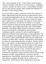And—most important of all—in the modern world of paper currency and bank credit there is no escape from a "managed" currency, whether we wish it or not;—convertibility into gold will not alter the fact that the value of gold itself depends on the policy of the Central Banks.

It is worth while to pause a moment over the last sentence. It differs significantly from the doctrine of gold reserves which we learnt and taught before the war. We used to assume that no Central Bank would be so extravagant as to keep more gold than it required or so imprudent as to keep less. From time to time gold would flow out into the circulation or for export abroad; experience showed that the quantity required on these occasions bore some rough proportion to the Central Bank's liabi[litie](#page-184-0)s; a decidedly higher proportion than this would be fixed on to provide for contingencies and to inspire confidence; and the creation of credit would be regulated largely by reference to the maintenance of this proportion. The Bank of England, for example, would allow itself to be swayed by the tides of gold, permitting the inflowing and outflowing streams to produce their "natural" consequences unchecked by any ideas as to preventing the effect on prices. Already before the war the system was becoming precarious by reason of its artificiality. The "proportion" was by the lapse of time losing its relation to the facts and had become largely conventional. Some other figure, greater or less, would have done just as well.<sup>[17]</sup> The War broke down the convention; for the withdrawal of gold from actual circulation destroyed one of the elements of reality lying behind the convention, and the suspension of convertibility destroyed the other. It would have been absurd to regulate the bank-rate by reference to a "proportion" which had lost all its significance; and in the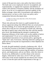<span id="page-184-0"></span>course of the past ten years a new policy has been evolved. The bank-rate is now employed, however incompletely and experimentally, to regulate the expansion and deflation of credit in the interests of business stability and the steadiness of prices. In so far as it is employed to procure stability of the dollar exchange, where this is inconsistent with stability of internal prices, we have a relic of pre-war policy and a compromise between discrepant aims.

[17] *Vide*, for what I wrote about this in 1914, *The Economic Journal*, xxiv. p. 621.

Those who advocate the return to a gold standard do not always appreciate along what different lines our actual practice has been drifting. If we restore the gold standard, are we to return also to the pre-war conceptions of bank-rate, allowing the tides of gold to play what tricks they like with the internal price level, and abandoning the attempt to moderate the disastrous influence of the credit-cycle on the stability of prices and employment? Or are we to continue and develop the experimental innovations of our present policy, ignoring the "bank ratio" and, if necessary, allowing unmoved a piling up of gold reserves far beyond our requirements or their depletion far below them?

In truth, the gold standard is already a barbarous relic. All of us, from the Governor of the Bank of England downwards, are now primarily interested in preserving the stability of business, prices, and employment, and are not likely, when the choice is forced on us, deliberately to sacrifice these to the outworn dogma, which had its value once, of £3:17:10½ per ounce. Advocates of the ancient standard do not observe how remote it now is from the spirit and the requirements of the age. A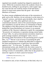regulated non-metallic standard has slipped in unnoticed. *It exists.* Whilst the economists dozed, the academic dream of a hundred years, doffing its cap and gown, clad in paper rags, has crept into the real world by means of the bad fairies always so much more potent than the good—the wicked Ministers of Finance.

<span id="page-185-0"></span>For these reasons enlightened advocates of the restoration of gold, such [as](#page-185-0) Mr. Hawtrey, do not welcome it as the return of a "natural" currency, and intend, quite decidedly, that it shall be a "managed" one. They allow gold back only as a constitutional monarch, shorn of his ancient despotic powers and compelled to accept the advice of a Parliament of Banks. The adoption of the ideas present in the minds of those who drafted the Genoa Resolutions on Currency is an essential condition of Mr. Hawtrey's adherence to gold. He contemplates "the practice of continuous co-operation among [cen](#page-185-1)tral banks of issue" (Res. 3), and an international convention, based on a gold exchange standard, and designed "with a view to preventing undue fluctuations in the purchasing power of gold" (Res. 11). [18] But he is *not* in favour of resuming the gold standard irrespective of "whether the difficulties in regard to the future purchasing power of gold have been provided against or not." "It is not easy," he admits, "to promote international action, and, should it fail, the wisest course for the time being might be to concentrate on the stabilisation of sterling in terms of commodities, rather than tie the pound to a metal the vagaries of which cannot be foreseen."<sup>[19]</sup>

<span id="page-185-1"></span>[18] *Monetary Reconstruction*, p. 132. [19] *Loc. cit.* p. 22.

It is natural to ask, in face of advocacy of this kind, why it is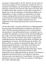necessary to drag in gold at all. Mr. Hawtrey lays no stress on the obvious support for his compromise, namely the force of sentiment and tradition, and the preference of Englishmen for shearing a monarch of his powers rather than of his head. But he adduces three other reasons: (1) that gold is required as a liquid reserve for the settlement of international balances of indebtedness; (2) that it enables an experiment to be made without cutting adrift from the old system; and (3) that the vested interests of gold producers must be considered. These objects, however, are so largely attained by my own suggestions in the following section that I need not dwell on them here.

On the other hand, I see grave objections to reinstating gold in the pious hope that international co-operation will keep it in order. With the existing distribution of the world's gold the reinstatement of the gold standard means, inevitably, that we surrender the regulation of our price level and the handling of the credit cycle to the Federal Reserve Board of the United States. Even if the most intimate and cordial co-operation is established between the Board and the Bank of England, the preponderance of power will still belong to the former. The Board will be in a position to disregard the Bank. But if the Bank disregard the Board, it will render itself liable to be flooded with, or depleted of, gold, as the case may be. Moreover, we can be confident beforehand that there will be much suspicion amongst Americans (for that is their disposition) of any supposed attempt on the part of the Bank of England to dictate their policy or to influence American discount rates in the interests of Great Britain. We must also be prepared to incur our share of the vain expense of bottling up the world's redundant gold.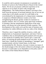It would be rash in present circumstances to surrender our freedom of action to the Federal Reserve Board of the United States. We do not yet possess sufficient experience of its capacity to act in times of stress with courage and independence. The Federal Reserve Board is striving to free itself from the pressure of sectional interests; but we are not yet certain that it will wholly succeed. It is still liable to be overwhelmed by the impetuosity of a cheap money campaign. A suspicion of British influence would, so far from strengthening the Board, greatly weaken its resistance to popular clamour. Nor is it certain, quite apart from weakness or mistakes, that the simultaneous application of the same policy will always be in the interests of both countries. The development of the credit cycle and the state of business may sometimes be widely different on the two sides of the Atlantic.

Therefore, since I regard the stability of prices, credit, and employment as of paramount importance, and since I feel no confidence that an old-fashioned gold standard will even give us the modicum of stability that it used to give, I reject the policy of restoring the gold standard on pre-war lines. At the same time, I doubt the wisdom of attempting a "managed" gold standard jointly with the United States, on the lines recommended by Mr. Hawtrey, because it retains too many of the disadvantages of the old system without its advantages, and because it would make us too dependent on the policy and on the wishes of the Federal Reserve Board.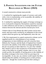# **3. POSITIVE SUGGESTIONS FOR THE FUTURE REGULATION OF MONEY (1923)**

A sound constructive scheme must provide:

I. A method for regulating the supply of currency and credit with a view to maintaining, so far as possible, the stability of the internal price level; and

II. A method for regulating the supply of foreign exchange so as to avoid purely temporary fluctuations caused by seasonal or other influences and not due to a lasting disturbance in the relation between the internal and the external price level.

I believe that in Great Britain the ideal system can be most nearly and most easily reached by an adaptation of the actual system which has grown up, half haphazard, since the war.

I. My first requirement in a good constructive scheme can be supplied merely by a development of our existing arrangements on more deliberate and self-conscious lines. Hitherto the Treasury and the Bank of England have looked forward to the stability of the dollar exchange (preferably at the pre-war parity) as their objective. It is not clear whether they intend to stick to this irrespective of fluctuations in the value of the dollar (or of gold); whether, that is to say, they would sacrifice the stability of sterling prices to the stability of the dollar exchange in the event of the two proving to be incompatible. At any rate, my scheme would require that they should adopt the stability of sterling prices as their *primary* objective—though this would not prevent their aiming at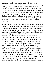exchange stability also as a secondary objective by cooperating with the Federal Reserve Board in a common policy. So long as the Federal Reserve Board was successful in keeping dollar prices steady the objective of keeping sterling prices steady would be identical with the objective of keeping the dollar sterling exchange steady. My recommendation does not involve more than a determination that, in the event of the Federal Reserve Board failing to keep dollar prices steady, sterling prices should not, if it could be helped, plunge with them merely for the sake of maintaining a fixed parity of exchange.

If the Bank of England, the Treasury, and the Big Five were to adopt this policy, to what criteria should they look respectively in regulating bank-rate, Government borrowing, and tradeadvances? The first question is whether the criterion should be a precise, arithmetical formula or whether it should be sought in a general judgement of the situation based on all the available data. The pio[neer](#page-190-0) of price-stability as against exchange-stability, Professor Irving Fisher, advocated the former in the shape of his "compensated dollar," which was to be automatically adjusted by reference to an index number of prices without any play of judgement or discretion. He may have been influenced, however, by the advantage of propounding a method which could be grafted as easily as possible on to the pre-war system of gold reserves and gold ratios. In any case, I doubt the wisdom and the practicability of a system so cut and dried. If we wait until a price movement is actually afoot before applying remedial measures, we may be too late. "It is not the *past* rise in prices but the *future* rise that has to be counteracted."<sup>[20]</sup> It is characteristic of the impetuosity of the credit cycle that price movements tend to be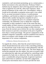<span id="page-190-0"></span>cumulative, each movement promoting, up to a certain point, a further movement in the same direction. Professor Fisher's method may be adapted to deal with long-period trends in the value of gold but not with the, often more injurious, shortperiod oscillations of the credit cycle. Nevertheless, whilst it would not be advisable to postpone action until it was called for by an actual movement of prices, it would promote confidence, and furnish an objective standard of value, if, an official index number having been compiled of such a character as to register the price of a standard composite commodity, the authorities were to adopt this composite commodity as their standard of value in the sense that they would employ all their resources to prevent a movement of its price by more than a certain percentage in either direction away from the normal, just as before the war they employed all their resources to prevent a movement in the price of gold by more than a certain percentage. The precise composition of the standard composite commodity could be modified from time to time in accordance with changes in the relative economic importance of its various components.

#### [20] Hawtrey, *Monetary Reconstruction*, p. 105.

As regards the criteria, other than the actual trend of prices, which should determine the action of the controlling authority, it is beyond the scope of this essay to deal adequately with the diagnosis and analysis of the credit cycle. The more deeply our researches penetrate into this subject, the more accurately shall we understand the right time and method for controlling creditexpansion by bank-rate or otherwise. But in the meantime we have a considerable and growing body of general experience upon which those in authority can base their judgements. Actual price-movements must of course provide the most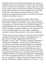important datum; but the state of employment, the volume of production, the effective demand for credit as felt by the banks, the rate of interest on investments of various types, the volume of new issues, the flow of cash into circulation, the statistics of foreign trade and the level of the exchanges must all be taken into account. The main point is that the *objective* of the authorities, pursued with such means as are at their command, should be the stability of prices.

II. How can we best combine this primary object with a maximum stability of the exchanges? Can we get the best of both worlds—stability of prices over long periods and stability of exchanges over short periods? It is the great advantage of the gold standard that it overcomes the excessive sensitiveness of the exchanges to temporary influences. Our object must be to secure this advantage, if we can, without committing ourselves to follow big movements in the value of gold itself.

I believe that we can go a long way in this direction if the Bank of England will take over the duty of regulating the price of gold, just as it already regulates the rate of discount. "Regulate," but not "peg." The Bank of England should have a buying and a selling price for gold, just as it did before the war, and this price might remain unchanged for considerable periods, just as bank-rate does. But it would not be fixed or "pegged" once and for all, any more than bank-rate is fixed. The Bank's rate for gold would be announced every Thursday morning at the same time as its rate for discounting bills, with a difference between its buying and selling rates corresponding to the pre-war margin between £3:17:10½ per oz. and £3:17:9 per oz.; except that, in order to obviate too frequent changes in the rate, the difference might be wider than 1½d. per oz.—say,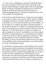$\frac{1}{2}$  to 1 per cent. A willingness on the part of the Bank both to buy and to sell gold at rates fixed for the time being would keep the dollar-sterling exchange steady within corresponding limits, so that the exchange rate would not move with every breath of wind but only when the Bank had come to a considered judgement that a change was required for the sake of the stability of sterling prices.

If the bank-rate and the gold-rate in conjunction were leading to an excessive influx or an excessive efflux of gold, the Bank of England would have to decide whether the flow was due to an internal or to an external movement away from stability. To fix our ideas, let us suppose that gold is flowing outwards. If this seemed to be due to a tendency of sterling to depreciate in terms of commodities, the correct remedy would be to raise the bank-rate. If, on the other hand, it was due to a tendency of gold to appreciate in terms of commodities, the correct remedy would be to raise the gold-rate (*i.e.* the buying price for gold). If, however, the flow could be explained by seasonal, or other passing influences, then it should be allowed to continue (assuming, of course, that the Bank's gold reserves were equal to any probable calls on them) unchecked, to be redressed later on by the corresponding reaction.

It would effect an improvement in the technique of the system here proposed, without altering its fundamental characteristics, if the Bank of England were to quote a daily price, not only for the purchase and sale of gold for immediate delivery, but also for delivery three months forward. The difference, if any, between the cash and forward quotations might represent either a discount or a premium of the latter on the former, according as the bank desired money rates in London to stand below or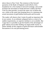above those in New York. The existence of the forward quotation of the Bank of England would afford a firm foundation for a free market in forward exchange, and would facilitate the movement of funds between London and New York for short periods, in much the same way as before the war, whilst at the same time keeping down to a minimum the actual movement of gold bullion backwards and forwards.

The reader will observe that I retain for gold an important rôle in our system. As an ultimate safeguard and as a reserve for sudden requirements, no superior medium is yet available. But I urge that it is possible to get the benefit of the advantages of gold without irrevocably binding our legal-tender money to follow blindly all the vagaries of gold and future unforseeable fluctuations in its real purchasing power.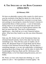# **4. THE SPEECHES OF THE BANK CHAIRMEN (1924-1927)**

### **(i) February 1924**

We have an admirable custom in this country by which once a year the overlords of the Big Five desist for a day from the thankless task of persuading their customers to accept loans, and, putting on cap and gown, mount the lecturer's rostrum to expound the theory of their practice;—a sort of *Saturnalia*, during which we are all ephemerally equal with words for weapons. These occasions are of great general interest. But they are more than this. They have a representative significance;—they hold up, as it were, financial fashionplates. What have they found to say this year about Monetary Policy?

Only one, Mr. Walter Leaf, of the Westminster Bank, has refrained himself entirely. Each of the other four has had something to say. They fall into a pair of couples: one of which, Mr. Beaumont Pease of Lloyds Bank and Sir Harry Goschen of the National Provincial Bank, feel that there is something improper, or at any rate undesirable, in thinking or speaking about these things at all; and the other of which, Mr. Goodenough of Barclays Bank and Mr. McKenna of the Midland Bank, so far from deprecating discussion, join in it boldly.

Mr. Pease, as I have said, deprecates thinking, or—as he prefers to call it—"the expenditure of mental agility." He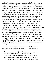desires "straightly to face the facts instead of to find a clever way round them," and holds that, in matters arising out of the Quantity Theory of Money, as between brains and character, "certainly the latter does not come second in order of merit." In short, the gold standard falls within the sphere of morals or of religion, where free-thought is out of place. He goes on to say: "As far as any ordinary joint-stock bank is concerned, I do not think it determines its policy consciously on pure monetary grounds. That is to say, its chief concern is to meet the requirements of trade as they arise, regardless of adhesion to any particular theory. Its actions are not the cause of trade movements; they follow after and do not precede them." I think that this, broadly speaking, is a correct account of the matter, and Mr. Pease's emphasis on it is the most valuable part of his speech. It is precisely this automatic element in the reactions of the joint-stock banks which makes the policy of the Bank of England about the volume of the banks' balances and the rate of discount so all-important. In conclusion, Mr. Pease does not propose to take any particular steps at present towards establishing any particular standard. Nevertheless he is "hopeful that we may gradually get back to our gold standard, which, in spite of some defects and difficulties, has, as a matter of fact, worked well in the past."

Sir Harry Goschen goes one better than Mr. Pease in a delightful passage which deserves to be quoted in full:—

I cannot help thinking that there has been lately far too much irresponsible discussion as to the comparative advantages of Inflation and Deflation. Discussions of this kind can only breed suspicion in the minds of our neighbours as to whether we shall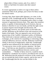adopt either of these courses, and, if so, which. I think we had better let matters take their natural course.

Is it more appropriate to smile or to rage at these artless sentiments? Best of all, perhaps, just to leave Sir Harry to take his natural course.

Leaving, then, these impeccable Spinsters, we come, in the speeches of Mr. Goodenough and Mr. McKenna, to rational, even *risqué* conversation. In immediate policy there is a large measure of agreement between them. They agree that monetary policy is capable of determining the level of prices, that our destiny is therefore in our own hands, and that the right course to pursue requires much thought and discussion. Mr. Goodenough, however, lays greater stress on the bank-rate, and Mr. McKenna on the amount of the cash resources in the hands of the banks. They are opposed to any revival at the present time of the Cunliffe Committee's policy of Deflation. They both look to internal conditions, and not to the foreign exchanges, as the criterion for expanding or contracting credit; with this difference, however, that Mr. McKenna would look chiefly to the level of employment, whilst Mr. Goodenough would be more influenced by the stability of internal prices. "To sum up my views on the currency question," the latter says, "I feel that our aim should be to maintain as nearly as possible the existing equilibrium between currency and commodities. . . ." Neither of them, however, would be much disturbed by a moderate rise of prices, provided (in the case of Mr. McKenna) that the productive resources of the country had not yet reached the limit of their capacity, and (in the case of Mr. Goodenough) that the rise was due neither to the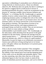speculative withholding of commodities nor to British prices rising relatively to American prices. About our ultimate objective, Mr. McKenna does not speak; but there is nothing in his speech to suggest that he would not be in favour of pursuing permanently the policy, which he recommends for the present, of "steering a middle course between Inflation and Deflation," *i.e.* of aiming, like Mr. Goodenough, at a general stability of prices within certain limits, and of deliberately employing monetary policy to mitigate the evils of the credit cycle: "Ups and downs in trade we are bound to have, but wise monetary policy can always prevent the cyclical movement from going to extremes. The speculative excesses of an inflationary boom and the cruel impoverishment of a prolonged slump can both be avoided. They are not necessary evils to which we must submit as things without understandable or preventable causes." Mr. Goodenough, on the other hand, whilst desisting from the pursuit of the gold standard for the time being, continues the passage from his speech quoted above—". . . although always we should keep in mind our ultimate aim, which is a return to a gold standard." Meanwhile, he puts his hopes on an inflationary movement in America just sufficient to bring sterling back to its former parity with gold, without any disturbance to its present parity with commodities.

What is the net result of these speeches? They strengthen greatly the hands of the Currency Reformers who believe that the stability of the internal price level and the damping down of the credit cycle are desirable and attainable objects. They are also reassuring, since they show that two of the most influential figures in the City have clearly in mind all the points of immediate practical importance, and can be relied on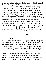to use their influence in the right direction. Mr. McKenna and Mr. Goodenough are both in sympathy with the above aims. Nor would it be fair to say that the Spinsters are definitely opposed to these ideas. (There would be just as much impropriety for them, just as much mental agility required, to think one thing as to think another. Their simplicity is quite impartial.) If they could be led gently by the hand beyond their copy-book maxims of "looking facts firmly in the face" and "economy and hard work," it might be found that they, too, had no objection to a deliberate attempt to keep prices steady and trade on an even keel, and that, whilst they feel at first the same distaste towards any proposal to "tamper" with "the natural course" of prices as they might feel towards an attempt to settle the sex of a child before birth, they are not really prepared to insist on their instinctive preference for having these matters settled by some method of pure chance.

#### **(ii) February 1925**

Once more the Bank chairmen have held up for our inspection their financial fashion-plates. The captions vary; but the plates are mostly the same. The first displays marriage with the gold standard as the most desired, the most urgent, the most honourable, the most virtuous, the most prosperous, and the most blessed of all possible states. The other is designed to remind the intending bridegroom that matrimony means heavy burdens from which he is now free; that it is for better, for worse; that it will be for him to honour and obey; that the happy days, when he could have the prices and the bank-rate which suited the housekeeping of his bachelor establishment, will be over—though, of course, he will be asked out more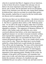when he is married; that Miss G. happens to be an American, so that in future the prices of grape-fruit and pop-corn are likely to be more important to him than those of eggs and bacon; and, in short, that he had better not be too precipitate. Some of our chairmen were like him who, being asked whether he believed that, when he was dead, he would enjoy perfect bliss eternally, replied that of course he did, but would rather not discuss such an unpleasant subject.

Like last year there are two distinct issues,—the abstract merits of the gold standard, and the date and the mode of our return to it. The first is a question about which, as Mr. McKenna justly said, "we are still in the stage of inquiry rather than of positive opinion, and there is no formulated body of doctrine generally regarded as orthodox." The supporters of Monetary Reform, of which I, after further study and reflection, am a more convinced adherent than before, as the most important and significant measure we can take to increase economic welfare, must expound their arguments more fully, more clearly, and more simply, before they can overwhelm the forces of old custom and general ignorance. This is not a battle which can be won or lost in a day. Those who think that it can be finally settled by a sharp hustle back to gold mistake the situation. That will be only the beginning. The issue will be determined, not by the official decisions of the coming year, but by the combined effects of the actual experience of what happens after that and the relative clearness and completeness of the arguments of the opposing parties. Readers of the works, for example, of the great Lord Overstone, will remember how many years it took, and what bitter and disastrous experiences, before the monetary reformers of a hundred years ago established the pre-war policy of bank-rate and bank-reserves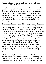(which, in its day, was a great advance), in the teeth of the opposition of the Bank of England.

The other issue is of practical and immediate importance. Last year it was a question of whether it was prudent to hasten matters by deliberate Deflation; this year it is a question of whether it is prudent to hasten matters by a removal of the embargo against the export of gold. This year, like last year, the bankers, faced with the practical problem, are a little nervous. I think that this nervousness is justified for the following reasons.

In common with many others, I have long held the opinion that monetary conditions in the United States were likely, sooner or later, to bring about a rising price level and an incipient boom; and also that it would be our right policy in such circumstances to employ the usual methods to curb our own price level and to prevent credit conditions here from following in the wake of those in America. The result of this policy, if it was successful, would be a gradual improvement of the sterling exchange; and it would not need a very violent boom in America to justify a rise of the sterling exchange at least as high as the pre-war parity. I have, therefore, maintained for two years past that a return of sterling, sooner or later, towards its pre-war parity would be both a desirable and a probable consequence of a sound monetary policy on the part of the Bank of England coupled with a less sound one on the part of the Federal Reserve Board.

What has actually happened? In the spring of 1923 boom conditions in the United States seemed to be developing; but largely through the action of the Federal Reserve Board, the movement was stopped. Since July 1924, however, there has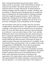been a strong and sustained upward movement, which subject always to the policy of the Federal Reserve Board—is expected to go further. The earlier upward movement of American prices was duly followed by an improvement in sterling exchange; and the relapse by a relapse. Similarly, the movement of American prices during the past six months has been accompanied by the improvement in sterling exchange, which has caught the popular attention. As Mr. McKenna pointed out, sterling prices have been a little steadier than dollar prices, and this greater steadiness has involved, as its necessary counterpart, some unsteadiness in the exchange.

The movement of the past six months, however, has been complicated by abnormal factors. The improvement in sterling exchange is more than can be accounted for by our monetary policy. It is true that short-money rates have been maintained at an effective ½ per cent above those in New York, and that British prices have risen somewhat less than American prices. But it is generally agreed that these influences have not been strong enough to account for everything. The Board of Trade returns indicate that there has been a movement of funds on capital account in the past year (and most of it, probably, in the second half of the year) from New York to London of the order of magnitude of £100,000,000. This is due (in proportions difficult to calculate) to the return of foreign balances previously held in London, to American investment in Europe resulting from the greater confidence engendered by the Dawes Scheme coming on the top of an investment boom in Wall Street, and to speculative purchases of sterling in the expectation of its improving in value relatively to the dollar. This unprecedented movement introduces a precarious element into the situation;—we cannot expect that it will continue on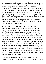the same scale, and it may, at any time, be partly reversed. We require an interval, therefore, to readjust our liabilities either by a recovery of exports relatively to imports or by establishing a rate of interest on permanent loans high enough to check the present (in my judgement excessive) flow of new foreign investment outwards. At present we are in danger of lending long (*e.g.* to Australia) what we have borrowed short from New York. The strength of our pre-war position lay in the fact that (through the bill market) we had lent large sums short, which we could call in. At the present time this position is partly, though perhaps only temporarily, reversed;—which, in itself, is one reason for caution.

What is going to happen next? There are two leading alternatives. It may be that the Federal Reserve Board will come to the conclusion that the incipient boom conditions in the United States are getting dangerous, and will take the position firmly in hand, just as they did two years ago. This, almost certainly, is what the Board ought to do. In this event, the situation would be back again very nearly where it was eighteen months ago, and we should be faced, as we were then, with the alternative of relatively steady sterling prices with the dollar exchange below parity, or of stern Deflation in the effort to keep exchange at parity. A premature announcement of the removal of the embargo on the free export of gold would commit us in advance to the latter alternative,—the alternative which we deliberately rejected two years ago. This is what the fanatics desire. But with our unemployment figures what they still are, it would not be wise.

The other alternative is that the Federal Reserve Board will allow matters to pursue their present course, in which event we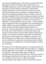may expect that dollar prices will advance a good deal further. During part of 1924 the Board's open-market policy was decidedly inflationary, and has been largely responsible for the sharp rise of prices already experienced. At the present moment their policy is more cautious; but there is no clear indication that they have any steady or considered policy. It may be that misplaced sympathy with our efforts to raise the sterling exchange will be a factor tending to postpone action on their part; and if they delay much longer, boom conditions may become definitely established. In this event we need have no difficulty in raising sterling to pre-war parity. A firm monetary policy, designed to check a sympathetic rise of sterling prices, ought, without any positive Deflation, to do the trick. But it does not follow that the embargo should, therefore, be removed. To link sterling prices to dollar prices at a moment in the credit cycle when the latter were near their peak as the result of a boom which we had not fully shared would ask for trouble. For when the American boom broke we should bear the full force of the slump. The conditions in which we can link sterling prices to dollar prices without immediate risk to our own welfare will only exist when the mean level of dollar prices appears to be *stabilised* at a somewhat higher level than in recent times.

The removal of the embargo amounts to an announcement that sterling *is* at parity with the dollar and will remain so. I suggest that the right order of procedure is to establish the fact first and to announce it afterwards, rather than to make the announcement first and to chance the fact. Thus the removal of the embargo should be the last stage in the restoration of prewar conditions, not the first one. The only prudent announcement on the subject would be to the effect that the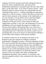embargo will not be removed until after sterling has been at parity for some considerable time, and until all the fundamental adjustments consequent upon this have duly taken place. At the same time—if we want to return to parity—steps should be taken to achieve the *fact* by raising bank-rate and checking foreign issues. I—without attaching any importance whatever to a return to parity—believe that there is much to be said for these measures in the interests of the stabilisation of our own situation. I do not believe that a somewhat higher bank-rate would do any harm, in view of the present tendencies of the price level, to the volume of trade and employment, and that, in any case, the maintenance of our own equilibrium will soon require the support of a higher rate. Several of the bankers declared that they were in favour of removing the embargo, provided this did not involve a risk of raising the bank-rate. Unless this was merely a polite way of saying that they were not in favour of removing the embargo, I do not follow their analysis of the present situation.

It would be useless for me to attempt in the space at my disposal to give the reasons for wishing to maintain permanently a Managed Currency. The most important of them flow from my belief that fluctuations of trade and employment are at the same time the greatest and the most remediable of the economic diseases of modern society, that they are mainly diseases of our credit and banking system, and that it will be easier to apply the remedies if we retain the control of our currency in our own hands. But whilst avoiding these fundamental questions I may mention, in conclusion, one practical argument which is also connected with what I have said above.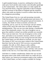A gold standard means, in practice, nothing but to have the same price level and the same money rates (broadly speaking) as the United States. The whole object is to link *rigidly* the City and Wall Street. I beg the Chancellor of the Exchequer and the Governor of the Bank of England and the nameless others who settle our destiny in secret to reflect that this may be a dangerous proceeding.

The United States lives in a vast and unceasing crescendo. Wide fluctuations, which spell unemployment and misery for us, are swamped for them in the general upward movement. A country, the whole of whose economic activities are expanding, year in, year out, by several per cent per annum, cannot avoid, and at the same time can afford, temporary maladjustments. This was our own state during a considerable part of the nineteenth century. Our rate of progress was so great that stability in detail was neither possible nor essential. This is not our state now. Our rate of progress is slow at the best, and faults in our economic structure, which we could afford to overlook whilst we were racing forward and which the United States can still afford to overlook, are now fatal. The slump of 1921 was even more violent in the United States than here, but by the end of 1922 recovery was practically complete. We still, in 1925, drag on with a million unemployed. The United States may suffer industrial and financial tempests in the years to come, and they will scarcely matter to her; but we, if we share them, may almost drown.

And there is a further consideration. Before the war we had lent great sums to the whole world which we could call in at short notice; our American investments made us the creditors of the United States; we had a surplus available for foreign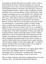investment far greater than that of any other country; with no Federal Reserve system, American banking was weak and disorganised. We, in fact, were the predominant partner in the Gold Standard Alliance. But those who think that a return to the gold standard means a return to these conditions are fools and blind. We are now the debtors of the United States. Their foreign investments last year were double ours, and their true net balance available for such investment was probably ten times ours. They hold six times as much gold as we do. The mere *increase* in the deposits of the banks of the Federal Reserve System in the past year has been not far short of half our *total* deposits. A movement of gold or of short credits either way between London and New York, which is only a ripple for them, will be an Atlantic roller for us. A change of fashion on the part of American bankers and investors towards foreign loans, of but little consequence to them, may shake us. If gold and short credits and foreign bonds can flow without restriction or risk of loss backwards and forwards across the Atlantic, fluctuations of given magnitude will produce on us effects altogether disproportionate to the effects on them. It suits the United States that we should return to gold, and they will be ready to oblige us in the early stages. But it would be a mistake to believe that in the long run they will, or ought to, manage their affairs to suit our convenience.

What solid advantages will there be to set against these risks? I do not know. Our bankers speak of "psychological" advantages. But it will be poor consolation that "nine people out of ten" expected advantages, if none in fact arrive.

That our Bank chairmen should have nothing better to cry than "Back to 1914," and that they should believe that this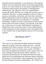<span id="page-207-0"></span>represents the best attainable, is not satisfactory. The majority of those who are studying the matter are becoming agreed that faults in our credit system are at least partly responsible for the confusions which result in the paradox of unemployment amidst dearth. The "Big Five" have vast responsibilities towards the public. But they are so huge and, in some ways, so vulnerable, that there is a great temptation to them to cling to maxims, conventions, and routine; and [whe](#page-207-0)n their chairmen debate fundamental economic problems, they are most of them on ground with which they are unfamiliar. It is doubtful, nevertheless, whether too much conservatism on these matters and too little of the spirit of inquiry will redound, in the long run, to their peace or security. Individualistic Capitalism in England has come to the point when it can no longer depend on the momentum of mere expansion; and it must apply itself to the scientific task of improving the structure of its economic machine.

### **(iii) February 1927 [21]**

#### [21] [After the Return to Gold.]

The voices of our old friends the Bank chairmen herald the approach of spring. They have spoken this year—with the exception of Sir Harry Goschen, who sees "no reason to be downhearted," and, as in former years, cannot "remember a time when, throughout the industries of the country, there was such a feeling of expectation and, indeed, optimism"—in somewhat chastened tones. Mr. Beaumont Pease has done a useful service by publishing some important figures analysing the business of Lloyds Bank, which inaugurate a new policy of giving information instead of withholding it. Mr. Walter Leaf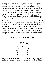made some sound observations on the tendency of business towards amalgamation and, at the same time, of shareholdings towards diffusion, and on the necessity of the State taking some responsibility for guiding this inevitable evolution along the right lines. But none of them except Mr. McKenna—and on one point of detail Mr. Goodenough—had anything to say about the future of monetary policy. So leaving Sir Harry Goschen to chirrup in the bushes, let us join Mr. McKenna in an attempt to dig a few inches below the surface of the soil.

Mr. McKenna reminded us of the overwhelming prosperity of the United States as against our own depression during the past five years. He declared that in the "wide divergence between English and American monetary policy, we have at least a partial explanation of the phenomenon." He found the measure of this divergence of policy in the expansion and contraction respectively of the bank deposits in the two countries, namely, as follows:—

#### **(Volume of Deposits in 1922 = 100)**

|      | United  | Great    |
|------|---------|----------|
|      | States. | Britain. |
| 1922 | 100     | 100      |
| 1923 | 107     | 94       |
| 1924 | 115     | 94       |
| 1925 | 127     | 93       |
| 1926 | 131     | 93       |

He explained in some detail what is fundamental, yet too little understood, that the volume of bank deposits in Great Britain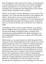does not depend, except within narrow limits, on the depositors or on the Big Five, but on the policy of the Bank of England. And he concluded that we can scarcely expect a materially increased scale of production and employment in this country until the Bank of England revises its policy.

Whilst I do not agree with Mr. McKenna in every detail of his argument, I am certain that the broad lines of his diagnosis are correct. He has done a service by his persistent efforts to educate the public and his colleagues to the vital importance of some fundamental principles of monetary policy of which the truth is as certain as the day, but to which the City is blind as night.

Nevertheless, he has on this occasion shirked, in my opinion, half the problem. How far and subject to what conditions is a reversal of the Bank of England's policy consistent with maintaining the gold standard? Is the Bank of England in its new-forged golden fetters as free an agent as Mr. McKenna's policy requires?

What matters is, not some abstraction called the general level of prices, but the relationships between the various price levels which measure the value of our money for different purposes. Prosperity, in so far as it is governed by monetary factors, depends on these various price levels being properly adjusted to one another. Unemployment and trade depression in Great Britain have been due to a rupture of the previous equilibrium between the sterling price level of articles of international commerce and the internal value of sterling for the purposes on which the average Englishman spends his money-income. Moreover, in proportion as we are successful in moving towards the new equilibrium of lower sterling prices all round,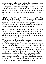we increase the burden of the National Debt and aggravate the problem of the Budget. If the Bank of England and the Treasury were to succeed in reducing the sheltered price level to its former equilibrium with the unsheltered price level, they would *ipso facto* have increased the real burden of the National Debt by about £1,000,000,000 as compared with two years ago.

Now Mr. McKenna seems to assume that the disequilibrium which admittedly existed two years ago has since disappeared. "To-day," he tells us, "such questions have only historic significance." But the evidence does not support this view. So far from having disappeared, the disparity between the price levels is actually *greater* than it was two years ago.

How, then, have we lived in the meantime? The real ground of the optimism on the lips of the Bank chairmen is to be found, I think, in the fact that there has been no strain on our resources which we have not been able to meet. Is this so great a paradox as it appears? Or so comforting?

We have undoubtedly balanced the difference in our account partly by drawing on the large margin of safety which we used to possess, and partly, during the Coal Strike, by increasing our short-loan indebtedness to the rest of the world. Before the war we probably had a favourable balance on international account, apart from capital transactions, of something like £300,000,000 per annum measured in sterling at its present value. The war and the fall in the value of fixed money payments may have reduced this annual surplus to about £225,000,000; i.e. this is what our surplus would be to-day if our export trades were as flourishing as in 1913. Let us suppose that as the result of our relatively high level of internal prices we have lost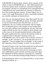£200,000,000 of exports gross, namely, about a quarter of the whole, or (say) £150,000,000 net, *i.e.* after deducting that part of the lost exports which would have consisted of imported raw material, and that we consequently have unemployed (say) 1,000,000 men who would otherwise, directly or indirectly, have been producing these exports. All these figures are, of course, very rough illustrations of what is reasonably probable, not scientific estimates of statistical facts.

How does our international balance-sheet then stand? We still have a surplus of £75,000,000 per annum. Provided, therefore, we do not invest abroad more than this sum, we are in equilibrium. We can continue permanently with our higher level of sheltered prices, with a quarter of our foreign trade lost, and with a million men unemployed, but also with some surplus still left for the City of London to invest abroad, and, as the crown of all, the gold standard entirely unthreatened. The gold standard may have reduced the national wealth, as compared with an alternative monetary policy, by £150,000,000 a year. Never mind! "Our economic reserves of strength," as Mr. Leaf puts it, "are far greater than any of us supposed." "We are tougher than we thought," in the words of the Chancellor of the Exchequer. In short, we can afford it!

The special losses of the Coal Strike period are not allowed for in the above. They seem to have amounted to round £100,000,000, and to have been met by increasing our shortloan indebtedness, partly with the aid of the usual time-lag in the settlement of adverse balances, and partly by a relatively attractive rate of discount drawing foreign balances to London.

In determining the future of our National Policy, we have three alternatives before us:—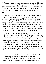(1) We can seek at all costs to restore the pre-war equilibrium of large exports and large foreign investments. The return to gold has rendered this impossible without an all-round attack on wages, such as the Prime Minister has repudiated, or a considerable rise of external gold prices which we wait for in vain.

(2) We can continue indefinitely in the pseudo-equilibrium described above with trade depressed and a million unemployed. This pseudo-equilibrium has been the result, though probably not the intention, of the Bank of England's policy up to date. I see no convincing reason why it should not be continued for some time yet. Mr. Norman may have an awkward period ahead owing to the delayed results of the Coal Strike. But even if the worst comes, a partial reimposition of the embargo on foreign investments might be enough.

(3) The third course consists in accepting the loss of export trade and a corresponding reduction of foreign investment and in diverting the labour previously employed in the former and the savings previously absorbed in the latter to the task of improving the efficiency of production and the standard of life at home. If the return to gold has the effect in the end of bringing about this result, it may have been a blessing in disguise. For this course has manifold advantages which I must not stop to enumerate at the end of a long article. I believe that a further improvement in the standard of life of the masses is dependent on our taking it.

This brings us back to Mr. McKenna. I assume that his object in advocating an expansion of credit is to absorb the unemployed in a general crescendo of home industry and indirectly to help a little the export industries also by the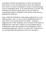economies of full-scale production. In short, he favours the third course. For he can hardly hope to lower the sheltered price level or to effect an adequate economy in manufacturing costs by expanding credit. As on some previous occasions, Mr. McKenna has done less than justice to his own ideas by pretending to greater confidence in the effects of the return to gold than he really has.

Now, within the limitations of the gold standard, this is a very difficult policy, and—in view of the £100,000,000 which we may still owe on account of the Coal Strike—possibly a dangerous one. If Mr. McKenna were Governor of the Bank of England with a free hand, I believe it to be probable that he could greatly reduce the numbers of the unemployed whilst maintaining gold parity. But can we expect Mr. Norman to do so, moving within the limitations of his own mentality?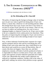# **5. THE ECONOMIC CONSEQUENCES OF MR. CHURCHILL (1925) [22]**

[22] [Written immediately after the Return to Gold.]

#### **(i)** *The Misleading of Mr. Churchill*

The policy of improving the foreign-exchange value of sterling up to its pre-war value in gold from being about 10 per cent below it, means that, whenever we sell anything abroad, either the foreign buyer has to pay 10 per cent *more in his money* or we have to accept 10 per cent *less in our money*. That is to say, we have to reduce our sterling prices, for coal or iron or shipping freights or whatever it may be, by 10 per cent in order to be on a competitive level, unless prices rise elsewhere. Thus the policy of improving the exchange by 10 per cent involves a reduction of 10 per cent in the sterling receipts of our export industries.

Now, if these industries found that their expenses for wages and for transport and for rates and for everything else were falling 10 per cent at the same time, they could afford to cut their prices and would be no worse off than before. But, of course, this does not happen. Since they use, and their employees consume, all kinds of articles produced at home, it is impossible for them to cut their prices 10 per cent, unless wages and expenses in home industries generally have fallen 10 per cent. Meanwhile the weaker export industries are reduced to a bankrupt condition. Failing a fall in the value of gold itself, nothing can retrieve their position except a general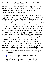fall of all internal prices and wages. Thus Mr. Churchill's policy of improving the exchange by 10 per cent was, sooner or later, a policy of reducing every one's wages by 2s. in the £. He who wills the end wills the means. What now faces the Government is the ticklish task of carrying out their own dangerous and unnecessary decision.

The movement away from equilibrium began in October last (1924) and has proceeded, step by step, with the improvement of the exchange—brought about first by the anticipation, and then by the fact, of the restoration of gold, and not by an improvement in the intrinsic value of sterling.<sup>[23]</sup> The President of the Board of Trade has asserted in the House of Commons that the effect of the restoration of the gold standard upon our export trade has been "all to the good." The Chancellor of the Exchequer has expressed the opinion that the return to the gold standard is no more responsible for the condition of affairs in the coal industry than is the Gulf Stream. These statements are of the feather-brained order. It is open to Ministers to argue that the restoration of gold is worth the sacrifice and that the sacrifice is temporary. They can also say, with truth, that the industries which are feeling the wind most have private troubles of their own. When a *general* cause operates, those which are weak for other reasons are toppled over. But because an epidemic of influenza carries off only those who have weak hearts, it is not permissible to say that the influenza is "all to the good," or that it has no more to do with the mortality than the Gulf Stream has.

[23] This view was shared by the Treasury Committee on the Currency, who reported that the exchange improvement of last autumn and spring could not be maintained if we did not restore the gold standard; in other words, the improvement in the exchange prior to the restoration of gold was due to a speculative anticipation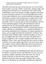of this event and to a movement of capital, and not to an intrinsic improvement in sterling itself.

The effect has been the more severe because we were not free from trouble a year ago. Whilst, at that date, sterling wages and sterling cost of living were in conformity with values in the United States, they were already too high compared with those in some European countries. It was also probable that certain of our export industries were overstocked both with plant and with labour, and that some transference of capital and of men into home industries was desirable and, in the long run, even inevitable. Thus we already had an awkward problem; and one of the arguments against raising the international value of sterling was the fact that it greatly aggravated, instead of mitigating, an existing disparity between internal and external values, and that, by committing us to a period of Deflation, it necessarily postponed active measures of capital expansion at home, such as might facilitate the transference of labour into the home trades. British wages, measured in gold, are now 15 per cent higher than they were a year ago. The gold cost of living in England is now so high compared with what it is in Belgium, France, Italy, and Germany that the workers in those countries can accept a gold wage 30 per cent lower than what our workers receive without suffering at all in the amount of their real wages. What wonder that our export trades are in trouble!

Our export industries are suffering because they are the *first* to be asked to accept the 10 per cent reduction. If *every one* was accepting a similar reduction at the same time, the cost of living would fall, so that the lower money wage would represent nearly the same real wage as before. But, in fact, there is no machinery for effecting a simultaneous reduction.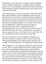Deliberately to raise the value of sterling money in England means, therefore, engaging in a struggle with each separate group in turn, with no prospect that the final result will be fair, and no guarantee that the stronger groups will not gain at the expense of the weaker.

The working classes cannot be expected to understand, better than Cabinet Ministers, what is happening. Those who are attacked first are faced with a depression of their standard of life, because the cost of living will not fall until all the others have been successfully attacked too; and, therefore, they are justified in defending themselves. Nor can the classes which are first subjected to a reduction of money wages be guaranteed that this will be compensated later by a corresponding fall in the cost of living, and will not accrue to the benefit of some other class. Therefore they are bound to resist so long as they can; and it must be war, until those who are economically weakest are beaten to the ground.

This state of affairs is not an inevitable consequence of a decreased capacity to produce wealth. I see no reason why, with good management, real wages need be reduced on the average. It is the consequence of a misguided monetary policy.

These arguments are not arguments against the gold standard as such. That is a separate discussion which I shall not touch here. They are arguments against having restored gold in conditions which required a substantial readjustment of all our money values. If Mr. Churchill had restored gold by fixing the parity lower than the pre-war figure, or if he had waited until our money values were adjusted to the pre-war parity, then these particular arguments would have no force. But in doing what he did in the actual circumstances of last spring, he was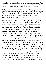just asking for trouble. For he was committing himself to force down money wages and all money values, without any idea how it was to be done. Why did he do such a silly thing?

Partly, perhaps, because he has no instinctive judgement to prevent him from making mistakes; partly because, lacking this instinctive judgement, he was deafened by the clamorous voices of conventional finance; and, most of all, because he was gravely misled by his experts.

His experts made, I think, two serious mistakes. In the first place, I suspect that they miscalculated the degree of the maladjustment of money values which would result from restoring sterling to its pre-war gold parity, because they attended to index numbers of prices which were irrelevant or inappropriate to the matter in hand. If you want to know whether sterling values are adjusting themselves to an improvement in the exchange, it is useless to consider, for example, the price of raw cotton in Liverpool. This *must* adjust itself to a movement of the exchange, because, in the case of an imported raw material, the parity of international values is necessarily maintained almost hour by hour. But it is not sensible to argue from this that the money wages of dockers or of charwomen and the cost of postage or of travelling by train also adjust themselves hour by hour in accordance with the foreign exchanges. Yet this, I fancy, is what the Treasury did. They compared the usual wholesale index numbers here and in America, and—since these are made up to the extent of at least two-thirds from the raw materials of international commerce, the prices of which necessarily adjust themselves to the exchanges—the true disparity of internal prices was watered down to a fraction of its true value. This led them to think that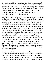the gap to be bridged was perhaps 2 or 3 per cent, instead of the true figure of 10 or 12 per cent, which was the indication given by the index numbers of the cost of living, of the level of wages, and of the prices of our manufactured exports—which indexes are a much better rough-and-ready guide for this purpose, particularly if they agree with one another, than are the index numbers of wholesale prices.

But I think that Mr. Churchill's experts also misunderstood and underrated the technical difficulty of bringing about a general reduction of internal money values. When we raise the value of sterling by 10 per cent we transfer about £1,000,000,000 into the pockets of the rentiers out of the pockets of the rest of us, and we increase the real burden of the National Debt by some £750,000,000 (thus wiping out the benefit of all our laborious contributions to the Sinking Fund since the war). This, which is bad enough, is inevitable. But there would be no other bad consequences if only there was some way of bringing about a simultaneous reduction of 10 per cent in all other money payments; when the process was complete we should each of us have nearly the same real income as before. I think that the minds of his advisers still dwelt in the imaginary academic world, peopled by City editors, members of Cunliffe and Currency Committees *et hoc genus omne*, where the necessary adjustments follow "automatically" from a "sound" policy by the Bank of England.

The theory is that depression in the export industries, which are admittedly hit first, coupled if necessary with dear money and credit restriction, *diffuse* themselves evenly and fairly rapidly throughout the whole community. But the professors of this theory do not tell us in plain language how the diffusion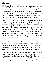takes place.

Mr. Churchill asked the Treasury Committee on the Currency to advise him on these matters. He declared in his Budget speech that their report "contains a reasoned marshalling of the arguments which have convinced His Majesty's Government." Their arguments—if their vague and jejune meditations can be called such—are there for any one to read. What they ought to have said, but did not say, can be expressed as follows:-

"Money wages, the cost of living, and the prices which we are asking for our exports have not adjusted themselves to the improvement in the exchange, which the expectation of your restoring the gold standard, in accordance with your repeated declarations, has already brought about. They are about 10 per cent too high. If, therefore, you fix the exchange at this gold parity, you must either gamble on a rise in gold prices abroad, which will induce foreigners to pay a higher gold price for our exports, or you are committing yourself to a policy of forcing down money wages and the cost of living to the necessary extent.

"We must warn you that this latter policy is not easy. It is certain to involve unemployment and industrial disputes. If, as some people think, real wages were already too high a year ago, that is all the worse, because the amount of the necessary wage reductions in terms of money will be all the greater.

"The gamble on a rise in gold prices abroad may quite likely succeed. But it is by no means certain, and you must be prepared for the other contingency. If you think that the advantages of the gold standard are so significant and so urgent that you are prepared to risk great unpopularity and to take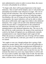stern administrative action in order to secure them, the course of events will probably be as follows:

"To begin with, there will be great depression in the export industries. This in itself will be helpful, since it will produce an atmosphere favourable to the reduction of wages. The cost of living will fall somewhat. This will be helpful too, because it will give you a good argument in favour of reducing wages. Nevertheless, the cost of living will not fall sufficiently, and, consequently, the export industries will not be able to reduce their prices sufficiently until wages have fallen in the sheltered industries. Now wages will not fall in the sheltered industries merely because there is unemployment in the unsheltered industries, therefore you will have to see to it that there is unemployment in the sheltered industries also. The way to do this will be by credit restriction. By means of the restriction of credit by the Bank of England you can deliberately intensify unemployment to any required degree until wages *do* fall. When the process is complete the cost of living will have fallen too, and we shall then be, with luck, just where we were before we started.

"We ought to warn you, though perhaps this is going a little outside our proper sphere, that it will not be safe politically to admit that you are intensifying unemployment deliberately in order to reduce wages. Thus you will have to ascribe what is happening to every conceivable cause except the true one. We estimate that about two years may elapse before it will be safe for you to utter in public one single word of truth. By that time you will either be out of office or the adjustment, somehow or other, will have been carried through."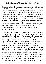### **(ii)** *The Balance of Trade and the Bank of England*

The effect of a high exchange is to diminish the sterling prices both of imports and of exports. The result is both to encourage imports and to discourage exports, thus turning the balance of trade against us. It is at this stage that the Bank of England becomes interested; for if nothing was done we should have to pay the adverse balance in gold. The Bank of England has applied, accordingly, two effective remedies. The first remedy is to put obstacles in the way of our usual lending abroad by means of an embargo on foreign loans and, recently, on Colonial loans also; and the second remedy is to encourage the United States to lend us money by maintaining the unprecedented situation of a bill rate 1 per cent higher in London than in New York.

The efficacy of these two methods for balancing our account is beyond doubt—I believe that they might remain efficacious for a considerable length of time. For we start with a wide margin of strength. Before the war our capacity to lend abroad was, according to the Board of Trade, about £181,000,000, equivalent to £280,000,000 at the present price level; and even in 1923 the Board of Trade estimated our net surplus at £102,000,000. Since new foreign investments bring in no immediate return, it follows that we can reduce our exports by £100,000,000 a year, without any risk of insolvency, provided we reduce our foreign investments by the same amount. So far as the maintenance of the gold standard is concerned, it is a matter of indifference whether we have £100,000,000 worth of foreign investment or £100,000,000 worth of unemployment. If those who used to produce exports lose their job, nevertheless, our financial equilibrium remains perfect, and the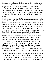Governor of the Bank of England runs no risk of losing gold, provided that the loans, which were formerly paid over in the shape of those exports, are curtailed to an equal extent. Moreover, our credit as a borrower is still very good. By paying a sufficiently high rate of interest, we can not only meet any deficit but the Governor can borrow, in addition, whatever quantity of gold it may amuse him to publish in his weekly return.

The President of the Board of Trade calculates that, during the year ended last May, it is probable that there was no actual deficit on our trade account, which was about square. If this is correct, there must be a substantial deficit now. In addition, the embargo on foreign investment is only partially successful. It cannot hold back all types of foreign issues and it cannot prevent British investors from purchasing securities direct from New York. It is here, therefore, that the Bank of England's other remedy comes in. By maintaining discount rates in London at a sufficient margin above discount rates in New York, it can induce the New York money market to lend a sufficient sum to the London money market to balance both our trade deficit and the foreign investments which British investors are still buying in spite of the embargo. Besides, when once we have offered high rates of interest to attract funds from the New York short-loan market, we have to continue them, even though we have no need to increase our borrowings, in order to retain what we have already borrowed.

Nevertheless, the policy of maintaining money rates in London at a level which will attract and retain loans from New York does not really differ in any important respect from the French policy, which we have so much condemned, of supporting the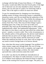exchange with the help of loans from Messrs. J. P. Morgan. Our policy would only differ from the French policy if the high rate of discount was not only intended to attract American money, but was also part of a policy for restricting credit at home. This is the aspect to which we must now attend.

To pay for unemployment by changing over from being a lending country to being a borrowing country is admittedly a disastrous course, and I do not doubt that the authorities of the Bank of England share this view. They dislike the embargo on foreign issues, and they dislike having to attract short-loan money from New York. They may do these things to gain a breathing space; but, if they are to live up to their own principles, they must use the breathing space to effect what are euphemistically called "the fundamental adjustments." With this object in view there is only one step which lies within their power—namely, to restrict credit. This, in the circumstances, is the orthodox policy of the gold party; the adverse trade balance indicates that our prices are too high, and the way to bring them down is by dear money and the restriction of credit. When this medicine has done its work, there will no longer be any need to restrict foreign loans or to borrow abroad.

Now what does this mean in plain language? Our problem is to reduce money wages and, through them, the cost of living, with the idea that, when the circle is complete, real wages will be as high, or nearly as high, as before. By what *modus operandi* does credit restriction attain this result?

*In no other way than by the deliberate intensification of unemployment.* The object of credit restriction, in such a case, is to withdraw from employers the financial means to employ labour at the existing level of prices and wages. The policy can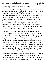only attain its end by intensifying unemployment without limit, until the workers are ready to accept the necessary reduction of money wages under the pressure of hard facts.

This is the so-called "sound" policy, which is demanded as a result of the rash act of pegging sterling at a gold value, which it did not—measured in its purchasing power over British labour—possess as yet. It is a policy, nevertheless, from which any humane or judicious person must shrink. So far as I can judge, the Governor of the Bank of England shrinks from it. But what is he to do, swimming, with his boat burnt, between the devil and the deep sea? At present, it appears, he compromises. He applies the "sound" policy half-heartedly; he avoids calling things by their right names; and he hopes—this is his best chance—that something will turn up.

The Bank of England works with so much secrecy and so much concealment of important statistics that it is never easy to state with precision what it is doing. The credit restriction already in force has been effected in several ways which are partly independent. First, there is the embargo on new issues which probably retards the normal rate of the circulation of money; then in March the bank-rate was raised; more recently market-rate was worked up nearer to bank-rate; lastly—and far the most important of all—the Bank has manoeuvred its assets and liabilities in such a way as to reduce the amount of cash available to the Clearing Banks as a basis for credit. This last is the essential instrument of credit restriction. Failing direct information, the best reflection of the amount of this restriction is to be found in the deposits of the Clearing Banks. The tendency of these to fall indicates some significant degree of restriction. Owing, however, to seasonal fluctuations and to the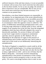artificial character of the end-June returns, it is not yet possible to estimate with accuracy how much restriction has taken place in the last three months. So far as one can judge, the amount of direct restriction is not yet considerable. But no one can say how much more restriction may become necessary if we continue on our present lines.

Nevertheless, even these limited measures are responsible, in my opinion, for an important part of the recent intensification of unemployment. Credit restriction is an incredibly powerful instrument, and even a little of it goes a long way—especially in circumstances where the opposite course is called for. The policy of deliberately intensifying unemployment with a view to forcing wage reductions is already partly in force, and the tragedy of our situation lies in the fact that, from the misguided standpoint which has been officially adopted, this course is theoretically justifiable. No section of labour will readily accept lower wages merely in response to sentimental speeches, however genuine, by Mr. Baldwin. We are depending for the reduction of wages on the pressure of unemployment and of strikes and lock-outs; and in order to make sure of this result we are deliberately intensifying the unemployment.

The Bank of England is *compelled* to curtail credit by all the rules of the gold standard game. It is acting conscientiously and "soundly" in doing so. But this does not alter the fact that to keep a tight hold on credit—and no one will deny that the Bank is doing that— necessarily involves intensifying unemployment in the present circumstances of this country. What we need to restore prosperity to-day is an easy credit policy. We want to encourage business men to enter on new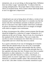enterprises, not, as we are doing, to discourage them. Deflation does not reduce wages "automatically." It reduces them by causing unemployment. The proper object of dear money is to check an incipient boom. Woe to those whose faith leads them to use it to aggravate a depression!

I should pick out coal as being above all others a victim of our monetary policy. On the other hand, it is certainly true that the reason why the Coal Industry presents so dismal a picture to the eye is because it has other troubles which have weakened its power of resistance and have left it no margin of strength with which to support a new misfortune.

In these circumstances the colliery owners propose that the gap should be bridged by a reduction of wages, irrespective of a reduction in the cost of living—that is to say, by a lowering in the standard of life of the miners. They are to make this sacrifice to meet circumstances for which they are in no way responsible and over which they have no control.

It is a grave criticism of our way of managing our economic affairs that this should seem to any one to be a reasonable proposal; though it is equally unreasonable that the colliery owner should suffer the loss, except on the principle that it is the capitalist who bears the risk. If miners were free to transfer themselves to other industries, if a collier out of work or underpaid could offer himself as a baker, a bricklayer, or a railway porter at a lower wage than is now current in these industries, it would be another matter. But notoriously they are not so free. Like other victims of economic transition in past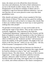times, the miners are to be offered the choice between starvation and submission, the fruits of their submission to accrue to the benefit of other classes. But in view of the disappearance of an effective mobility of labour and of a competitive wage level between different industries, I am not sure that they are not worse placed in some ways than their grandfathers were.

Why should coal miners suffer a lower standard of life than other classes of labour? They may be lazy, good-for-nothing fellows who do not work so hard or so long as they should. But is there any evidence that they are more lazy or more good-fornothing than other people?

On grounds of social justice, no case can be made out for reducing the wages of the miners. They are the victims of the economic Juggernaut. They represent in the flesh the "fundamental adjustments" engineered by the Treasury and the Bank of England to satisfy the impatience of the City fathers to bridge the "moderate gap" between \$4.40 and \$4.86. *They* (and others to follow) are the "moderate sacrifice" still necessary to ensure the stability of the gold standard. The plight of the coal miners is the first, but not—unless we are very lucky—the last, of the Economic Consequences of Mr. Churchill.

The truth is that we stand mid-way between two theories of economic society. The one theory maintains that wages should be fixed by reference to what is "fair" and "reasonable" as between classes. The other theory—the theory of the economic Juggernaut—is that wages should be settled by economic pressure, otherwise called "hard facts," and that our vast machine should crash along, with regard only to its equilibrium as a whole, and without attention to the chance consequences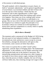of the journey to individual groups.

The gold standard, with its dependence on pure chance, its faith in "automatic adjustments," and its general regardlessness of social detail, is an essential emblem and idol of those who sit in the top tier of the machine. I think that they are immensely rash in their regardlessness, in their vague optimism and comfortable belief that nothing really serious ever happens. Nine times out of ten, nothing really serious does happen—merely a little distress to individuals or to groups. But we run a risk of the tenth time (and are stupid into the bargain) if we continue to apply the principles of an Economics which was worked out on the hypotheses of *laissez-faire* and free competition to a society which is rapidly abandoning these hypotheses.

### **(iii)** *Is there a Remedy?*

The monetary policy announced in the Budget (of 1925) being the real source of our industrial troubles, it is impossible to recommend any truly satisfactory course except its reversal. Nevertheless, amongst the alternatives still open to this Government, some courses are better than others.

One course is to pursue the so-called "sound" policy vigorously, with the object of bringing about "the fundamental adjustments" in the orthodox way by further restricting credit and raising the bank-rate in the autumn if necessary, thus intensifying unemployment and using every other weapon in our hands to force down money wages, trusting in the belief that, when the process is finally complete, the cost of living will have fallen also, thus restoring average real wages to their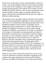former level. If this policy can be carried through it will be, in a sense, successful, though it will leave much injustice behind it on account of the inequality of the changes it will effect, the stronger groups gaining at the expense of the weaker. For the method of economic pressure, since it bears most hardly on the weaker industries, where wages are already relatively low, tends to increase the existing disparities between the wages of different industrial groups.

The question is how far public opinion will allow such a policy to go. It would be politically impossible for the Government to admit that it was deliberately intensifying unemployment, even though the members of the Currency Committee were to supply them with an argument for it. On the other hand, it is possible for Deflation to produce its effects without being recognised. Deflation, once started ever so little, is cumulative in its progress. If pessimism becomes generally prevalent in the business world, the slower circulation of money resulting from this can carry Deflation a long way further, without the Bank having either to raise the bank-rate or to reduce its deposits. And since the public always understands particular causes better than general causes, the depression will be attributed to the industrial disputes which will accompany it, to the Dawes Scheme, to China, to the inevitable consequences of the Great War, to tariffs, to high taxation, to anything in the world except the general monetary policy which has set the whole thing going.

Moreover, this course need not be pursued in a clear-cut way. A furtive restriction of credit by the Bank of England can be coupled with vague cogitations on the part of Mr. Baldwin (who has succeeded to the position in our affections formerly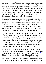occupied by Queen Victoria) as to whether social benevolence does not require him to neutralise the effects of this by a series of illogical subsidies. Queen Baldwin's good heart will enable us to keep our tempers, whilst the serious work goes on behind the scenes. The Budgetary position will render it impossible for the subsidies to be big enough to make any real difference. And in the end, unless there is a social upheaval, "the fundamental adjustments" will duly take place.

Some people may contemplate this forecast with equanimity. I do not. It involves a great loss of social income whilst it is going on, and will leave behind much social injustice when it is finished. The best, indeed the only, hope lies in the possibility that in this world, where so little can be foreseen, something may turn up—which leads me to my alternative suggestions. Could we not *help* something to turn up?

There are just two features of the situation which are capable of being turned to our advantage. The first is financial—if the value of gold would fall in the outside world, that would render unnecessary any important change in the level of wages here. The second is industrial—if the cost of living would fall *first*, our consciences would be clear in asking Labour to accept a lower money wage, since it would then be evident that the reduction was not part of a plot to reduce real wages.

When the return to the gold standard was first announced, many authorities agreed that we were gambling on rising prices in the United States. The rise has not taken place, so far.<sup>[24]</sup> Moreover, the policy of the Bank of England has been calculated to steady prices in the United States rather than to raise them. The fact that American banks can lend their funds in London at a high rate of interest tends to keep money rates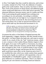in New York higher than they would be otherwise, and to draw to London, instead of to New York, the oddments of surplus gold in the world markets. Thus our policy has been to relieve New York of the pressure of cheap money and additional gold which would tend otherwise to force their prices upwards. The abnormal difference between money rates in London and New York is preventing the gold standard from working even according to its own principles. According to orthodox doctrine, when prices are too high in A as compared with B, gold flows out from A and into B, thus lowering prices in A and *raising them in B*, so that an upward movement in B's prices meets half-way the downward movement in A's.

> [24] In my opinion, we need not yet abandon the hope that it will take place. The tendency of American prices is upwards, rather than downwards, and it only requires a match to set alight the dormant possibilities of inflation in the United States. This possibility is the one real ground for not being too pessimistic.

At present the policy of the Bank of England prevents this from happening. I suggest, therefore, that they should reverse this policy. Let them reduce the bank-rate, and cease to restrict credit. If, as a result of this, the "bad" American money, which is now a menace to the London Money Market, begins to flow back again, let us pay it off in gold or, if necessary, by using the dollar credits which the Treasury and the Bank of England have arranged in New York. It would be better to pay in gold, because it would be cheaper and because the flow of actual gold would have more effect on the American price level. If we modified the rules which now render useless three-quarters of our stock of gold, we could see with equanimity a loss of £60,000,000 or £70,000,000 in gold—which would make a great difference to conditions elsewhere. There is no object in paying 4½ per cent interest on floating American balances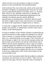which can leave us at any moment, in order to use these balances to buy and hold idle and immobilised gold.

Gold could not flow out on this scale, unless at the same time the Bank of England was abandoning the restriction of credit and was replacing the gold by some other asset, *e.g.* Treasury Bills. That is to say, the Bank would have to abandon the attempt to bring about the fundamental adjustments by the methods of economic pressure and the deliberate intensification of unemployment. Therefore, taken by itself, this policy might be open to the criticism that it was staking too much on the expectation of higher prices in America.

To meet this, I suggest that Mr. Baldwin should face the facts frankly and sincerely, in collaboration with the Trade Union leaders, on the following lines.

So long as members of the Cabinet continue to pretend that the present movement to reduce wages has nothing to do with the value of money, it is natural that the working classes should take it as a concerted attack on real wages. If the Chancellor of the Exchequer is right in his view that his monetary policy has had no more to do with the case than the Gulf Stream, then it follows that the present agitations to lower wages are simply a campaign against the standard of life of the working classes. It is only when the Government have admitted the truth of the diagnosis set forth in these chapters that they are in a position to invite the collaboration of the Trade Union leaders on fair and reasonable terms.

As soon as the Government admit that the problem is primarily a monetary one, then they can say to Labour: "This is not an attack on real wages. We have raised the value of sterling 10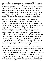per cent. This means that money wages must fall 10 per cent. But it also means, when the adjustment is complete, that the cost of living will fall about 10 per cent. In this case there will have been no serious fall in real wages. Now there are two alternative ways of bringing about the reduction of money wages. One way is to apply economic pressure and to intensify unemployment by credit restriction until wages are *forced down*. This is a hateful and disastrous way, because of its unequal effects on the stronger and on the weaker groups, and because of the economic and social waste whilst it is in progress. The other way is to effect a *uniform* reduction of wages by *agreement*, on the understanding that this shall not mean in the long run any fall in average real wages below what they were in the first quarter of this year. The practical difficulty is that money wages and the cost of living are interlocked. The cost of living cannot fall until *after* money wages have fallen. Money wages must fall *first* in order to allow the cost of living to fall. Can we not agree, therefore, to have a uniform initial reduction of money wages throughout the whole range of employment, including Government and Municipal employment, of (say) 5 per cent, which reduction shall not hold good unless, after an interval, it has been compensated by a fall in the cost of living?"

If Mr. Baldwin were to make this proposal the Trade Union leaders would probably ask him at once what he intended to do about money payments other than wages—rents, profits, and interest. As regards rents and profits, he can reply that these are not fixed in terms of money, and will therefore fall, when measured in money, step by step with prices. The worst of this reply is that rents and profits, like wages, are sticky and may not fall quick enough to help the transition as much as they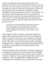should. As regards the interest on bonds, however, and particularly the interest on the National Debt, he has no answer at all. For it is of the essence of any policy to lower prices that it benefits the receivers of interest at the expense of the rest of the community; this consequence of deflation is deeply embedded in our system of money contract. On the whole, I do not see how Labour's objection can be met, except by the rough-and-ready expedient of levying an additional income-tax of 1s. in the £ on all income other than from employments, which should continue until real wages had recovered to their previous level.<sup>[25]</sup>

[25] This will not prevent bondholders from gaining in the long run, if in the long run prices do not rise again. But such profits and losses to bondholders are an inevitable feature of an unstable monetary standard. Since, however, prices generally do rise in the long run, bondholders in the long run are losers, not gainers, from the system.

If the proposal to effect a voluntary all-round reduction of wages, whilst sound in principle, is felt to be too difficult to achieve in practice, then, for my part, I should be inclined to stake everything on an attempt to raise prices in the outside world—that is on a reversal of the present policy of the Bank of England. This, I understand from their July *Monthly Review*, is also the recommendation of the high authorities of the Midland Bank.

That there should be grave difficulties in all these suggestions is inevitable. Any plan, such as the Government has adopted, for deliberately altering the value of money, must, in modern economic conditions, come up against objections of justice and expediency. They are suggestions to mitigate the harsh consequences of a mistake; but they cannot undo the mistake.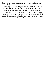They will not commend themselves to those pessimists who believe that it is the level of real wages, and not merely of money wages, which is the proper object of attack. I mention them because our present policy of deliberately intensifying unemployment by keeping a tight hold on credit, just when on other grounds it ought to be relaxed, so as to force adjustments by using the weapon of economic necessity against individuals and against particular industries, is a policy which the country would never permit if it knew what was being done.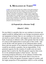# **6. MITIGATION BY TARIFF [26]**

[26] [For some months before the collapse of the gold standard it had become obvious that this collapse was becoming inevitable unless special steps were taken to mitigate the gravity of our problem. Somewhat in desperation, I made various suggestions, and, amongst them, a proposal for a Tariff combined, if possible, with a bounty to exports. Mr. Snowden, endowed with more than a normal share of blindness and obstinacy, opposed his negative to all the possible alternatives, until, at last, natural forces took charge and put us out of our misery.]

#### **(i)** *Proposals for a Revenue Tariff*

#### **(March 7, 1931)**

Do you think it a paradox that we can continue to increase our capital wealth by adding both to our foreign investments and to our equipment at home, that we can continue to live (most of us) much as usual or better, and support at the same time a vast body of persons in idleness with a dole greater than the income of a man in full employment in most parts of the world—and yet do all this with one quarter of our industrial plant closed down and one quarter of our industrial workers unemployed? It would be not merely a paradox, but an impossibility, if our potential capacity for the creation of wealth were not much greater than it used to be. But this greater capacity does exist. It is to be attributed mainly to three factors—the everincreasing technical efficiency of our industry (I believe that output per head is 10 per cent greater than it was even so recently as 1924), the greater economic output of women, and the larger proportion of the population which is at the working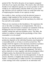period of life. The fall in the price of our imports compared with that of our exports also helps. The result is that with threefourths of our industrial capacity we can now produce as much wealth as we could produce with the whole of it a few years ago. But how rich we could be if only we could find some way of employing *four*-fourths of our capacity to-day!

Our trouble is, then, not that we lack the physical means to support a high standard of life, but that we are suffering a breakdown in organisation and in the machinery by which we buy and sell to one another.

There are two reactions to this breakdown. We experience the one or the other according to our temperaments. The one is inspired by a determination to maintain our standards of life by bringing into use our wasted capacity—that is to say, to expand, casting fear and even prudence away. The other, the instinct to contract, is based on the psychology of fear. How reasonable is it to be afraid?

We live in a society organised in such a way that the activity of production depends on the individual business man hoping for a reasonable profit, or at least, to avoid an actual loss. The margin which he requires as his necessary incentive to produce may be a very small proportion of the total value of the product. But take this away from him and the whole process stops. This, unluckily, is just what has happened. The fall of prices relatively to costs, together with the psychological effect of high taxation, has destroyed the necessary incentive to production. This is at the root of our disorganisation. It may be unwise, therefore, to frighten the business man or torment him further. A forward policy is liable to do this. For reasoning by a false analogy from what is prudent for an individual who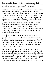finds himself in danger of living beyond his means, he is usually, when his nerves are frayed, a supporter, though to his own ultimate disadvantage, of national contraction.

And there is a further reason for nervousness. We are suffering from *international* instability. Notoriously the competitive power of our export trades is diminished by our high standard of life. At the same time the lack of profits in home business inclines the investor to place his money abroad, whilst high taxation exercises a sinister influence in the same direction. Above all, the reluctance of other creditor countries to lend (which is the root-cause of this slump) places too heavy a financial burden on London. These, again, are apparent arguments against a forward policy; for greater activity at home due to increased employment will increase our excess of imports, and Government borrowing may (in their present mood) frighten investors.

Thus the *direct* effect of an expansionist policy must be to cause Government borrowing, to throw some burden on the Budget, and to increase our excess of imports. In every way, therefore—the opponents of such a policy point out—it will aggravate the want of confidence, the burden of taxation, and the international instability which, they believe, are at the bottom of our present troubles.

At this point the opponents of expansion divide into two groups—those who think that we must not only postpone all ideas of expansion, but must positively contract, by which they mean reduce wages and make large economies in the existing expenditure of the Budget, and those who are entirely negative and, like Mr. Snowden, dislike the idea of contraction (interpreted in the above sense) almost as much as they dislike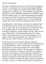the idea of expansion.

The policy of negation, however, is really the most dangerous of all. For, as time goes by, it becomes increasingly doubtful whether we *can* support our standard of life. With 1,000,000 unemployed we certainly can; with 2,000,000 unemployed we probably can; with 3,000,000 unemployed we probably cannot. Thus the negative policy, by allowing unemployment steadily to increase, must lead in the end to an unanswerable demand for a reduction in our standard of life. If we do nothing long enough, there will in the end be nothing else that we can do.

Unemployment, I must repeat, exists because employers have been deprived of profit. The loss of profit may be due to all sorts of causes. But, short of going over to Communism, there is no possible means of curing unemployment except by restoring to employers a proper margin of profit. There are two ways of doing this—by increasing the *demand* for output, which is the expansionist cure, or by decreasing the *cost* of output, which is the contractionist cure. Both of these try to touch the spot. Which of them is to be preferred?

To decrease the cost of output by reducing wages and curtailing Budget services may indeed increase foreign demand for our goods (unless, which is quite likely, it encourages a similar policy of contraction abroad), but it will probably diminish the domestic demand. The advantages to employers of a *general* reduction of wages are, therefore, not so great as they look. Each employer sees the advantage to himself of a reduction of the wages which he himself pays, and overlooks both the consequences of the reduction of the incomes of his customers and of the reduction of wages which his competitors will enjoy. Anyway, it would certainly lead to social injustice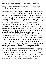and violent resistance, since it would greatly benefit some classes of income at the expense of others. For these reasons a policy of contraction sufficiently drastic to do any real good may be quite impracticable.

Yet the objections to the expansionist remedy—the instability of our international position, the state of the Budget, and the want of confidence—cannot be thus disposed of. Two years ago there was no need to be frightened. To-day it is a different matter. It would not be wise to frighten the penguins and arouse these frigid creatures to flap away from our shores with their golden eggs inside them. A policy of expansion sufficiently drastic to be useful might drive us off the gold standard. Moreover, two years ago the problem was mainly a British problem; to-day it is mainly international. No domestic cure to-day can be adequate by itself. An international cure is essential; and I see the best hope of remedying the international slump in the leadership of Great Britain. But if Great Britain is to resume leadership, she must be strong and believed to be strong. It is of paramount importance, therefore, to restore full confidence in London. I do not believe that this is difficult; for the real strength of London is being underestimated to-day by foreign opinion, and the position is ripe for a sudden reversal of sentiment. For these reasons I, who opposed our return to the gold standard and can claim, unfortunately, that my Cassandra utterances have been partly fulfilled, believe that our exchange position should be relentlessly defended to-day, in order, above all, that we may resume the vacant financial leadership of the world, which no one else has the experience or the public spirit to occupy, speaking out of acknowledged strength and not out of weakness.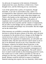An advocate of expansion in the interests of domestic employment has cause, therefore, to think twice. I have thought twice, and the following are my conclusions.

I am of the opinion that a policy of expansion, though desirable, is not safe or practicable to-day, unless it is accompanied by other measures which would neutralise its dangers. Let me remind the reader what these dangers are. There is the burden on the trade balance, the burden on the Budget, and the effect on confidence. If the policy of expansion were to justify itself eventually by increasing materially the level of profits and the volume of employment, the net effect on the Budget and on confidence would in the end be favourable and perhaps very favourable. But this might not be the initial effect.

What measures are available to neutralise these dangers? A decision to reform the grave abuses of the dole, and a decision to postpone for the present all new charges on the Budget for social services in order to conserve its resources to meet schemes for the expansion of employment, are advisable and should be taken. But the main decision which seems to me today to be absolutely forced on any wise Chancellor of the Exchequer, whatever his beliefs about Protection, is the introduction of a substantial revenue tariff. It is certain that there is no other measure all the immediate consequences of which will be favourable and appropriate. The tariff which I have in mind would include no discriminating protective taxes, but would cover as wide a field as possible at a flat rate or perhaps two flat rates, each applicable to wide categories of goods. Rebates would be allowed in respect of imported material entering into exports, but raw materials, which make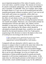up an important proportion of the value of exports, such as wool and cotton, would be exempt. The amount of revenue to be aimed at should be substantial, not less than £50,000,000 and, if possible, £75,000,000. Thus, for example, there might be import duties of 15 per cent on all manufactured and semimanufactured goods without exception, and of 5 per cent on all food stuffs and certain raw materials, whilst other raw materials would be exempt.<sup>[27]</sup> I am prepared to maintain that the effect of such duties on the cost of living would be insignificant—no greater than the existing fluctuation between one month and another. Moreover, any conceivable remedy for unemployment will have the effect, and, indeed, will be intended, to raise prices. Equally, the effect on the cost of our exports, after allowing for the rebates which should be calculated on broad and simple lines, would be very small. It should be the declared intention of the Free Trade parties acquiescing in this decision to remove the duties in the event of world prices recovering to the level of 1929.

[27] [In a subsequent article I agreed that this precise scale of duties could not be relied on to produce so large a revenue as that suggested above, and that £40,000,000 was a safer estimate.]

Compared with any alternative which is open to us, this measure is unique in that it would at the same time relieve the pressing problems of the Budget and restore business confidence. I do not believe that a wise and prudent Budget can be framed to-day without recourse to a revenue tariff. But this is not its only advantage. In so far as it leads to the substitution of home-produced goods for goods previously imported, it will increase employment in this country. At the same time, by relieving the pressure on the balance of trade it will provide a much-needed margin to pay for the additional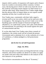imports which a policy of expansion will require and to finance loans by London to necessitous debtor countries. In these ways, the buying power which we take away from the rest of the world by restricting certain imports we shall restore to it with the other hand. Some fanatical Free Traders might allege that the adverse effect of import duties on our exports would neutralise all this; but it would not be true.

Free Traders may, consistently with their faith, regard a revenue tariff as our iron ration, which can be used once only in emergency. The emergency has arrived. Under cover of the breathing space and the margin of financial strength thus afforded us, we could frame a policy and a plan, both domestic and international, for marching to the assault against the spirit of contractionism and fear.

If, on the other hand, Free Traders reject these counsels of expediency, the certain result will be to break the present Government and to substitute for it, in the confusion of a Crisis of Confidence, a Cabinet pledged to a full protectionist programme.

### **(ii)** *On the Eve of Gold Suspension*

### **(Sept. 10, 1931)**

The moral energies of the nation are being directed into wrong channels, and serious troubles are ahead of us unless we apply our minds with more effect than hitherto to the analysis of the real character of our problems.

The exclusive concentration on the idea of "Economy,"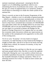national, municipal, and personal—meaning by this the negative act of withholding expenditure which is now stimulating the forces of production into action—may, if under the spur of a sense of supposed duty it is carried far, produce social effects so shocking as to shake the whole system of our national life.

There is scarcely an item in the Economy Programme of the May Report—whether or not it is advisable on general grounds —which is not certain to increase unemployment, to lower the profits of business, and to diminish the yield of the revenue; so much so that I have calculated that economies of £100,000,000 may quite likely reduce the net Budget deficit by not more than £50,000,000, and we are just hoodwinking ourselves (unless our real object is to *pretend* to balance the Budget for the benefit of foreign financiers) if we suppose that we can make the economies under discussion without any repercussions on the number of the unemployed to be supported or on the yield of the existing taxes.

Yet if we carry "Economy" of every kind to its logical conclusion, we shall find that we have balanced the Budget at nought on both sides, with all of us flat on our backs starving to death from a refusal, for reasons of economy, to buy one another's services.

The Prime Minister has said that it is like the war over again, and many people believe him. But this is exactly the opposite of the truth. During the war it was useful to refrain from any avoidable expenditure because this would release resources for the insatiable demands of military operations. What are we releasing resources for to-day? To stand at street corners and draw the dole.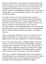When we already have a great amount of unemployment and unused resources of every description, economy is only useful from the national point of view *in so far as it diminishes our consumption of imported goods*. For the rest, its fruits are entirely wasted in unemployment, business losses, and reduced savings. But it is an extraordinarily indirect and wasteful way of reducing imports.

If we throw men out of work and reduce the incomes of Government employees so that those directly and indirectly affected cannot afford to buy so much imported food, to this extent the country's financial position is eased. But this is not likely to amount to more than 20 per cent of the total economies enforced. The remaining 80 per cent is wasted, and represents either a mere transference of loss or unemployment due to a refusal of British citizens to purchase one another's services.

What I am saying is absolutely certain, yet I doubt if one in a million of those who are crying out for economy have the slightest idea of the real consequences of what they demand.

This is not to deny that there is a Budget problem. Quite the contrary. The point is that the state of the Budget is mainly a symptom and a consequence of other causes, that economy is in itself liable to aggravate rather than to remove these other causes, and that consequently the Budget problem, attacked merely along the lines of economy, is probably insoluble.

What are our troubles fundamentally due to? Very largely to the world depression, immediately to the unbelievable rashness of High Finance in the City, and originally to the policy of returning to the Gold Standard without the slightest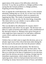appreciation of the nature of the difficulties which this involved. To say that our problem is a Budget problem is like saying that the German problem is a Budget problem, forgetting all about Reparations.

Now as regards the world depression, there is at the moment absolutely nothing that we can do, for we have now lost the power of international initiative which we seemed to be regaining last May. The results of unsound international banking by the City are also, for the time being, irreparable. The choice left to us was whether or not to adhere to the present gold parity of the exchanges.

This was decided in the affirmative for reasons which I understand but with which I do not agree. The decision was taken in a spirit of hysteria and without a calm consideration of the alternative before us. Ministers have given forecasts of what might have been expected if we had taken a different course which could not survive ten minutes' rational discussion.

I believe that we shall come to regret this decision, just as we already regret most of the critical decisions taken during the last ten years by the persons who form the present Cabinet.

But that is not the point at this moment. The decision to maintain the gold standard at all costs has been taken. The point is that the Cabinet and the public seem to have no clear idea as to what has to be done to implement its own decision, apart from the obvious necessity of raising a foreign loan for immediate requirements; which simply has the effect of replacing money which we had previously borrowed in terms of sterling, by money borrowed in terms of francs and dollars.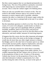But they cannot suppose that we can depend permanently on foreign loans. The rest of the problem is primarily concerned with improving our current balance of trade on income account. This is what the Cabinet ought to be thinking about.

There are only two possible lines of attack on this. The one (which is the milder measure open to us) consists in direct measures to restrict imports (and, if possible, subsidise exports); the other is a reduction of all money wages within the country. We may have to attempt both in the end, if we refuse to devaluate.

But the immediate question is which to try first. Now the latter course, if it were to be adequate, would involve so drastic a reduction of wages and such appallingly difficult, probably insoluble, problems, both of social justice and practical method, that it would be crazy not to try first the effects of the alternative, and much milder, measure of restricting imports.

It happens that this course also has other important advantages. It will not only relieve the strain on the foreign exchanges. It would also do more than any other single measure to balance the Budget; and it is the only form of taxation open to us which will actually increase profits, improve employment, and raise the spirits and the confidence of the business community.

Finally, it is the only measure for which there is (sensibly enough) an overwhelming support from public opinion. It is credibly reported that the late Cabinet were in favour of a tariff in the proportion of three to one. It looks as if the present Cabinet may favour it in the proportion of four to one. The only third alternative Cabinet is unanimously for it. But sacrifice being the order of the day, we have in the spirit of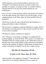self-immolation conceived the brilliant contrivance of a "National" Government, the basis of which is that every member of it agrees, so long as it lasts, to sacrifice what he himself believes to be the only sound solution for our misfortunes.

For if we rule out Devaluation, which I personally now believe to be the right remedy, but which is not yet the policy of any organised party in the State, there are three possible lines of procedure.

The first is to take the risks of brisk home development, as being preferable to enforced idleness.

The second is to organise a general reduction of wages, and, in the interests of social justice, of other money-incomes as well, so far as this is feasible.

The third is a drastic restriction of imports.

The "National" Government is pledged, [if](#page-250-0) I understand the position rightly, to avoid all three. Their policy is to reduce the standard of life of as many people as are within their reach in the hope that some small portion of the reductions of standard will be at the expense of imports. Deliberately to prefer this to a direct restriction of imports is to be *non compos mentis*.

## **(iii)** *After the Suspension of Gold*

# **(A letter to** *The Times***, Sept. 28, 1931)**

Until recently I was urging on Liberals<sup>[28]</sup> and others the importance of accepting a general tariff as a means of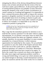<span id="page-250-0"></span>mitigating the effects of the obvious disequilibrium between money-costs at home and abroad. But the events of the last week have made a great difference. At the present gold-value of sterling British producers are probably in many directions among the cheapest in the world. In these circumstances we cannot continue as if nothing had happened. It is impossible to have a rational discussion about tariffs so long as the currency question is altogether unsolved. For until we know more about the probable future level of sterling in relation to gold, and, above all, until we know how many other countries are going to follow our example, it is impossible to say what our competitive position is going to be.

> [28][Not all my Free Trade friends proved to be so prejudiced as I had thought. For after a Tariff was no longer necessary, many of them were found voting for it.]

May I urge that the immediate question for attention is not a tariff but the currency question? It is the latter which is urgent and important. It is at present a non-party issue on which none of the political parties has taken up a dogmatic attitude. It is suitable, therefore, for non-party handling. It is most certainly unsuitable for a General Election. It offers immense opportunities for leadership by this country. We are probably in a position to carry the whole of the Empire and more than half of the rest of the world with us, and thus rebuild the financial supremacy of London on a firm basis. Meanwhile, proposals for high protection have ceased to be urgent. To throw the country into a turmoil over them to the neglect of this other more urgent and important problem would be a wrong and foolish thing. Let us give our whole attention and our united energies to devising a sound international currency policy for ourselves and the rest of the world. For it is futile to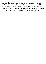suppose that we can recover our former prosperity without such a policy, or that tariffs can be any substitute for it. When the currency question has been settled, then we can return to protection and to our other domestic issues with a solid basis to go upon; and that will be the time for a General Election.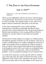## **7. THE END OF THE GOLD STANDARD**

#### **(Sept. 27, 1931) [29]**

[29] [On Sept. 21, 1931, the Gold Standard in Great Britain was suspended.]

There are few Englishmen who do not rejoice at the breaking of our gold fetters. We feel that we have at last a free hand to do what is sensible. The romantic phase is over, and we can begin to discuss realistically what policy is for the best.

It may seem surprising that a move which had been represented as a disastrous catastrophe should have been received with so much enthusiasm. But the great advantages to British trade and industry of our ceasing artificial efforts to maintain our currency above its real value were quickly realised.

The division of inside opinion was largely on a different point. The difficult question to decide was one of honour. The City of London considered that it was under an obligation of *honour* to make every possible effort to maintain the value of money in terms of which it had accepted large deposits from foreigners, even though the result of this was to place an intolerable strain on British industry. At what point—that was the difficult problem—were we justified in putting our own interests first?

As events have turned out, we have got the relief we needed, and, at the same time, the claims of honour have been, in the judgement of the whole world, satisfied to the utmost. For the step was not taken until it was unavoidable. In the course of a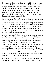few weeks the Bank of England paid out £200,000,000 in gold or its equivalent, which was about half the total claims of foreigners on London, and did this at a time when the sums which London had re-lent abroad were largely frozen. No banker could do more. Out of the ashes the City of London will rise with undiminished honour. For she has played the game up to the limits of quixotry, even at the risk of driving British trade almost to a standstill.

No wonder, then, that we feel some exuberance at the release, that Stock Exchange prices soar, and that the dry bones of industry are stirred. For if the sterling exchange is depreciated by, say, 25 per cent, this does as much to restrict our imports as a tariff of that amount; but whereas a tariff could not help our exports, and might hurt them, the depreciation of sterling affords them a bounty of the same 25 per cent by which it aids the home producer against imports.

In many lines of trade the British manufacturer to-day must be the cheapest producer in the world in terms of gold. We gain these advantages without a cut of wages and without industrial strife. We gain them in a way which is strictly fair to every section of the community, without any serious effects on the cost of living. For less than a quarter of our total consumption is represented by imports; so that sterling would have to depreciate by much more than 25 per cent before I should expect the cost of living to rise by as much as 10 per cent. This would cause serious hardship to no one, for it would only put things back where they were two years ago. Meanwhile there will be a great stimulus to employment.

I make no forecast as to the figure to which sterling may fall in the next few days, except that it will have to fall for a time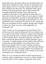appreciably below the figure which cool calculators believe to represent the equilibrium. There will then be speculation and profit-taking in favour of sterling to balance speculation and panic selling on the other side. Our authorities made a great mistake in allowing sterling to open so high, because the inevitable gradual fall towards a truer level must sap confidence and produce on the ignorant the impression of a slide which cannot be stayed. Those who were guilty of undue optimism will quite likely succumb to undue pessimism. But the pessimism will be as unfounded as the optimism was. The equilibrium value of sterling is the same as it was a month ago. There are tremendous forces to support sterling when it begins to fall too far. There is no risk, in my judgement, of a catastrophic fall.

These, in brief, are the consequences in Great Britain. How will the rest of the world be influenced? Not in a uniform way. Let us take first the debtor countries to whom Great Britain has in the past lent large sums in sterling, and from whom interest is due in sterling, such as Australia, Argentina, and India. To these countries the depreciation of sterling represents a great concession. A smaller quantity of their goods will be sufficient to meet their sterling liabilities. The interest due to Great Britain from abroad, which is fixed in sterling, amounts to about £100,000,000 a year. In respect of this sum Great Britain now plays the part of a reasonable creditor who moderates his claim in view of so great a change in the situation as the recent catastrophic fall in commodity prices.

When we try to calculate the effect on other manufacturing countries, whose competition we are now in a better position to meet, the effect is more complex. A large part of the world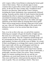will, I expect, follow Great Britain in reducing the former gold value of their money. There are already signs in many countries that no great effort will be made to maintain the gold parity. In the last few days Canada, Italy, Scandinavia have moved in our direction. India and the Crown Colonies, including the Straits Settlements, have automatically followed sterling. Australia and the whole of South America had already abandoned the effort to maintain exchange parity. I shall be astonished if Germany delays long before following our example. Will Holland deal final ruin to the rubber and sugar industries of the Dutch Indies by keeping them tied to gold? There will be strong motives driving a large part of the world our way. After all, Great Britain's plight, as the result of the deflation of prices, is far less serious than that of most countries.

Now, in so far as this is the case, we and all the countries following our example will gain the benefits of higher prices. But none of us will secure a competitive advantage at the expense of the others. Thus the competitive disadvantage will be concentrated on those few countries which remain on the gold standard. On these will fall the curse of Midas. As a result of their unwillingness to exchange their exports except for gold their export trade will dry up and disappear until they no longer have either a favourable trade balance or foreign deposits to repatriate. This means in the main France and the United States. Their loss of export trade will be an inevitable, a predictable, outcome of their own action. These countries, largely for reasons resulting from the war and the war settlements, are owed much money by the rest of the world. They erect tariff barriers which prevent the payment of these sums in goods. They are unwilling to lend it. They have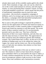already taken nearly all the available surplus gold in the whole world. There remained, in logic, only one way by which the rest of the world could maintain its solvency and self-respect; namely, to cease purchasing these countries' exports. So long as the gold standard is preserved—which means that the prices of international commodities must be much the same everywhere—this involved a competitive campaign of deflation, each of us trying to get our prices down faster than the others, a campaign which had intensified unemployment and business losses to an unendurable pitch.

But as soon as the gold exchange is ruptured the problem is solved. For the appreciation of French and American money in terms of the money of other countries makes it impossible for French and American exporters to sell their goods. The recent policy of these countries could not, if it was persistently pursued, end in any other way. They have willed the destruction of their own export industries, and only they can take the steps necessary to restore them. The appreciation of their currencies must also embarrass gravely their banking systems. The United States had, in effect, set the rest of us the problem of finding some way to do without her wheat, her copper, her cotton, and her motor-cars. She set the problem, and, as it had only one solution, that solution we have been compelled to find.

Yet this is quite the opposite of the note on which I wish to end. The solution to which we have been driven, though it gives immediate relief to us and transfers the strain to others, is in truth a solution unsatisfactory for every one. The world will never be prosperous without a trade recovery in the United States. Peace and confidence and a harmonious economic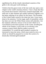equilibrium for all the closely interrelated countries of the globe is the only goal worth aiming at.

I believe that the great events of the last week may open a new chapter in the world's monetary history. I have a hope that they may break down barriers which have seemed impassable. We need now to take intimate and candid conference together as to the better ordering of our affairs for the future. The President of the United States turned in his sleep last June. Great issues deserve his attention. Yet the magic spell of immobility which has been cast over the White House seems still unbroken. Are the solutions offered us always to be too late? Shall we in Great Britain invite three-quarters of the world, including the whole of our Empire, to join with us in evolving a new currency system which shall be stable in terms of commodities? Or would the gold standard countries be interested to learn the terms, which must needs be strict, on which we should be prepared to re-enter the system of a drastically reformed gold standard?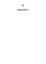**IV**

## **POLITICS**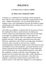# **POLITICS**

### **1. A SHORT VIEW OF RUSSIA (1925)**

### **(i)** *What is the Communist Faith?*

Leninism is a combination of two things which Europeans have kept for some centuries in different compartments of the soul—religion and business. We are shocked because the religion is new, and contemptuous because the business, being subordinated to the religion instead of the other way round, is highly inefficient.

Like other new religions, Leninism derives its power not from the multitude but from a small minority of enthusiastic converts whose zeal and intolerance make each one the equal in strength of a hundred indifferentists. Like other new religions, it is led by those who can combine the new spirit, perhaps sincerely, with seeing a good deal more than their followers, politicians with at least an average dose of political cynicism, who can smile as well as frown, volatile experimentalists, released by religion from truth and mercy but not blinded to facts and expediency, and open therefore to the charge (superficial and useless though it is where politicians, lay or ecclesiastical, are concerned) of hypocrisy. Like other new religions, it seems to take the colour and gaiety and freedom out of everyday life and to offer a drab substitute in the square wooden faces of its devotees. Like other new religions, it persecutes without justice or pity those who actively resist it. Like other new religions, it is unscrupulous.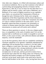Like other new religions, it is filled with missionary ardour and occumenical ambitions. But to say that Leninism is the faith of a persecuting and propagating minority of fanatics led by hypocrites is, after all, to say no more nor less than that it *is* a religion and not merely a party, and Lenin a Mahomet, not a Bismarck. If we want to frighten ourselves in our capitalist easy-chairs, we can picture the Communists of Russia as though the early Christians led by Attila were using the equipment of the Holy Inquisition and the Jesuit missions to enforce the literal economics of the New Testament; but when we want to comfort ourselves in the same chairs, can we hopefully repeat that these economics are fortunately so contrary to human nature that they cannot finance either missionaries or armies and will surely end in defeat?

There are three questions to answer. Is the new religion partly true, or sympathetic to the souls of modern men? Is it on the material side so inefficient as to render it incapable to survive? Will it, in the course of time, with sufficient dilution and added impurity, catch the multitude?

As for the first question, those who are completely satisfied by Christian capitalism or by egotistic capitalism untempered by subterfuge will not hesitate how to answer it; for they either have a religion or need none. But many, in this age without religion, are bound to feel a strong emotional curiosity towards any religion which is really new, and not merely a recrudescence of old ones, and has proved its motive force; and all the more when the new thing comes out of Russia, the beautiful and foolish youngest son of the European family, with hair on his head, nearer both to the earth and to heaven than his bald brothers in the West—who, having been born two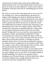centuries later, has been able to pick up the middle-aged disillusionment of the rest of the family before he has lost the genius of youth or become addicted to comfort and to habits. I sympathise with those who seek for something good in Soviet Russia.

But when we come to the actual thing what is one to say? For me, brought up in a free air undarkened by the horrors of religion, with nothing to be afraid of, Red Russia holds too much which is detestable. Comfort and habits let us be ready to forgo, but I am not ready for a creed which does not care how much it destroys the liberty and security of daily life, which uses deliberately the weapons of persecution, destruction, and international strife. How can I admire a policy which finds a characteristic expression in spending millions to suborn spies in every family and group at home, and to stir up trouble abroad? Perhaps this is no worse and has more purpose than the greedy, warlike, and imperialist propensities of other Governments; but it must be far better than these to shift me out of my rut. How can I accept a doctrine which sets up as its bible, above and beyond criticism, an obsolete economic textbook which I know to be not only scientifically erroneous but without interest or application for the modern world? How can I adopt a creed which, preferring the mud to the fish, exalts the boorish proletariat above the bourgeois and the intelligentsia who, with whatever faults, are the quality in life and surely carry the seeds of all human advancement? Even if we need a religion, how can we find it in the turbid rubbish of the Red bookshops? It is hard for an educated, decent, intelligent son of Western Europe to find his ideals here, unless he has first suffered some strange and horrid process of conversion which has changed all his values.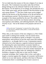Yet we shall miss the essence of the new religion if we stop at this point. The Communist may justly reply that all these things belong not to his ultimate Faith but to the tactics of Revolution. For he believes in two things: the introduction of a New Order upon earth, and the *method* of the Revolution as the *only* means thereto. [30] The New Order must not be judged either by the horrors of the Revolution or by the privations of the transitionary period. The Revolution is to be a supreme example of the means justified by the end. The soldier of the Revolution must crucify his own human nature, becoming unscrupulous and ruthless, and suffering himself a life without security or joy—but as the means to his purpose and not its end.

[30]I use the term "Communism" to mean the New Order, and not, as is the practice in British Labour politics, to mean the Revolution as a means thereto.

What, then, is the essence of the new religion as a New Order upon earth? Looking from outside, I do not clearly know. Sometimes its mouthpieces speak as though it was purely materialistic and technical in just the same sense that modern capitalism is—as though, that is to say, Communism merely claimed to be in the long run a superior technical instrument for obtaining the same materialistic economic benefits as capitalism offers, that in time it will cause the fields to yield more and the forces of Nature to be more straitly harnessed. In this case there is no religion after all, nothing but a bluff to facilitate a change to what may or may not be a better economic technique. But I suspect that, in fact, such talk is largely a reaction against the charges of economic inefficiency which we on our side launch, and that at the heart of Russian Communism there is something else of more concern to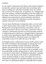mankind.

In one respect Communism but follows other famous religions. It exalts the common man and makes him everything. Here there is nothing new. But there is another factor in it which also is not new but which may, nevertheless, in a changed form and a new setting, contribute something to the true religion of the future, if there be any true religion. *Leninism is absolutely, defiantly non-supernatural, and its emotional and ethical essence centres about the individual's and the community's attitude towards the Love of Money.*

I do not mean that Russian Communism alters, or even seeks to alter, human nature, that it makes Jews less avaricious or Russians less extravagant than they were before. I do not merely mean that it sets up a new ideal. I mean that it tries to construct a framework of society in which pecuniary motives as influencing action shall have a changed relative importance, in which social approbations shall be differently distributed, and where behaviour, which previously was normal and respectable, ceases to be either the one or the other.

In England to-day a talented and virtuous youth, about to enter the world, will balance the advantages of entering the Civil Service and of seeking a fortune in business; and public opinion will esteem him not less if he prefers the second. Money-making, as such, on as large a scale as possible, is not less respectable socially, perhaps more so, than a life devoted to the service of the State or of Religion, Education, Learning, or Art. But in the Russia of the future it is intended that the career of money-making, as such, will simply not occur to a respectable young man as a possible opening, any more than the career of a gentleman burglar or acquiring skill in forgery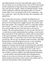and embezzlement. Even the most admirable aspects of the love of money in our existing society, such as thrift and saving, and the attainment of financial security and independence for one's self and one's family, whilst not deemed morally wrong, will be rendered so difficult and impracticable as to be not worth while. Every one should work for the community—the new creed runs—and, if he does his duty, the community will uphold him.

This system does not mean a complete levelling down of incomes—at least at the present stage. A clever and successful person in Soviet Russia has a bigger income and a better time than other people. The commissar with £5 a week (*plus* sundry free services, a motor-car, a flat, a box at the ballet, etc., etc.) lives well enough, but not *in the least* like a rich man in London. The successful professor or civil servant with £6 or £7 a week (*minus* sundry impositions) has, perhaps, a real income three times those of the proletarian workers and six times those of the poorer peasants. Some peasants are three or four times richer than others. A man who is out of work receives part pay, not full pay. But no one can afford on these incomes, with high Russian prices and stiff progressive taxes, to save anything worth saving; it is hard enough to live day by day. The progressive taxation and the mode of assessing rents and other charges are such that it is actually disadvantageous to have an acknowledged income exceeding £8 to £10 a week. Nor is there any possibility of large gains except by taking the same sort of risks as attach to bribery and embezzlement elsewhere —not that bribery and embezzlement have disappeared in Russia or are even rare, but any one whose extravagance or whose instincts drive him to such courses runs serious risk of detection and penalties which include death.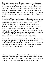Nor, at the present stage, does the system involve the actual prohibition of buying and selling at a profit. The policy is not to forbid these professions, but to render them precarious and disgraceful. The private trader is a sort of permitted outlaw, without privileges or protection, like the Jew in the Middle Ages—an outlet for those who have overwhelming instincts in this direction, but not a natural or agreeable job for the normal man.

The effect of these social changes has been, I think, to make a real change in the predominant attitude towards money, and will probably make a far greater change when a new generation has grown up which has known nothing else. People in Russia, if only because of their poverty, are very greedy for money—at least as greedy as elsewhere. But money-making and money-accumulating cannot enter into the life-calculations of a rational man who accepts the Soviet rule in the way in which they enter into ours. A society of which this is even partially true is a tremendous innovation.

Now all this may prove Utopian, or destructive of true welfare, though, perhaps, not so Utopian, pursued in an intense religious spirit, as it would be if it were pursued in a matter-offact way. But is it appropriate to assume, as most of us have assumed hitherto, that it is insincere or wicked?

After a long debate with Zinovieff, two Communist ironsides who attended him stepped forward to speak to me a last word with the full faith of fanaticism in their eyes. "We make you a prophecy," they said. "Ten years hence the level of life in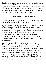Russia will be higher than it was before the war, and in the rest of Europe it will be lower than it was before the war." Having regard to the natural wealth of Russia and to the inefficiency of the old régime, having regard also to the problems of Western Europe and our apparent inability to handle them, can we feel confident that the comrades will not prove right?

### **(ii)** *Communism's Power to Survive*

Can Communism in the course of time, with sufficient dilution and added impurity, catch the multitude?

I cannot answer what only time will show. But I feel confident of one conclusion—that if Communism achieves a certain success, it will achieve it, not as an improved economic technique, but as a religion. The tendency of our conventional criticisms is to make two opposed mistakes. We hate Communism so much, regarded as a religion, that we exaggerate its economic inefficiency; and we are so much impressed by its economic inefficiency that we underestimate it as a religion.

On the economic side I cannot perceive that Russian Communism has made any contribution to our economic problems of intellectual interest or scientific value. I do not think that it contains, or is likely to contain, any piece of useful economic technique which we could not apply, if we chose, with equal or greater success in a society which retained all the marks, I will not say of nineteenth-century individualistic capitalism, but of British bourgeois ideals. Theoretically at least, I do not believe that there is any economic improvement for which Revolution is a necessary instrument. On the other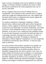hand, we have everything to lose by the methods of violent change. In Western industrial conditions the tactics of Red Revolution would throw the whole population into a pit of poverty and death.

But as a religion what are its forces? Perhaps they are considerable. The exaltation of the common man is a dogma which has caught the multitude before now. *Any* religion and the bond which unites co-religionists have power against the egotistic atomism of the irreligious.

For modern capitalism is absolutely irreligious, without internal union, without much public spirit, often, though not always, a mere congeries of possessors and pursuers. Such a system has to be immensely, not merely moderately, successful to survive. In the nineteenth century it was in a certain sense idealistic; at any rate it was a united and self-confident system. It was not only immensely successful, but held out hopes of a continuing crescendo of prospective successes. To-day it is only moderately successful. If irreligious Capitalism is ultimately to defeat religious Communism, it is not enough that it should be economically more efficient—it must be many times as efficient.

We used to believe that modern capitalism was capable, not merely of maintaining the existing standards of life, but of leading us gradually into an economic paradise where we should be comparatively free from economic cares. Now we doubt whether the business man is leading us to a destination far better than our present place. Regarded as a means he is tolerable; regarded as an end he is not so satisfactory. One begins to wonder whether the material advantages of keeping business and religion in different compartments are sufficient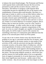to balance the moral disadvantages. The Protestant and Puritan could separate them comfortably because the first activity pertained to earth and the second to heaven, which was elsewhere. The believer in progress could separate them comfortably because he regarded the first as the means to the establishment of heaven upon earth hereafter. But there is a third state of mind, in which we do not fully believe either in a heaven which is elsewhere or in progress as a sure means towards a heaven upon earth hereafter; and if heaven is not elsewhere and not hereafter, it must be here and now or not at all. If there is no moral objective in economic progress, then it follows that we must not sacrifice, even for a day, moral to material advantage—in other words, that we may no longer keep business and religion in separate compartments of the soul. In so far as a man's thoughts are capable of straying along these paths, he will be ready to search with curiosity for something at the heart of Communism quite different from the picture of its outward parts which our Press paints.

At any rate to me it seems clearer every day that the moral problem of our age is concerned with the love of money, with the habitual appeal to the money motive in nine-tenths of the activities of life, with the universal striving after individual economic security as the prime object of endeavour, with the social approbation of money as the measure of constructive success, and with the social appeal to the hoarding instinct as the foundation of the necessary provision for the family and for the future. The decaying religions around us, which have less and less interest for most people unless it be as an agreeable form of magical ceremonial or of social observance, have lost their moral significance just because—unlike some of their earlier versions—they do not touch in the least degree on these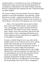essential matters. A revolution in our ways of thinking and feeling about money may become the growing purpose of contemporary embodiments of the ideal. Perhaps, therefore, Russian Communism does represent the first confused stirrings of a great religion.

The visitor to Russia from the outside, who tries without prejudice to catch the atmosphere, must alternate, I think, between two moods—oppression and elation. Sir Martin Conway, in his true and sincere volume on *Art Treasures in Soviet Russia*, writes thus of his departure out of the country:

. . . After a very long halt the train moved on about half a mile to the Finnish frontier, where passports, visas, and luggage were again examined much less meticulously. The station was new built, a pleasant place, simple, clean, and convenient, and served with much courtesy. It has a charming refreshment room, where simple but nicely cooked food was supplied in an atmosphere of hospitality.

It seems a churlish thing for me to say, after all the kindness shown to me in Russia, but if I am to tell the whole truth I must here put on record that in this frontier station of Finland I experienced a sense as of the removal of a great weight which had been oppressing me. I cannot explain just how this weight had been felt. I did not experience the imposition of it on entering Russia, but as the days passed it seemed slowly to accumulate. The sense of freedom gradually disappeared. Though everyone was kind one felt the presence of an oppression, not on oneself, but all-pervading. Never have I felt so completely a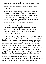stranger in a strange land; with successive days what at first was a dim feeling took more definite shape and condensed into an ever-increasingly conscious oppression.

I imagine one might have passed through the same experience in the Russia of the Tsars. Americans often praise what they call the "air of liberty" which they claim as characteristic of their country. They possess it in common with all the English-speaking dominions. The moral atmosphere of Russia is a very different compound of emotional chemistry.

The part of Finland through which our train now bore us was not different in physical character from the lands across the frontier, but we found ourselves passing "nice little properties" and the signs of comfort and even prosperity. . . .

The mood of oppression could not be better conveyed. In part, no doubt, it is the fruit of Red Revolution—there is much in Russia to make one pray that one's own country may achieve its goal not in that way. In part, perhaps, it is the fruit of some beastliness in the Russian nature—or in the Russian and Jewish natures when, as now, they are allied together. But in part it is one face of the superb earnestness of Red Russia, of the high seriousness, which in its other aspect appears as the Spirit of Elation. There never was any one so *serious* as the Russian of the Revolution, serious even in his gaiety and abandon of spirit—so serious that sometimes he can forget tomorrow and sometimes he can forget to-day. Often this seriousness is crude and stupid and boring in the extreme. The average Communist is *discoloured* just as the Methodists of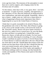every age have been. The tenseness of the atmosphere is more than one is used to support, and a longing comes for the frivolous ease of London.

Yet the elation, when that is felt, is very great. Here—one feels at moments—in spite of poverty, stupidity, and oppression, is the Laboratory of Life. Here the chemicals are being mixed in new combinations, and stink and explode. Something—there is just a chance—might come out. And even a chance gives to what is happening in Russia more importance than what is happening (let us say) in the United States of America.

I think that it is partly reasonable to be afraid of Russia, like the gentlemen who write to *The Times*. But if Russia is going to be a force in the outside world, it will not be the result of Mr. Zinovieff's money. Russia will never matter seriously to the rest of us, unless it be as a moral force. So, now the deeds are done and there is no going back, I should like to give Russia her chance; to help and not to hinder. For how much rather, even after allowing for everything, if I were a Russian, would I contribute my quota of activity to Soviet Russia than to Tsarist Russia! I could not subscribe to the new official faith any more than to the old. I should detest the actions of the new tyrants not less than those of the old. But I should feel that my eyes were turned towards, and no longer away from, the possibilities of things; that out of the cruelty and stupidity of Old Russia nothing could ever emerge, but that beneath the cruelty and stupidity of New Russia some speck of the ideal may lie hid.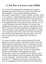## **2. THE END OF LAISSEZ-FAIRE (1926)**

Let us clear from the ground the metaphysical or general principles upon which, from time to time, *laissez-faire* has been founded. It is *not* true that individuals possess a prescriptive "natural liberty" in their economic activities. There is *no* "compact" conferring perpetual rights on those who Have or on those who Acquire. The world is *not* so governed from above that private and social interest always coincide. It is *not* so managed here below that in practice they coincide. It is *not* a correct deduction from the Principles of Economics that enlightened self-interest always operates in the public interest. Nor is it true that self-interest generally *is* enlightened; more often individuals acting separately to promote their own ends are too ignorant or too weak to attain even these. Experience does *not* show that individuals, when they make up a social unit, are always less clear-sighted than when they act separately.

We cannot, therefore, settle on abstract grounds, but must handle on its merits in detail, what Burke termed "one of the finest problems in legislation, namely, to determine what the State ought to take upon itself to direct by the public wisdom, and what it ought to leave, with as little interference as possible, to individual exertion." We have to discriminate between what Bentham, in his forgotten but useful nomenclature, used to term *Agenda* and *Non-Agenda*, and to do this without Bentham's prior presumption that interference is, at the same time, "generally needless" and "generally pernicious."<sup>[31]</sup> Perhaps the chief task of Economists at this hour is to distinguish afresh the *Agenda* of Government from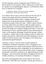the *Non-Agenda*; and the companion task of Politics is to devise forms of Government within a Democracy which shall be capable of accomplishing the *Agenda*. I will illustrate what I have in mind by two examples.

> [31] Bentham's *Manual of Political Economy*, published posthumously, in Bowring's edition (1843).

(1) I believe that in many cases the ideal size for the unit of control and organisation lies somewhere between the individual and the modern State. I suggest, therefore, that progress lies in the growth and the recognition of semiautonomous bodies within the State—bodies whose criterion of action within their own field is solely the public good as they understand it, and from whose deliberations motives of private advantage are excluded, though some place it may still be necessary to leave, until the ambit of men's altruism grows wider, to the separate advantage of particular groups, classes, or faculties—bodies which in the ordinary course of affairs are mainly autonomous within their prescribed limitations, but are subject in the last resort to the sovereignty of the democracy expressed through Parliament.

I propose a return, it may be said, towards mediaeval conceptions of separate autonomies. But, in England at any rate, corporations are a mode of government which has never ceased to be important and is sympathetic to our institutions. It is easy to give examples, from what already exists, of separate autonomies which have attained or are approaching the mode I designate—the Universities, the Bank of England, the Port of London Authority, even perhaps the Railway Companies.

But more interesting than these is the trend of Joint Stock Institutions, when they have reached a certain age and size, to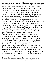approximate to the status of public corporations rather than that of individualistic private enterprise. One of the most interesting and unnoticed developments of recent decades has been the tendency of big enterprise to socialise itself. A point arrives in the growth of a big institution—particularly a big railway or big public utility enterprise, but also a big bank or a big insurance company—at which the owners of the capital, *i.e.* the shareholders, are almost entirely dissociated from the management, with the result that the direct personal interest of the latter in the making of great profit becomes quite secondary. When this stage is reached, the general stability and reputation of the institution are more considered by the management than the maximum of profit for the shareholders. The shareholders must be satisfied by conventionally adequate dividends; but once this is secured, the direct interest of the management often consists in avoiding criticism from the public and from the customers of the concern. This is particularly the case if their great size or semi-monopolistic position renders them conspicuous in the public eye and vulnerable to public attack. The extreme instance, perhaps, of this tendency in the case of an institution, theoretically the unrestricted property of private persons, is the Bank of England. It is almost true to say that there is no class of persons in the Kingdom of whom the Governor of the Bank of England thinks less when he decides on his policy than of his shareholders. Their rights, in excess of their conventional dividend, have already sunk to the neighbourhood of zero. But the same thing is partly true of many other big institutions. They are, as time goes on, socialising themselves.

Not that this is unmixed gain. The same causes promote conservatism and a waning of enterprise. In fact, we already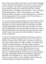have in these cases many of the faults as well as the advantages of State Socialism. Nevertheless we see here, I think, a natural line of evolution. The battle of Socialism against unlimited private profit is being won in detail hour by hour. In these particular fields—it remains acute elsewhere—this is no longer the pressing problem. There is, for instance, no so-called important political question so really unimportant, so irrelevant to the reorganisation of the economic life of Great Britain, as the Nationalisation of the Railways.

It is true that many big undertakings, particularly Public Utility enterprises and other business requiring a large fixed capital, still need to be semi-socialised. But we must keep our minds flexible regarding the forms of this semi-socialism. We must take full advantage of the natural tendencies of the day, and we must probably prefer semi-autonomous corporations to organs of the Central Government for which Ministers of State are directly responsible.

I criticise doctrinaire State Socialism, not because it seeks to engage men's altruistic impulses in the service of Society, or because it departs from *laissez-faire*, or because it takes away from man's natural liberty to make a million, or because it has courage for bold experiments. All these things I applaud. I criticise it because it misses the significance of what is actually happening; because it is, in fact, little better than a dusty survival of a plan to meet the problems of fifty years ago, based on a misunderstanding of what some one said a hundred years ago. Nineteenth-century State Socialism sprang from Bentham, free competition, etc., and is in some respects a clearer, in some respects a more muddled, version of just the same philosophy as underlies nineteenth-century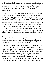individualism. Both equally laid all their stress on freedom, the one negatively to avoid limitations on existing freedom, the other positively to destroy natural or acquired monopolies. They are different reactions to the same intellectual atmosphere.

(2) I come next to a criterion of *Agenda* which is particularly relevant to what it is urgent and desirable to do in the near future. We must aim at separating those services which are *technically social* from those which are *technically individual*. The most important *Agenda* of the State relate not to those activities which private individuals are already fulfilling, but to those functions which fall outside the sphere of the individual, to those decisions which are made by *no one* if the State does not make them. The important thing for Government is not to do things which individuals are doing already, and to do them a little better or a little worse; but to do those things which at present are not done at all.

It is not within the scope of my purpose on this occasion to develop practical policies. I limit myself, therefore, to naming some instances of what I mean from amongst those problems about which I happen to have thought most.

Many of the greatest economic evils of our time are the fruits of risk, uncertainty, and ignorance. It is because particular individuals, fortunate in situation or in abilities, are able to take advantage of uncertainty and ignorance, and also because for the same reason big business is often a lottery, that great inequalities of wealth come about; and these same factors are also the cause of the Unemployment of Labour, or the disappointment of reasonable business expectations, and of the impairment of efficiency and production. Yet the cure lies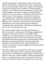outside the operations of individuals; it may even be to the interest of individuals to aggravate the disease. I believe that the cure for these things is partly to be sought in the deliberate control of the currency and of credit by a central institution, and partly in the collection and dissemination on a great scale of data relating to the business situation, including the full publicity, by law if necessary, of all business facts which it is useful to know. These measures would involve Society in exercising directive intelligence through some appropriate organ of action over many of the inner intricacies of private business, yet it would leave private initiative and enterprise unhindered. Even if these measures prove insufficient, nevertheless they will furnish us with better knowledge than we have now for taking the next step.

My second example relates to Savings and Investment. I believe that some co-ordinated act of intelligent judgement is required as to the scale on which it is desirable that the community as a whole should save, the scale on which these savings should go abroad in the form of foreign investments, and whether the present organisation of the investment market distributes savings along the most nationally productive channels. I do not think that these matters should be left entirely to the chances of private judgement and private profits, as they are at present.

My third example concerns Population. The time has already come when each country needs a considered national policy about what size of Population, whether larger or smaller than at present or the same, is most expedient. And having settled this policy, we must take steps to carry it into operation. The time may arrive a little later when the community as a whole must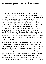pay attention to the innate quality as well as to the mere numbers of its future members.

These reflections have been directed towards possible improvements in the technique of modern Capitalism by the agency of collective action. There is nothing in them which is seriously incompatible with what seems to me to be the essential characteristic of Capitalism, namely the dependence upon an intense appeal to the money-making and moneyloving instincts of individuals as the main motive force of the economic machine. Nor must I, so near to my end, stray towards other fields. Nevertheless, I may do well to remind you, in conclusion, that the fiercest contests and the most deeply felt divisions of opinion are likely to be waged in the coming years not round technical questions, where the arguments on either side are mainly economic, but round those which, for want of better words, may be called psychological or, perhaps, moral.

In Europe, or at least in some parts of Europe—but not, I think, in the United States of America—there is a latent reaction, somewhat widespread, against basing Society to the extent that we do upon fostering, encouraging, and protecting the moneymotives of individuals. A preference for arranging our affairs in such a way as to appeal to the money-motive as little as possible, rather than as much as possible, need not be entirely *a priori*, but may be based on the comparison of experiences. Different persons, according to their choice of profession, find the money-motive playing a large or a small part in their daily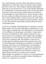lives, and historians can tell us about other phases of social organisation in which this motive has played a much smaller part than it does now. Most religions and most philosophies deprecate, to say the least of it, a way of life mainly influenced by considerations of personal money profit. On the other hand, most men to-day reject ascetic notions and do not doubt the real advantages of wealth. Moreover it seems obvious to them that one cannot do without the money-motive, and that, apart from certain admitted abuses, it does its job well. In the result the average man averts his attention from the problem, and has no clear idea what he really thinks and feels about the whole confounded matter.

Confusion of thought and feeling leads to confusion of speech. Many people, who are really objecting to Capitalism as a way of life, argue as though they were objecting to it on the ground of its inefficiency in attaining its own objects. Contrariwise, devotees of Capitalism are often unduly conservative, and reject reforms in its technique, which might really strengthen and preserve it, for fear that they may prove to be first steps away from Capitalism itself. Nevertheless a time may be coming when we shall get clearer than at present as to when we are talking about Capitalism as an efficient or inefficient technique, and when we are talking about it as desirable or objectionable in itself. For my part, I think that Capitalism, wisely managed, can probably be made more efficient for attaining economic ends than any alternative system yet in sight, but that in itself it is in many ways extremely objectionable. Our problem is to work out a social organisation which shall be as efficient as possible without offending our notions of a satisfactory way of life.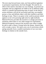The next step forward must come, not from political agitation or premature experiments, but from thought. We need by an effort of the mind to elucidate our own feelings. At present our sympathy and our judgement are liable to be on different sides, which is a painful and paralysing state of mind. In the field of action reformers will not be successful until they can steadily pursue a clear and definite object with their intellects and their feelings in tune. There is no party in the world at present which appears to me to be pursuing right aims by right methods. Material Poverty provides the incentive to change precisely in situations where there is very little margin for experiments. Material Prosperity removes the incentive just when it might be safe to take a chance. Europe lacks the means, America the will, to make a move. We need a new set of convictions which spring naturally from a candid examination of our own inner feelings in relation to the outside facts.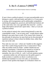# **3. A<sup>M</sup> I <sup>A</sup> LIBERAL? (1925) [32]**

[32] An address to the Liberal Summer School at Cambridge.

#### **I**

If one is born a political animal, it is most uncomfortable not to belong to a party; cold and lonely and futile it is. If your party is strong, and its programme and its philosophy sympathetic, satisfying the gregarious, practical, and intellectual instincts all at the same time, how very agreeable that must be!—worth a large subscription and all one's spare time;—that is, if you are a political animal.

So the political animal who cannot bring himself to utter the contemptible words, "I am no party man," would almost rather belong to any party than to none. If he cannot find a home by the principle of attraction, he must find one by the principle of repulsion and go to those whom he dislikes least, rather than stay out in the cold.

Now take my own case—where am I landed on this negative test? How could I bring myself to be a Conservative? They offer me neither food nor drink—neither intellectual nor spiritual consolation. I should not be amused or excited or edified. That which is common to the atmosphere, the mentality, the view of life of—well, I will not mention names —promotes neither my self-interest nor the public good. It leads nowhere; it satisfies no ideal; it conforms to no intellectual standard; it is not even safe, or calculated to preserve from spoilers that degree of civilisation which we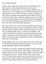have already attained.

Ought I, then, to join the Labour Party? Superficially that is more attractive. But looked at closer, there are great difficulties. To begin with, it is a class party, and the class is not my class. If I am going to pursue sectional interests at all, I shall pursue my own. When it comes to the class struggle as such, my local and personal patriotisms, like those of every one else, except certain unpleasant zealous ones, are attached to my own surroundings. I can be influenced by what seems to me to be Justice and good sense; but the *Class* war will find me on the side of the educated *bourgeoisie*.

But, above all, I do not believe that the intellectual elements in the Labour Party will ever exercise adequate control; too much will always be decided by those who do not know *at all* what they are talking about; and if—which is not unlikely—the control of the party is seized by an autocratic inner ring, this control will be exercised in the interests of the extreme Left Wing—the section of the Labour Party which I shall designate the Party of Catastrophe.

On the negative test, I incline to believe that the Liberal Party is still the best instrument of future progress—if only it had strong leadership and the right programme.

But when we come to consider the problem of party positively —by reference to what attracts rather than to what repels—the aspect is dismal in every party alike, whether we put our hopes in measures or in men. And the reason is the same in each case. The historic party questions of the nineteenth century are as dead as last week's mutton; and whilst the questions of the future are looming up, they have not yet become party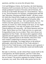questions, and they cut across the old party lines.

Civil and Religious Liberty, the Franchise, the Irish Question, Dominion Self-Government, the Power of the House of Lords, steeply graduated Taxation of Incomes and of Fortunes, the lavish use of the Public Revenues for "Social Reform," that is to say, Social Insurance for Sickness, Unemployment and Old Age, Education, Housing and Public Health—all these causes for which the Liberal Party fought are successfully achieved or are obsolete or are the common ground of all parties alike. What remains? Some will say—the Land Question. Not I—for I believe that this question, in its traditional form, has now become, by reason of a silent change in the facts, of very slight political importance. I see only two planks of the historic Liberal platform still seaworthy—the Drink Question and Free Trade. And of these two Free Trade survives, as a great and living political issue, by an accident. There were always two arguments for Free Trade—the *laissez-faire* argument which appealed and still appeals to the Liberal individualists, and the economic argument based on the benefits which flow from each country's employing its resources where it has a comparative advantage. I no longer believe in the political philosophy which the Doctrine of Free Trade adorned. I believe in Free Trade because, in the long run and in general, it is the only policy which is technically sound and intellectually tight.

But take it at the best, can the Liberal Party sustain itself on the Land Question, the Drink Question, and Free Trade alone, even if it were to reach a united and clear-cut programme on the two former? The *positive* argument for being a Liberal is, at present, very weak. How do the other parties survive the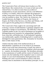#### positive test?

The Conservative Party will always have its place as a Die-Hard Home. But constructively, it is in just as bad case as the Liberal Party. It is often no more than an accident of temperament or of past associations, and not a real difference of policy or of ideals, which now separates the progressive young Conservative from the average Liberal. The old battlecries are muffled or silent. The Church, the Aristocracy, the Landed Interests, the Rights of Property, the Glories of Empire, the Pride of the Services, even Beer and Whisky, will never again be the guiding forces of British politics.

The Conservative Party ought to be concerning itself with evolving a version of Individualistic Capitalism adapted to the progressive change of circumstances. The difficulty is that the Capitalist leaders in the City and in Parliament are incapable of distinguishing novel measures for safeguarding Capitalism from what they call Bolshevism. If old-fashioned Capitalism was intellectually capable of defending itself, it would not be dislodged for many generations. But, fortunately for Socialists, there is little chance of this.

I believe that the seeds of the intellectual decay of Individualistic Capitalism are to be found in an institution which is not in the least characteristic of itself, but which it took over from the social system of Feudalism which preceded it,—namely, the hereditary principle. The hereditary principle in the transmission of wealth and the control of business is the reason why the leadership of the Capitalist Cause is weak and stupid. It is too much dominated by third-generation men. Nothing will cause a social institution to decay with more certainty than its attachment to the hereditary principle. It is an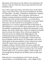illustration of this that by far the oldest of our institutions, the Church, is the one which has always kept itself free from the hereditary taint.

Just as the Conservative Party will always have its Die-Hard wing, so the Labour Party will always be flanked by the Party of Catastrophe—Jacobins, Communists, Bolshevists, whatever you choose to call them. This is the party which hates or despises existing institutions and believes that great good will result merely from overthrowing them—or at least that to overthrow them is the necessary preliminary to any great good. This party can only flourish in an atmosphere of social oppression or as a reaction against the Rule of Die-Hard. In Great Britain it is, in its extreme form, numerically very weak. Nevertheless its philosophy in a diluted form permeates, in my opinion, the whole Labour Party. However moderate its leaders may be at heart, the Labour Party will always depend for electoral success on making some slight appeal to the widespread passions and jealousies which find their full development in the Party of Catastrophe. I believe that this secret sympathy with the Policy of Catastrophe is the worm which gnaws at the seaworthiness of any constructive vessel which the Labour Party may launch. The passions of malignity, jealousy, hatred of those who have wealth and power (even in their own body) ill consort with ideals to build up a true Social Republic. Yet it is necessary for a successful Labour leader to be, or at least to appear, a little savage. It is not enough that he should love his fellow-men; he must hate them too.

What then do I want Liberalism to be? On the one side, Conservatism is a well-defined entity—with a Right of Die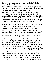Hards, to give it strength and passion, and a Left of what one may call "the best type" of educated, humane, Conservative Free-Traders, to lend it moral and intellectual respectability. On the other side, Labour is also well-defined—with a Left of Catastrophists, to give it strength and passion, and a Right of what one may call "the best type" of educated, humane, Socialistic Reformers, to lend it moral and intellectual respectability. Is there room for anything between? Should not each of us here decide whether we consider ourselves to be "the best type" of Conservative Free-Traders or "the best type" of Socialistic Reformers, and have done with it?

Perhaps that is how we shall end. But I still think that there is room for a party which shall be disinterested as between classes, and which shall be free in building the future both from the influences of Die-Hardism and from those of Catastrophism, which will spoil the constructions of each of the others. Let me sketch out in the briefest terms what I conceive to be the Philosophy and Practice of such a party.

To begin with, it must emancipate itself from the dead-wood of the past. In my opinion there is now no place, except in the Left Wing of the Conservative Party, for those whose hearts are set on old-fashioned individualism and *laissez-faire* in all their rigour—greatly though these contributed to the success of the nineteenth century. I say this, not because I think that these doctrines were wrong in the conditions which gave birth to them (I hope that I should have belonged to this party if I had been born a hundred years earlier), but because they have ceased to be applicable to modern conditions. Our programme must deal not with the historic issues of Liberalism, but with those matters—whether or not they have already become party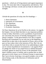questions—which are of living interest and urgent importance to-day. We must take risks of unpopularity and derision. *Then* our meetings will draw crowds and our body be infused with strength.

#### **II**

I divide the questions of to-day into five headings:—

- 1. Peace Questions.
- 2. Questions of Government.
- 3. Sex Questions.
- 4. Drug Questions.
- 5. Economic Questions.

On Peace Questions let us be Pacifist to the utmost. As regards the Empire, I do not think that there is any important problem except in India. Elsewhere, so far as problems of government are concerned, the process of friendly disintegration is now almost complete—to the great benefit of all. But as regards Pacifism and Armaments we are only just at the beginning. I should like to take risks in the interests of Peace, just as in the past we have taken risks in the interests of War. But I do not want these risks to assume the form of an undertaking to make war in various hypothetical circumstances. I am against Pacts. To pledge the whole of our armed forces to defend disarmed Germany against an attack by France in the plenitude of the latter's military power is foolish; and to assume that we shall take part in every future war in Western Europe is unnecessary. But I am in favour of giving a very good example, even at the risk of being weak, in the direction of Arbitration and of Disarmament.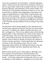I turn next to questions of Government—a dull but important matter. I believe that in the future the Government will have to take on many duties which it has avoided in the past. For these purposes Ministers and Parliament will be unserviceable. Our task must be to decentralise and devolve wherever we can, and in particular to establish semi-independent corporations and organs of administration to which duties of government, new and old, will be entrusted;—without, however, impairing the democratic principle or the ultimate sovereignty of Parliament. These questions will be as important and difficult in the future as the Franchise and the relations of the two Houses have been in the past.

The questions which I group together as Sex Questions have not been party questions in the past. But that was because they were never, or seldom, the subject of public discussion. All this is changed now. There are no subjects about which the big general public is more interested; few which are the subject of wider discussion. They are of the utmost social importance; they cannot help but provoke real and sincere differences of opinion. Some of them are deeply involved in the solution of certain economic questions. I cannot doubt that Sex Questions are about to enter the political arena. The very crude beginnings represented by the Suffrage Movement were only symptoms of deeper and more important issues below the surface.

Birth Control and the use of Contraceptives, Marriage Laws, the treatment of sexual offences and abnormalities, the economic position of women, the economic position of the family,—in all these matters the existing state of the Law and of orthodoxy is still mediaeval—altogether out of touch with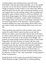civilised opinion and civilised practice and with what individuals, educated and uneducated alike, say to one another in private. Let no one deceive himself with the idea that the change of opinion on these matters is one which only affects a small educated class on the crust of the human boiling. Let no one suppose that it is the working women who are going to be shocked by ideas of Birth Control or of Divorce Reform. For them these things suggest new liberty, emancipation from the most intolerable of tyrannies. A party which would discuss these things openly and wisely at its meetings would discover a new and living interest in the electorate—because politics would be dealing once more with matters about which every one wants to know and which deeply affect every one's own life.

These questions also interlock with economic issues which cannot be evaded. Birth Control touches on one side the liberties of women, and on the other side the duty of the State to concern itself with the size of the population just as much as with the size of the army or the amount of the Budget. The position of wage-earning women and the project of the Family Wage affect not only the status of women, the first in the performance of paid work, and the second in the performance of unpaid work, but also raise the whole question whether wages should be fixed by the forces of supply and demand in accordance with the orthodox theories of *laissez-faire*, or whether we should begin to limit the freedom of those forces by reference to what is "fair" and "reasonable" having regard to all the circumstances.

Drug Questions in this country are practically limited to the Drink Question; though I should like to include gambling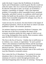under this head. I expect that the Prohibition of alcoholic Spirits and of Bookmakers would do good. But this would not settle the matter. How far is bored and suffering humanity to be allowed, from time to time, an escape, an excitement, a stimulus, a possibility of change?—that is the important problem. Is it possible to allow reasonable licence, permitted Saturnalia, sanctified Carnival, in conditions which need ruin neither the health nor the pockets of the roysterers, and will shelter from irresistible temptation the unhappy class who, in America, are called addicts?

I must not stay for an answer, but must hasten to the largest of all political questions, which are also those on which I am most qualified to speak—the economic questions.

An eminent American economist, Professor Commons, who has been one of the first to recognise the nature of the economic transition amidst the early stages of which we are now living, distinguishes three epochs, three economic orders, upon the third of which we are entering.

The first is the Era of Scarcity, "whether due to inefficiency or to violence, war, custom, or superstition." In such a period "there is the minimum of individual liberty and the maximum of communistic, feudalistic or governmental control through physical coercion." This was, with brief intervals in exceptional cases, the normal economic state of the world up to (say) the fifteenth or sixteenth century.

Next comes the Era of Abundance. "In a period of extreme abundance there is the maximum of individual liberty, the minimum of coercive control through government, and individual bargaining takes the place of rationing." During the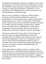seventeenth and eighteenth centuries we fought our way out of the bondage of Scarcity into the free air of Abundance, and in the nineteenth century this epoch culminated gloriously in the victories of *laissez-faire* and historic Liberalism. It is not surprising or discreditable that the veterans of the party cast backward glances on that easier age.

But we are now entering on a third era, which Professor Commons calls the period of Stabilisation, and truly characterises as "the actual alternative to Marx's communism." In this period, he says, "there is a diminution of individual liberty, enforced in part by governmental sanctions, but mainly by economic sanctions through concerted action, whether secret, semi-open, open, or arbitrational, of associations, corporations, unions, and other collective movements of manufacturers, merchants, labourers, farmers, and bankers."

The abuses of this epoch in the realms of Government are Fascism on the one side and Bolshevism on the other. Socialism offers no middle course, because it also is sprung from the presuppositions of the Era of Abundance, just as much as *laissez-faire* individualism and the free play of economic forces, before which latter, almost alone amongst men, the City Editors, all bloody and blindfolded, still piteously bow down.

The transition from economic anarchy to a régime which deliberately aims at controlling and directing economic forces in the interests of social justice and social stability, will present enormous difficulties both technical and political. I suggest, nevertheless, that the true destiny of New Liberalism is to seek their solution.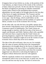It happens that we have before us, to-day, in the position of the Coal Industry, an object-lesson of the results of the confusion of ideas which now prevails. On the one side the Treasury and the Bank of England are pursuing an orthodox nineteenthcentury policy based on the assumption that economic adjustments can and ought to be brought about by the free play of the forces of supply and demand. The Treasury and the Bank of England still believe—or, at any rate, did until a week or two ago—that the things, which would follow on the assumption of free competition and the mobility of capital and labour, actually occur in the economic life of to-day.

On the other side, not only the facts, but public opinion also, have moved a long distance away in the direction of Professor Commons's epoch of Stabilisation. The Trade Unions are strong enough to interfere with the free play of the forces of supply and demand, and Public Opinion, albeit with a grumble and with more than a suspicion that the Trade Unions are growing dangerous, supports the Trade Unions in their main contention that Coalminers ought not to be the victims of cruel economic forces which *they* never set in motion.

The idea of the old-world party, that you can, for example, alter the value of money and then leave the consequential adjustments to be brought about by the forces of supply and demand, belongs to the days of fifty or a hundred years ago when Trade Unions were powerless, and when the economic Juggernaut was allowed to crash along the highway of Progress without obstruction and even with applause.

Half the copybook wisdom of our statesmen is based on assumptions which were at one time true, or partly true, but are now less and less true day by day. We have to invent new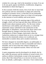wisdom for a new age. And in the meantime we must, if we are to do any good, appear unorthodox, troublesome, dangerous, disobedient to them that begat us.

In the economic field this means, first of all, that we must find new policies and new instruments to adapt and control the working of economic forces, so that they do not intolerably interfere with contemporary ideas as to what is fit and proper in the interests of social stability and social justice.

It is not an accident that the opening stage of this political struggle, which will last long and take many different forms, should centre about monetary policy. For the most violent interferences with stability and with justice, to which the nineteenth century submitted in due satisfaction of the philosophy of Abundance, were precisely those which were brought about by changes in the price level. But the consequences of these changes, particularly when the Authorities endeavour to impose them on us in a stronger dose than even the nineteenth century ever swallowed, are intolerable to modern ideas and to modern institutions.

We have changed, by insensible degrees, our philosophy of economic life, our notions of what is reasonable and what is tolerable; and we have done this without changing our technique or our copybook maxims. Hence our tears and troubles.

A party programme must be developed in its details, day by day, under the pressure and the stimulus of actual events; it is useless to define it beforehand, except in the most general terms. But if the Liberal Party is to recover its forces, it must have an attitude, a philosophy, a direction. I have endeavoured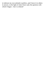to indicate my own attitude to politics, and I leave it to others to answer, in the light of what I have said, the question with which I began—Am I a Liberal?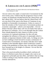# **4. LIBERALISM AND LABOUR (1926) [33]**

[33] The substance of a speech delivered at the Manchester Reform Club, February 9, 1926.

I do not wish to live under a Conservative Government for the next twenty years. I believe that the progressive forces of the country are hopelessly divided between the Liberal Party and the Labour Party. I do not believe that the Liberal Party will win *one-third* of the seats in the House of Commons in any probable or foreseeable circumstances. Unless in course of time the mistakes of the Conservative Government produce an economic catastrophe—which is not impossible—I do not believe that the Labour Party will win *one-half* of the seats in the House of Commons. Yet it is not desirable that the Labour Party should depend for their chances of office on the occurrence of a national misfortune; for this will only strengthen the influence of the party of catastrophe which is already an important element in their ranks. As things are now, we have nothing to look forward to except a continuance of Conservative Governments, not merely until they have made mistakes in the tolerable degree which would have caused a swing of the pendulum in former days, but until their mistakes have mounted up to the height of a disaster. I do not like this choice of alternatives.

That is the practical political problem which confronts all those, in whichever party they are ranged, who want to see progressive principles put into effect, and believe that too long a delay in doing so may find the country confronted with extreme alternatives.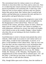The conventional retort by Labour orators is to call upon Liberals to close down their own Party and to come over. Now it is evident that the virtual extinction of the Liberal Party is a practical possibility to be reckoned with. A time may come when any one in active politics will have only two choices before him and not three. But I believe that it would be bad politics and bad behaviour to promote this end; and that it is good politics and good behaviour to resist it.

Good politics to resist it, because the progressive cause in the constituencies would be weakened, and not strengthened, by the disappearance of the Liberal Party. There are many sections of the country, and many classes of voters, which for many years to come will never vote Labour in numbers, or with enthusiasm, sufficient for victory; but which will readily vote Liberal as soon as the weather changes. Labour leaders who deny this are not looking at the facts of politics with unclouded eyes.

Good behaviour to resist it, because most present-day active Liberals, whilst ready on occasion to vote Labour and to act with Labour, would not feel comfortable, or sincere, or in place, as full members of the Labour Party. Take my own case. I am sure that I am less conservative in my inclinations than the average Labour voter; I fancy that I have played in my mind with the possibilities of greater social changes than come within the present philosophies of, let us say, Mr. Sidney Webb, Mr. Thomas, or Mr. Wheatley. The Republic of my imagination lies on the extreme left of celestial space. Yet—all the same—I feel that my true home, so long as they offer a roof and a floor, is still with the Liberals.

Why, though fallen upon such evil days, does the tradition of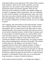Liberalism hold so much attraction? The Labour Party contains three elements. There are the *Trade-Unionists*, once the oppressed, now the tyrants, whose selfish and sectional pretensions need to be bravely opposed. There are the advocates of the methods of violence and sudden change, by an abuse of language called *Communists*, who are committed by their creed to produce evil that good may come, and, since they dare not concoct disaster openly, are forced to play with plot and subterfuge. There are the *Socialists*, who believe that the economic foundations of modern society are evil, yet might be good.

The company and conversation of this third element, whom I have called Socialists, many Liberals to-day would not find uncongenial. But we cannot march with them until we know along what path, and towards what goal, they mean to move. I do not believe that their historic creed of State Socialism, and its newer gloss of Guild Socialism, now interest them much more than they interest us. These doctrines no longer inspire any one. Constructive thinkers in the Labour Party, and constructive thinkers in the Liberal Party, are trying to replace them with something better and more serviceable. The notions on both sides are a bit foggy as yet, but there is much sympathy between them, and a similar tendency of ideas. I believe that the two sections will become more and more friends and colleagues in construction as time goes on. But the progressive Liberal has this great advantage. He can work out his policies without having to do lip-service to Trade-Unionist tyrannies, to the beauties of the class war, or to doctrinaire State Socialism—in none of which he believes.

In the realm of practical politics, two things must happen—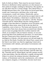both of which are likely. There must be one more General Election to disillusion Labour optimists as to the measure of their political strength, standing by themselves. But equally on our side there must be a certain change. The Liberal Party is divided between those who, if the choice be forced upon them, would vote Conservative, and those who, in the same circumstances, would vote Labour. Historically, and on grounds of past service, each section has an equal claim to call itself Liberal. Nevertheless, I think that it would be for the health of the party if all those who believe, with Mr. Winston Churchill and Sir Alfred Mond, that the coming political struggle is best described as Capitalism *versus* Socialism, and, thinking in these terms, mean to die in the last ditch for Capitalism, were to leave us. The brains and character of the Conservative Party have always been recruited from Liberals, and we must not grudge them the excellent material with which, in accordance with our historic mission, we are now preserving them from intellectual starvation. It is much better that the Conservative Party should be run by honest and intelligent ex-Liberals, who have grown too old and tough for us, than by Die-Hards. Possibly the Liberal Party cannot serve the State in any better way than by supplying Conservative Governments with Cabinets, and Labour Governments with ideas.

At any rate, I sympathise with Labour in rejecting the idea of co-operation with a party which included, until the other day, Mr. Churchill and Sir Alfred Mond, and still contains several of the same kidney. But this difficulty is rapidly solving itself. When it is solved, the relations between Liberalism and Labour, at Westminster and in the constituencies, will, without any compacts, bargains, or formalities, become much more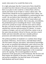nearly what some of us would like them to be.

It is right and proper that the Conservative Party should be recruited from the Liberals of the previous generation. But there is no place in the world for a Liberal Party which is merely the home of out-of-date or watery Labour men. The Liberal Party should be not less progressive than Labour, not less open to new ideas, not behindhand in constructing the new world. I do not believe that Liberalism will ever again be a great party machine in the way in which Conservatism and Labour are great party machines. But it may play, nevertheless, the predominant part in moulding the future. Great changes will not be carried out except with the active aid of Labour. But they will not be sound or enduring unless they have first satisfied the criticism and precaution of Liberals. A certain coolness of temper, such as Lord Oxford has, seems to me at the same time peculiarly *Liberal* in flavour, and also a much bolder and more desirable and more valuable political possession and endowment than sentimental ardours.

The political problem of mankind is to combine three things: Economic Efficiency, Social Justice, and Individual Liberty. The first needs criticism, precaution, and technical knowledge; the second, an unselfish and enthusiastic spirit which loves the ordinary man; the third, tolerance, breadth, appreciation of the excellencies of variety and independence, which prefers, above everything, to give unhindered opportunity to the exceptional and to the aspiring. The second ingredient is the best possession of the great party of the Proletariat. But the first and third require the qualities of the party which, by its traditions and ancient sympathies, has been the home of Economic Individualism and Social Liberty.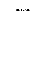## **THE FUTURE**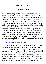### **THE FUTURE**

### **1. CLISSOLD (1927)**

Mr. Wells and his publisher having adopted an ingenious device by which his newest book<sup>[34]</sup> has been reviewed three times over, perhaps it is too much to write about it again at this late date. But, having read the reviews first and the book afterwards, I am left seriously discontented with what the professional critics have had to say. It is a weakness of modern critics not to distinguish—not to distinguish between one thing and another. Even Mr. Wells's choice of form has confused his reviewers. They fail to see what he is after. They reject the good beef which he has offered the British public, because mutton should never be underdone. Or their delicacies are sharpened against his abundance and omnivorous vitality, the broadness and coarseness of the brush with which he sweeps the great canvas which is to catch the attention of hundreds of thousands of readers and sway their minds onward.

#### [34] *The World of William Clissold.* 3 vols.

Mr. Wells here presents, not precisely his own mind as it has developed on the basis of his personal experience and way of life, but—shifting his angle—a point of view based on an experience mainly different from his own, that of a successful, emancipated, semi-scientific, not particularly high-brow, English business man. The result is not primarily a work of art. Ideas, not forms, are its substance. It is a piece of educational writing—propaganda, if you like, an attempt to convey to the very big public attitudes of mind already partly familiar to the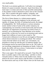very small public.

The book is an *omnium gatherum*. I will select two emergent themes of a quasi-economic character. Apart from these, the main topic is women and some of their possible relationships in the modern world to themselves and to men of the Clissold type. This is treated with great candour, sympathy, and observation. It leaves, and is meant to leave, a bitter taste.

The first of these themes is a violent protest against Conservatism, an insistent emphasis on the necessity and rapidity of change, the folly of looking backwards, the danger of inadaptability. Mr. Wells produces a curious sensation, nearly similar to that of some of his earlier romances, by contemplating vast stretches of time backwards and forwards which give an impression of slowness (no need to hurry in eternity), yet accelerating the Time Machine as he reaches present day, so that *now* we travel at an enormous pace and no longer have millions of years to turn round in. The Conservative influences in our life are envisaged as Dinosaurs whom literal extinction is awaiting just ahead. The contrast comes from the failure of our ideas, our conventions, our prejudices to keep up with the pace of material change. Our environment moves too much faster than we do. The walls of our travelling compartment are bumping our heads. Unless we hustle, the traffic will run us down. Conservatism is no better than suicide. Woe to our Dinosaurs!

This is one aspect. We stand still at our peril. Time flies. But there is another aspect of the same thing—and this is where Clissold comes in. What a bore for the modern man, whose mind in his active career moves with the times, to stand still in his observances and way of life! What a bore are the feasts and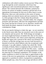celebrations with which London crowns success! What a bore to go through the social contortions which have lost significance and conventional pleasures which no longer please! The contrast between the exuberant, constructive activity of a prince of modern commerce and the lack of an appropriate environment for him out of office hours is acute. Moreover, there are wide stretches in the career of moneymaking which are entirely barren and non-constructive. There is a fine passage in the first volume about the profound, ultimate boredom of City men. Clissold's father, the company promoter and speculator, falls first into megalomania and then into fraud, because he is bored. Let us, therefore, mould with both hands the plastic material of social life into our own contemporary image.

We do not merely belong to a latter-day age—we are ourselves in the literal sense older than our ancestors were in the years of our maturity and our power. Mr. Wells brings out strongly a too-much neglected feature of modern life, that we live much longer than formerly, and, what is more important, prolong our health and vigour into a period of life which was formerly one of decay, so that the average man can now look forward to a duration of activity which hitherto only the exceptional could anticipate. I can add, indeed, a further fact which Mr. Wells overlooks (I think), likely to emphasise this yet further in the next fifty years as compared with the last fifty years;—namely, that the average age of a rapidly increasing population is much less than that of a stationary population. For example, in the stable conditions to which we may hope to approximate in the course of the next two generations, we shall somewhat rapidly approach to a position in which, in proportion to population, elderly people (say, sixty-five years of age and above) will be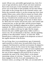nearly 100 per cent, and middle-aged people (say, forty-five years of age and above), nearly 50 per cent more numerous than in the recent past. In the nineteenth century effective power was in the hands of men probably not less than fifteen years older on the average than in the sixteenth century; and before the twentieth century is out the average may have risen another fifteen years, unless effective means are found, other than obvious physical or mental decay, to make vacancies at the top. Clissold (in his sixtieth year, be it noted) sees more advantage and less disadvantage in this state of affairs than I do. Most men love money and security more, and creation and construction less, as they get older; and this process begins long before their intelligent judgement on detail is apparently impaired. Mr. Wells's preference for an adult world over a juvenile sex-ridden world may be right. But the margin between this and a middle-aged money-ridden world is a narrow one. We are threatened, at the best, with the appalling problem of the able-bodied "retired," of which Mr. Wells himself gives a sufficient example in his desperate account of the regular denizens of the Riviera.

We are living, then, in an unsatisfactory age of immensely rapid transition in which most, but particularly those in the vanguard, find themselves and their environment ill-adapted to one another, and are for this reason far less happy than their less-sophisticated forbears were or their yet more-sophisticated descendants need be. This diagnosis, applied by Mr. Wells to the case of those engaged in the practical life of action, is essentially the same as Mr. Edwin Muir's, in his deeply interesting volume of criticism, "Transition," to the case of those engaged in the life of art and contemplation. Our foremost writers, according to Mr. Muir, are *uncomfortable* in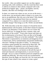the world;—they can neither support nor can they oppose anything with a full confidence, with the result that their work is inferior in relation to their talents compared with work produced in happier ages,—jejune, incomplete, starved, anaemic, like their own feelings to the universe.

In short, we cannot stay where we are; we are on the move, on the move, not necessarily either to better or to worse, but just to an equilibrium. But why not to the better? Why should not we begin to reap spiritual fruits from our material conquests? If so, whence is to come the motive power of desirable change? This brings us to Mr. Wells's second theme.

Mr. Wells describes in the first volume of *Clissold* his hero's disillusionment with Socialism. In the third volume he inquires if there is an alternative. From whence are we to draw the forces which are "to change the laws, customs, rules, and institutions of the world?" "From what classes and types are the revolutionaries to be drawn? How are they to be brought into co-operation? What are to be their methods?" The Labour Movement is represented as an immense and dangerous force of destruction, led by sentimentalists and pseudo-intellectuals, who have "feelings in the place of ideas." A constructive revolution cannot possibly be contrived by these folk. The creative intellect of mankind is not to be found in these quarters but amongst the scientists and the great modern business men. Unless we can harness to the job this type of mind and character and temperament, it can never be put through—for it is a task of immense practical complexity and intellectual difficulty. We must recruit our revolutionaries, therefore, from the Right, not from the Left. We must persuade the type of man whom it now amuses to create a great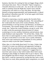business, that there lie waiting for him yet bigger things which will amuse him more. This is Clissold's "Open Conspiracy." Clissold's direction is to the Left—far, far to the Left; but he seeks to summon from the Right the creative force and the constructive will which is to carry him there. He describes himself as being temperamentally and fundamentally a Liberal. But political Liberalism must die "to be born again with firmer features and a clearer will."

Clissold is expressing a reaction against the Socialist Party which very many feel, including Socialists. The remoulding of the world needs the touch of the creative Brahma. But at present Brahma is serving Science and Business, not Politics or Government. The extreme danger of the world is, in Clissold's words, lest, "before the creative Brahma can get to work, Siva, in other words the passionate destructiveness of Labour awakening to its now needless limitations and privations, may make Brahma's task impossible." We all feel this, I think. We know that we need urgently to create a *milieu* in which Brahma can get to work before it is too late. Up to a point, therefore, most active and constructive temperaments in every political camp are ready to join the Open Conspiracy.

What, then, is it that holds them back? It is here, I think, that *Clissold* is in some way deficient and apparently lacking in insight. Why do practical men find it more amusing to make money than to join the Open Conspiracy? I suggest that it is much the same reason as that which makes them find it more amusing to play bridge on Sundays than to go to church. They lack altogether the kind of motive, the possession of which, if they had it, could be expressed by saying that they had a creed. They have no creed, these potential open conspirators, no creed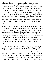whatever. That is why, unless they have the luck to be scientists or artists, they fall back on the grand substitute motive, the perfect *Ersatz*, the anodyne for those who, in fact, want nothing at all—Money. Clissold charges the enthusiasts of Labour that they have "feelings in the place of ideas." But he does not deny that they have feelings. Has not, perhaps, poor Mr. Cook something which Clissold lacks? Clissold and his brother Dickon, the advertising expert, flutter about the world seeking for something to which they can attach their abundant *libido*. But they have not found it. They would so like to be Apostles. But they cannot. They remain business men.

I have taken two themes from a book which contains dozens. They are not all treated equally well. Knowing the Universities much better than Mr. Wells does, I declare that his account contains no more than the element of truth which is proper to a caricature. He under-estimates altogether their possibilities how they may yet become temples of Brahma which even Siva will respect. But *Clissold*, taken altogether, is a great achievement, a huge and meaty egg from a glorious hen, an abundant outpouring of an ingenious, truthful, and generous spirit.

Though we talk about pure art as never before, this is not a good age for pure artists; nor is it a good one for classical perfections. Our most pregnant writers to-day are full of imperfections; they expose themselves to judgement; they do not look to be immortal. For these reasons, perhaps, we, their contemporaries, do them and the debt we owe them less than justice. What a debt every intelligent being owes to Bernard Shaw! What a debt also to H. G. Wells, whose mind seems to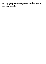have grown up alongside his readers', so that, in successive phases, he has delighted us and guided our imaginations from boyhood to maturity.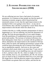## **2. ECONOMIC POSSIBILITIES FOR OUR GRANDCHILDREN (1930)**

**I**

We are suffering just now from a bad attack of economic pessimism. It is common to hear people say that the epoch of enormous economic progress which characterised the nineteenth century is over; that the rapid improvement in the standard of life is now going to slow down—at any rate in Great Britain; that a decline in prosperity is more likely than an improvement in the decade which lies ahead of us.

I believe that this is a wildly mistaken interpretation of what is happening to us. We are suffering, not from the rheumatics of old age, but from the growing-pains of over-rapid changes, from the painfulness of readjustment between one economic period and another. The increase of technical efficiency has been taking place faster than we can deal with the problem of labour absorption; the improvement in the standard of life has been a little too quick; the banking and monetary system of the world has been preventing the rate of interest from falling as fast as equilibrium requires. And even so, the waste and confusion which ensue relate to not more than 7½ per cent of the national income; we are muddling away one and sixpence in the £, and have only 18s. 6d., when we might, if we were more sensible, have £1; yet, nevertheless, the 18s. 6d. mounts up to as much as the £1 would have been five or six years ago. We forget that in 1929 the physical output of the industry of Great Britain was greater than ever before, and that the net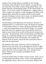surplus of our foreign balance available for new foreign investment, after paying for all our imports, was greater last year than that of any other country, being indeed 50 per cent greater than the corresponding surplus of the United States. Or again—if it is to be a matter of comparisons—suppose that we were to reduce our wages by a half, repudiate four-fifths of the national debt, and hoard our surplus wealth in barren gold instead of lending it at 6 per cent or more, we should resemble the now much-envied France. But would it be an improvement?

The prevailing world depression, the enormous anomaly of unemployment in a world full of wants, the disastrous mistakes we have made, blind us to what is going on under the surface —to the true interpretation of the trend of things. For I predict that both of the two opposed errors of pessimism which now make so much noise in the world will be proved wrong in our own time—the pessimism of the revolutionaries who think that things are so bad that nothing can save us but violent change, and the pessimism of the reactionaries who consider the balance of our economic and social life so precarious that we must risk no experiments.

My purpose in this essay, however, is not to examine the present or the near future, but to disembarrass myself of short views and take wings into the future. What can we reasonably expect the level of our economic life to be a hundred years hence? What are the economic possibilities for our grandchildren?

From the earliest times of which we have record—back, say, to two thousand years before Christ—down to the beginning of the eighteenth century, there was no very great change in the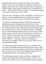standard of life of the average man living in the civilised centres of the earth. Ups and downs certainly. Visitations of plague, famine, and war. Golden intervals. But no progressive, violent change. Some periods perhaps 50 per cent better than others—at the utmost 100 per cent better—in the four thousand years which ended (say) in A.D. 1700.

This slow rate of progress, or lack of progress, was due to two reasons—to the remarkable absence of important technical improvements and to the failure of capital to accumulate.

The absence of important technical inventions between the prehistoric age and comparatively modern times is truly remarkable. Almost everything which really matters and which the world possessed at the commencement of the modern age was already known to man at the dawn of history. Language, fire, the same domestic animals which we have to-day, wheat, barley, the vine and the olive, the plough, the wheel, the oar, the sail, leather, linen and cloth, bricks and pots, gold and silver, copper, tin, and lead—and iron was added to the list before 1000 B.C.—banking, statecraft, mathematics, astronomy, and religion. There is no record of when we first possessed these things.

At some epoch before the dawn of history—perhaps even in one of the comfortable intervals before the last ice age—there must have been an era of progress and invention comparable to that in which we live to-day. But through the greater part of recorded history there was nothing of the kind.

The modern age opened, I think, with the accumulation of capital which began in the sixteenth century. I believe—for reasons with which I must not encumber the present argument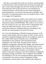—that this was initially due to the rise of prices, and the profits to which that led, which resulted from the treasure of gold and silver which Spain brought from the New World into the Old. From that time until to-day the power of accumulation by compound interest, which seems to have been sleeping for many generations, was re-born and renewed its strength. And the power of compound interest over two hundred years is such as to stagger the imagination.

Let me give in illustration of this a sum which I have worked out. The value of Great Britain's foreign investments to-day is estimated at about £4,000,000,000. This yields us an income at the rate of about 6½ per cent. Half of this we bring home and enjoy; the other half, namely, 3¼ per cent, we leave to accumulate abroad at compound interest. Something of this sort has now been going on for about 250 years.

For I trace the beginnings of British foreign investment to the treasure which Drake stole from Spain in 1580. In that year he returned to England bringing with him the prodigious spoils of the *Golden Hind*. Queen Elizabeth was a considerable shareholder in the syndicate which had financed the expedition. Out of her share she paid off the whole of England's foreign debt, balanced her Budget, and found herself with about £40,000 in hand. This she invested in the Levant Company—which prospered. Out of the profits of the Levant Company, the East India Company was founded; and the profits of this great enterprise were the foundation of England's subsequent foreign investment. Now it happens that £40,000 accumulating at 3¼ per cent compound interest approximately corresponds to the actual volume of England's foreign investments at various dates, and would actually amount to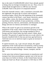day to the total of £4,000,000,000 which I have already quoted as being what our foreign investments now are. Thus, every £1 which Drake brought home in 1580 has now become £100,000. Such is the power of compound interest!

From the sixteenth century, with a cumulative crescendo after the eighteenth, the great age of science and technical inventions began, which since the beginning of the nineteenth century has been in full flood—coal, steam, electricity, petrol, steel, rubber, cotton, the chemical industries, automatic machinery and the methods of mass production, wireless, printing, Newton, Darwin, and Einstein, and thousands of other things and men too famous and familiar to catalogue.

What is the result? In spite of an enormous growth in the population of the world, which it has been necessary to equip with houses and machines, the average standard of life in Europe and the United States has been raised, I think, about fourfold. The growth of capital has been on a scale which is far beyond a hundred-fold of what any previous age had known. And from now on we need not expect so great an increase of population.

If capital increases, say, 2 per cent per annum, the capital equipment of the world will have increased by a half in twenty years, and seven and a half times in a hundred years. Think of this in terms of material things—houses, transport, and the like.

At the same time technical improvements in manufacture and transport have been proceeding at a greater rate in the last ten years than ever before in history. In the United States factory output per head was 40 per cent greater in 1925 than in 1919.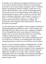In Europe we are held back by temporary obstacles, but even so it is safe to say that technical efficiency is increasing by more than 1 per cent per annum compound. There is evidence that the revolutionary technical changes, which have so far chiefly affected industry, may soon be attacking agriculture. We may be on the eve of improvements in the efficiency of food production as great as those which have already taken place in mining, manufacture, and transport. In quite a few years—in our own lifetimes I mean—we may be able to perform all the operations of agriculture, mining, and manufacture with a quarter of the human effort to which we have been accustomed.

For the moment the very rapidity of these changes is hurting us and bringing difficult problems to solve. Those countries are suffering relatively which are not in the vanguard of progress. We are being afflicted with a new disease of which some readers may not yet have heard the name, but of which they will hear a great deal in the years to come—namely, *technological unemployment*. This means unemployment due to our discovery of means of economising the use of labour outrunning the pace at which we can find new uses for labour.

But this is only a temporary phase of maladjustment. All this means in the long run *that mankind is solving its economic problem*. I would predict that the standard of life in progressive countries one hundred years hence will be between four and eight times as high as it is to-day. There would be nothing surprising in this even in the light of our present knowledge. It would not be foolish to contemplate the possibility of a far greater progress still.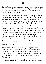Let us, for the sake of argument, suppose that a hundred years hence we are all of us, on the average, eight times better off in the economic sense than we are to-day. Assuredly there need be nothing here to surprise us.

Now it is true that the needs of human beings may seem to be insatiable. But they fall into two classes—those needs which are absolute in the sense that we feel them whatever the situation of our fellow human beings may be, and those which are relative in the sense that we feel them only if their satisfaction lifts us above, makes us feel superior to, our fellows. Needs of the second class, those which satisfy the desire for superiority, may indeed be insatiable; for the higher the general level, the higher still are they. But this is not so true of the absolute needs—a point may soon be reached, much sooner perhaps than we are all of us aware of, when these needs are satisfied in the sense that we prefer to devote our further energies to non-economic purposes.

Now for my conclusion, which you will find, I think, to become more and more startling to the imagination the longer you think about it.

I draw the conclusion that, assuming no important wars and no important increase in population, the *economic problem* may be solved, or be at least within sight of solution, within a hundred years. This means that the economic problem is not if we look into the future—*the permanent problem of the human race*.

Why, you may ask, is this so startling? It is startling because—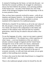if, instead of looking into the future, we look into the past—we find that the economic problem, the struggle for subsistence, always has been hitherto the primary, most pressing problem of the human race—not only of the human race, but of the whole of the biological kingdom from the beginnings of life in its most primitive forms.

Thus we have been expressly evolved by nature—with all our impulses and deepest instincts—for the purpose of solving the economic problem. If the economic problem is solved, mankind will be deprived of its traditional purpose.

Will this be a benefit? If one believes at all in the real values of life, the prospect at least opens up the possibility of benefit. Yet I think with dread of the readjustment of the habits and instincts of the ordinary man, bred into him for countless generations, which he may be asked to discard within a few decades.

To use the language of to-day—must we not expect a general "nervous breakdown"? We already have a little experience of what I mean—a nervous breakdown of the sort which is already common enough in England and the United States amongst the wives of the well-to-do classes, unfortunate women, many of them, who have been deprived by their wealth of their traditional tasks and occupations—who cannot find it sufficiently amusing, when deprived of the spur of economic necessity, to cook and clean and mend, yet are quite unable to find anything more amusing.

To those who sweat for their daily bread leisure is a longed-for sweet—until they get it.

There is the traditional epitaph written for herself by the old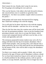charwoman:—

Don't mourn for me, friends, don't weep for me never, For I'm going to do nothing for ever and ever.

This was her heaven. Like others who look forward to leisure, she conceived how nice it would be to spend her time listening-in—for there was another couplet which occurred in her poem:—

With psalms and sweet music the heavens'll be ringing, But I shall have nothing to do with the singing.

Yet it will only be for those who have to do with the singing that life will be tolerable—and how few of us can sing!

Thus for the first time since his creation man will be faced with his real, his permanent problem—how to use his freedom from pressing economic cares, how to occupy the leisure, which science and compound interest will have won for him, to live wisely and agreeably and well.

The strenuous purposeful money-makers may carry all of us along with them into the lap of economic abundance. But it will be those peoples, who can keep alive, and cultivate into a fuller perfection, the art of life itself and do not sell themselves for the means of life, who will be able to enjoy the abundance when it comes.

Yet there is no country and no people, I think, who can look forward to the age of leisure and of abundance without a dread. For we have been trained too long to strive and not to enjoy. It is a fearful problem for the ordinary person, with no special talents, to occupy himself, especially if he no longer has roots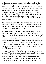in the soil or in custom or in the beloved conventions of a traditional society. To judge from the behaviour and the achievements of the wealthy classes to-day in any quarter of the world, the outlook is very depressing! For these are, so to speak, our advance guard—those who are spying out the promised land for the rest of us and pitching their camp there. For they have most of them failed disastrously, so it seems to me—those who have an independent income but no associations or duties or ties—to solve the problem which has been set them.

I feel sure that with a little more experience we shall use the new-found bounty of nature quite differently from the way in which the rich use it to-day, and will map out for ourselves a plan of life quite otherwise than theirs.

For many ages to come the old Adam will be so strong in us that everybody will need to do *some* work if he is to be contented. We shall do more things for ourselves than is usual with the rich to-day, only too glad to have small duties and tasks and routines. But beyond this, we shall endeavour to spread the bread thin on the butter—to make what work there is still to be done to be as widely shared as possible. Threehour shifts or a fifteen-hour week may put off the problem for a great while. For three hours a day is quite enough to satisfy the old Adam in most of us!

There are changes in other spheres too which we must expect to come. When the accumulation of wealth is no longer of high social importance, there will be great changes in the code of morals. We shall be able to rid ourselves of many of the pseudo-moral principles which have hag-ridden us for two hundred years, by which we have exalted some of the most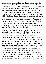distasteful of human qualities into the position of the highest virtues. We shall be able to afford to dare to assess the moneymotive at its true value. The love of money as a possession—as distinguished from the love of money as a means to the enjoyments and realities of life—will be recognised for what it is, a somewhat disgusting morbidity, one of those semicriminal, semi-pathological propensities which one hands over with a shudder to the specialists in mental disease. All kinds of social customs and economic practices, affecting the distribution of wealth and of economic rewards and penalties, which we now maintain at all costs, however distasteful and unjust they may be in themselves, because they are tremendously useful in promoting the accumulation of capital, we shall then be free, at last, to discard.

Of course there will still be many people with intense, unsatisfied purposiveness who will blindly pursue wealth unless they can find some plausible substitute. But the rest of us will no longer be under any obligation to applaud and encourage them. For we shall inquire more curiously than is safe to-day into the true character of this "purposiveness" with which in varying degrees Nature has endowed almost all of us. For purposiveness means that we are more concerned with the remote future results of our actions than with their own quality or their immediate effects on our own environment. The "purposive" man is always trying to secure a spurious and delusive immortality for his acts by pushing his interest in them forward into time. He does not love his cat, but his cat's kittens; nor, in truth, the kittens, but only the kittens' kittens, and so on forward for ever to the end of cat-dom. For him jam is not jam unless it is a case of jam to-morrow and never jam to-day. Thus by pushing his jam always forward into the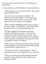future, he strives to secure for his act of boiling it an immortality.

Let me remind you of the Professor in *Sylvie and Bruno*:—

"Only the tailor, sir, with your little bill," said a meek voice outside the door.

"Ah, well, I can soon settle *his* business," the Professor said to the children, "if you'll just wait a minute. How much is it, this year, my man?" The tailor had come in while he was speaking.

"Well, it's been a-doubling so many years, you see," the tailor replied, a little gruffly, "and I think I'd like the money now. It's two thousand pound, it is!"

"Oh, that's nothing!" the Professor carelessly remarked, feeling in his pocket, as if he always carried at least *that* amount about with him. "But wouldn't you like to wait just another year and make it *four* thousand? Just think how rich you'd be! Why, you might be a *king*, if you liked!"

"I don't know as I'd care about being a king," the man said thoughtfully. "But it *dew* sound a powerful sight o' money! Well, I think I'll wait——"

"Of course you will!" said the Professor. "There's good sense in *you*, I see. Good-day to you, my man!"

"Will you ever have to pay him that four thousand pounds?" Sylvie asked as the door closed on the departing creditor.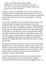"*Never*, my child!" the Professor replied emphatically. "He'll go on doubling it till he dies. You see, it's *always* worth while waiting another year to get twice as much money!"

Perhaps it is not an accident that the race which did most to bring the promise of immortality into the heart and essence of our religions has also done most for the principle of compound interest and particularly loves this most purposive of human institutions.

I see us free, therefore, to return to some of the most sure and certain principles of religion and traditional virtue—that avarice is a vice, that the exaction of usury is a misdemeanour, and the love of money is detestable, that those walk most truly in the paths of virtue and sane wisdom who take least thought for the morrow. We shall once more value ends above means and prefer the good to the useful. We shall honour those who can teach us how to pluck the hour and the day virtuously and well, the delightful people who are capable of taking direct enjoyment in things, the lilies of the field who toil not, neither do they spin.

But beware! The time for all this is not yet. For at least another hundred years we must pretend to ourselves and to every one that fair is foul and foul is fair; for foul is useful and fair is not. Avarice and usury and precaution must be our gods for a little longer still. For only they can lead us out of the tunnel of economic necessity into daylight.

I look forward, therefore, in days not so very remote, to the greatest change which has ever occurred in the material environment of life for human beings in the aggregate. But, of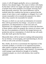course, it will all happen gradually, not as a catastrophe. Indeed, it has already begun. The course of affairs will simply be that there will be ever larger and larger classes and groups of people from whom problems of economic necessity have been practically removed. The critical difference will be realised when this condition has become so general that the nature of one's duty to one's neighbour is changed. For it will remain reasonable to be economically purposive for others after it has ceased to be reasonable for oneself.

The *pace* at which we can reach our destination of economic bliss will be governed by four things—our power to control population, our determination to avoid wars and civil dissensions, our willingness to entrust to science the direction of those matters which are properly the concern of science, and the rate of accumulation as fixed by the margin between our production and our consumption; of which the last will easily look after itself, given the first three.

Meanwhile there will be no harm in making mild preparations for our destiny, in encouraging, and experimenting in, the arts of life as well as the activities of purpose.

But, chiefly, do not let us overestimate the importance of the economic problem, or sacrifice to its supposed necessities other matters of greater and more permanent significance. It should be a matter for specialists—like dentistry. If economists could manage to get themselves thought of as humble, competent people, on a level with dentists, that would be splendid!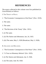### **REFERENCES**

The essays collected in this volume were first published (in Great Britain) as follows:

- I. THE TREATY OF PEACE.
- 1. "The Economic Consequences of the Peace" (Nov. 1919).
- 2. The same.
- 3. The same.
- 4. "The Revision of the Treaty" (Dec. 1921).
- 5. (i) The same.
- 5. (ii) *The Nation and Athenæum*, Jan. 24, 1925.
- 5. (iii) The same, May 5, 1928 (Broadcast, May 3, 1928).
- II. INFLATION AND DEFLATION.
- 1. "The Economic Consequences of the Peace" (Nov. 1919).
- 2. "A Tract on Monetary Reform" (Oct. 1923).
- 3. (i) *The Nation and Athenæum*, Jan. 9, 1926.
- 3. (ii) The same, June 30, 1928.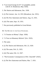- 4. "Can Lloyd George do It?" (A pamphlet, jointly with H. D. Henderson, May 1929).
- 5. *The Nation and Athenæum*, Dec. 1930.
- 6. (i) *The Listener*, Jan. 14, 1931 (Broadcast, Jan. 1931).
- 6. (ii) *The New Statesman and Nation*, Aug. 15, 1931.
- 6. (iii) The same, Sept. 19, 1931.
- 7. Not previously published in Great Britain.
- III. THE RETURN TO THE GOLD STANDARD.
- 1. "A Treatise on Money" (Sept. 1930).
- 2. "A Tract on Monetary Reform" (Oct. 1923).
- 3. The same.
- 4. (i) *The Nation and Athenæum*, Feb. 23, 1929.
- 4. (ii) The same, Feb. 21, 1925.
- 4. (iii) The same, Feb. 12, 1927.
- 5. "The Economic Consequences of Mr. Churchill" (1925).
- 6. (i) *The New Statesman and Nation*, Mar. 7, 1931.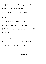- 6. (ii) *The Evening Standard*, Sept. 10, 1931.
- 6. (iii) *The Times*, Sept. 29, 1931.
- 7. *The Sunday Express*, Sept. 27, 1931.

IV. POLITICS.

- 1. "A Short View of Russia" (1925).
- 2. "The End of *Laissez-Faire*" (1926).
- 3. *The Nation and Athenæum*, Aug. 8 and 15, 1925.
- 4. The same, Feb. 20, 1926.
- V. THE FUTURE.
- 1. *The Nation and Athenæum*, Jan. 22, 1927.
- 2. The same, Oct. 11 and 18, 1930.

## **THE END**